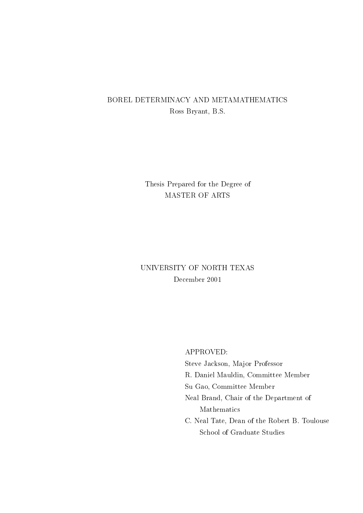## BOREL DETERMINACY AND METAMATHEMATICS Ross Bryant, B.S.

# Thesis Prepared for the Degree of MASTER OF ARTS

# UNIVERSITY OF NORTH TEXAS December 2001

APPROVED:

Steve Jackson, Major Professor

R. Daniel Mauldin, Committee Member

Su Gao, Committee Member

Neal Brand, Chair of the Department of Mathematics

C. Neal Tate, Dean of the Robert B. Toulouse School of Graduate Studies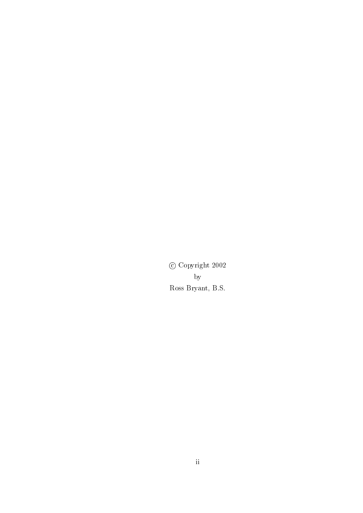$\odot$  Copyright 2002  $_{\rm by}$ Ross Bryant, B.S.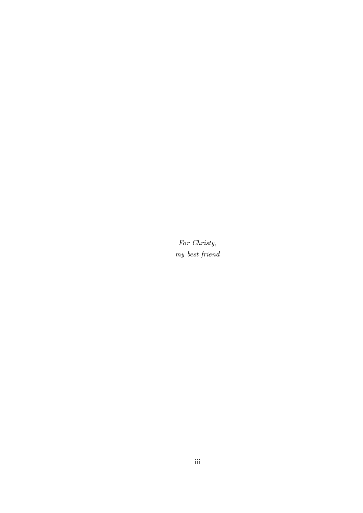For Christy,  $\boldsymbol{m}{y}$  best friend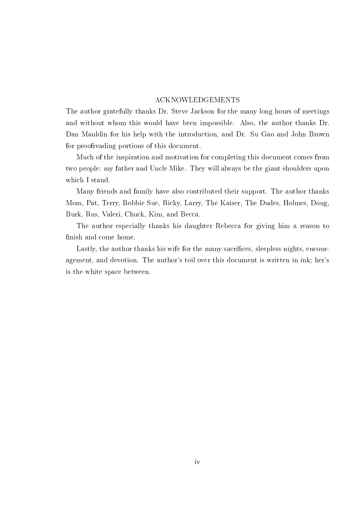### **ACKNOWLEDGEMENTS**

The author gratefully thanks Dr. Steve Jackson for the many long hours of meetings and without whom this would have been impossible. Also, the author thanks Dr. Dan Mauldin for his help with the introduction, and Dr. Su Gao and John Brown for proofreading portions of this document.

Much of the inspiration and motivation for completing this document comes from two people: my father and Uncle Mike. They will always be the giant shoulders upon which I stand.

Many friends and family have also contributed their support. The author thanks Mom, Pat, Terry, Bobbie Sue, Ricky, Larry, The Kaiser, The Dudes, Holmes, Doug, Burk, Rus, Valeri, Chuck, Kim, and Becca.

The author especially thanks his daughter Rebecca for giving him a reason to finish and come home.

Lastly, the author thanks his wife for the many sacrifices, sleepless nights, encouragement, and devotion. The author's toil over this document is written in ink; her's is the white space between.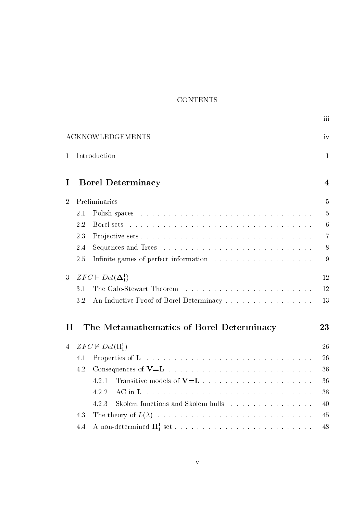## **CONTENTS**

|                                                                |                                       |                                            | iii             |  |  |  |
|----------------------------------------------------------------|---------------------------------------|--------------------------------------------|-----------------|--|--|--|
| <b>ACKNOWLEDGEMENTS</b>                                        |                                       |                                            |                 |  |  |  |
| 1                                                              | Introduction                          |                                            |                 |  |  |  |
| I                                                              | <b>Borel Determinacy</b>              |                                            |                 |  |  |  |
| $\overline{2}$                                                 |                                       | Preliminaries                              | $\overline{5}$  |  |  |  |
|                                                                | 2.1                                   |                                            | $\overline{5}$  |  |  |  |
|                                                                | 2.2                                   | Borel sets                                 | $6\phantom{.}6$ |  |  |  |
|                                                                | 2.3                                   |                                            | $\overline{7}$  |  |  |  |
|                                                                | 2.4                                   |                                            | 8               |  |  |  |
|                                                                | 2.5                                   |                                            | 9               |  |  |  |
| 3                                                              | $ZFC \vdash Det(\mathbf{\Delta}^1_1)$ |                                            |                 |  |  |  |
|                                                                | 3.1                                   | The Gale-Stewart Theorem                   | 12              |  |  |  |
|                                                                | 3.2                                   | An Inductive Proof of Borel Determinacy    | 13              |  |  |  |
| The Metamathematics of Borel Determinacy<br>$\mathbf{H}$<br>23 |                                       |                                            |                 |  |  |  |
| $ZFC \nvdash Det(\Pi_1^1)$<br>$\overline{4}$                   |                                       |                                            | 26              |  |  |  |
|                                                                | 4.1                                   | Properties of L                            | 26              |  |  |  |
|                                                                | 4.2                                   |                                            | 36              |  |  |  |
|                                                                |                                       | 4.2.1                                      | 36              |  |  |  |
|                                                                |                                       | $AC$ in $L$<br>4.2.2                       | 38              |  |  |  |
|                                                                |                                       | Skolem functions and Skolem hulls<br>4.2.3 | 40              |  |  |  |
|                                                                | 4.3                                   |                                            |                 |  |  |  |
|                                                                | 4.4                                   |                                            | 48              |  |  |  |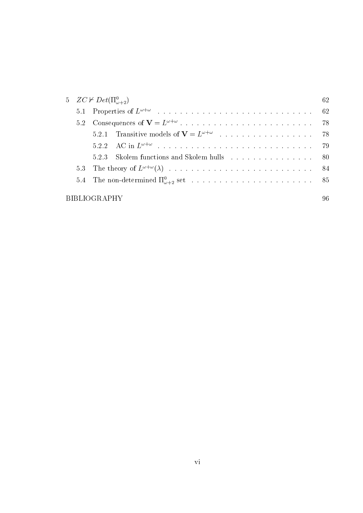| 5 $ZC \nvdash Det(\Pi^0_{\omega+2})$ |      |                                                                                                                                                                                                                                |  |  |  |
|--------------------------------------|------|--------------------------------------------------------------------------------------------------------------------------------------------------------------------------------------------------------------------------------|--|--|--|
|                                      |      |                                                                                                                                                                                                                                |  |  |  |
|                                      |      |                                                                                                                                                                                                                                |  |  |  |
|                                      |      |                                                                                                                                                                                                                                |  |  |  |
|                                      |      |                                                                                                                                                                                                                                |  |  |  |
|                                      | 523. | Skolem functions and Skolem hulls expansion and subset of the set of the set of the set of the set of the set of the set of the set of the set of the set of the set of the set of the set of the set of the set of the set of |  |  |  |
|                                      |      |                                                                                                                                                                                                                                |  |  |  |
|                                      |      |                                                                                                                                                                                                                                |  |  |  |
| <b>BIBLIOGRAPHY</b>                  |      |                                                                                                                                                                                                                                |  |  |  |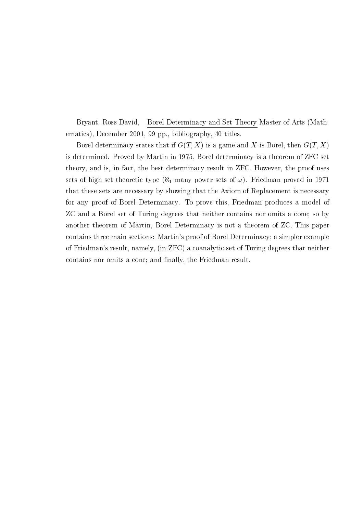Bryant, Ross David, Borel Determinacy and Set Theory Master of Arts (Mathematics), December 2001, 99 pp., bibliography, 40 titles.

Borel determinacy states that if  $G(T, X)$  is a game and X is Borel, then  $G(T, X)$ is determined. Proved by Martin in 1975, Borel determinacy is a theorem of ZFC set theory, and is, in fact, the best determinacy result in ZFC. However, the proof uses sets of high set theoretic type ( $\aleph_1$  many power sets of  $\omega$ ). Friedman proved in 1971 that these sets are necessary by showing that the Axiom of Replacement is necessary for any proof of Borel Determinacy. To prove this, Friedman produces a model of ZC and a Borel set of Turing degrees that neither contains nor omits a cone; so by another theorem of Martin, Borel Determinacy is not a theorem of ZC. This paper contains three main sections: Martin's proof of Borel Determinacy; a simpler example of Friedman's result, namely, (in ZFC) a coanalytic set of Turing degrees that neither contains nor omits a cone; and finally, the Friedman result.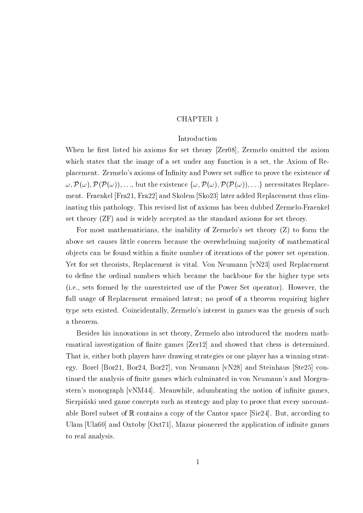### **CHAPTER 1**

### Introduction

When he first listed his axioms for set theory [Zer08], Zermelo omitted the axiom which states that the image of a set under any function is a set, the Axiom of Replacement. Zermelo's axioms of Infinity and Power set suffice to prove the existence of  $\omega, \mathcal{P}(\omega), \mathcal{P}(\mathcal{P}(\omega)), \ldots$ , but the existence  $\{\omega, \mathcal{P}(\omega), \mathcal{P}(\mathcal{P}(\omega)), \ldots\}$  necessitates Replacement. Fraenkel [Fra21, Fra22] and Skolem [Sko23] later added Replacement thus eliminating this pathology. This revised list of axioms has been dubbed Zermelo-Fraenkel set theory (ZF) and is widely accepted as the standard axioms for set theory.

For most mathematicians, the inability of Zermelo's set theory (Z) to form the above set causes little concern because the overwhelming majority of mathematical objects can be found within a finite number of iterations of the power set operation. Yet for set theorists, Replacement is vital. Von Neumann [vN23] used Replacement to define the ordinal numbers which became the backbone for the higher type sets (i.e., sets formed by the unrestricted use of the Power Set operator). However, the full usage of Replacement remained latent; no proof of a theorem requiring higher type sets existed. Coincidentally, Zermelo's interest in games was the genesis of such a theorem.

Besides his innovations in set theory, Zermelo also introduced the modern mathematical investigation of finite games [Zer12] and showed that chess is determined. That is, either both players have drawing strategies or one player has a winning strategy. Borel [Bor21, Bor24, Bor27], von Neumann [vN28] and Steinhaus [Ste25] continued the analysis of finite games which culminated in von Neumann's and Morgenstern's monograph [vNM44]. Meanwhile, adumbrating the notion of infinite games. Sierpinski used game concepts such as strategy and play to prove that every uncountable Borel subset of  $\mathbb R$  contains a copy of the Cantor space [Sie24]. But, according to Ulam [Ula60] and Oxtoby  $[Oxt71]$ , Mazur pioneered the application of infinite games to real analysis.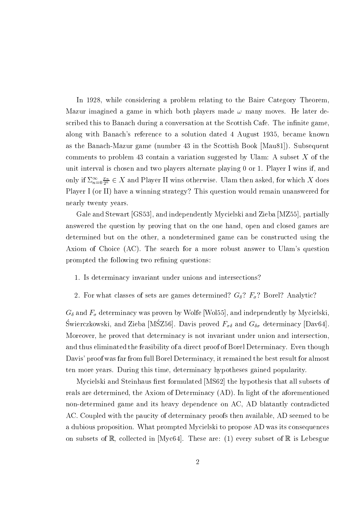In 1928, while considering a problem relating to the Baire Category Theorem. Mazur imagined a game in which both players made  $\omega$  many moves. He later described this to Banach during a conversation at the Scottish Cafe. The infinite game. along with Banach's reference to a solution dated 4 August 1935, became known as the Banach-Mazur game (number 43 in the Scottish Book [Mau81]). Subsequent comments to problem 43 contain a variation suggested by Ulam: A subset  $X$  of the unit interval is chosen and two players alternate playing 0 or 1. Player I wins if, and only if  $\Sigma_{n=0}^{\infty} \frac{x_n}{2^n} \in X$  and Player II wins otherwise. Ulam then asked, for which X does Player I (or II) have a winning strategy? This question would remain unanswered for nearly twenty years.

Gale and Stewart [GS53], and independently Mycielski and Zieba [MZ55], partially answered the question by proving that on the one hand, open and closed games are determined but on the other, a nondetermined game can be constructed using the Axiom of Choice (AC). The search for a more robust answer to Ulam's question prompted the following two refining questions:

- 1. Is determinacy invariant under unions and intersections?
- 2. For what classes of sets are games determined?  $G_{\delta}$ ?  $F_{\sigma}$ ? Borel? Analytic?

 $G_{\delta}$  and  $F_{\sigma}$  determinacy was proven by Wolfe [Wol55], and independently by Mycielski, Świerczkowski, and Zieba [MŚZ56]. Davis proved $F_{\sigma\delta}$  and  $G_{\delta\sigma}$  determinacy [Dav64] Moreover, he proved that determinacy is not invariant under union and intersection, and thus eliminated the feasibility of a direct proof of Borel Determinacy. Even though Davis' proof was far from full Borel Determinacy, it remained the best result for almost ten more years. During this time, determinacy hypotheses gained popularity.

Mycielski and Steinhaus first formulated [MS62] the hypothesis that all subsets of reals are determined, the Axiom of Determinacy (AD). In light of the aforementioned non-determined game and its heavy dependence on AC, AD blatantly contradicted AC. Coupled with the paucity of determinacy proofs then available, AD seemed to be a dubious proposition. What prompted Mycielski to propose AD was its consequences on subsets of  $\mathbb{R}$ , collected in [Myc64]. These are: (1) every subset of  $\mathbb{R}$  is Lebesgue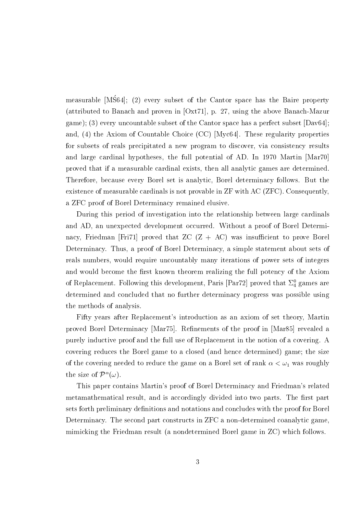measurable [MS64]; (2) every subset of the Cantor space has the Baire property (attributed to Banach and proven in [Oxt71], p. 27, using the above Banach-Mazur game); (3) every uncountable subset of the Cantor space has a perfect subset  $[David]$ ; and, (4) the Axiom of Countable Choice (CC) [Myc64]. These regularity properties for subsets of reals precipitated a new program to discover, via consistency results and large cardinal hypotheses, the full potential of AD. In 1970 Martin [Mar70] proved that if a measurable cardinal exists, then all analytic games are determined. Therefore, because every Borel set is analytic, Borel determinacy follows. But the existence of measurable cardinals is not provable in ZF with AC (ZFC). Consequently, a ZFC proof of Borel Determinacy remained elusive.

During this period of investigation into the relationship between large cardinals and AD, an unexpected development occurred. Without a proof of Borel Determinacy, Friedman [Fri71] proved that ZC  $(Z + AC)$  was insufficient to prove Borel Determinacy. Thus, a proof of Borel Determinacy, a simple statement about sets of reals numbers, would require uncountably many iterations of power sets of integers and would become the first known theorem realizing the full potency of the Axiom of Replacement. Following this development, Paris [Par72] proved that  $\Sigma^0_4$  games are determined and concluded that no further determinacy progress was possible using the methods of analysis.

Fifty years after Replacement's introduction as an axiom of set theory, Martin proved Borel Determinacy [Mar75]. Refinements of the proof in [Mar85] revealed a purely inductive proof and the full use of Replacement in the notion of a covering. A covering reduces the Borel game to a closed (and hence determined) game; the size of the covering needed to reduce the game on a Borel set of rank  $\alpha < \omega_1$  was roughly the size of  $\mathcal{P}^{\alpha}(\omega)$ .

This paper contains Martin's proof of Borel Determinacy and Friedman's related metamathematical result, and is accordingly divided into two parts. The first part sets forth preliminary definitions and notations and concludes with the proof for Borel Determinacy. The second part constructs in ZFC a non-determined coanalytic game. mimicking the Friedman result (a nondetermined Borel game in ZC) which follows.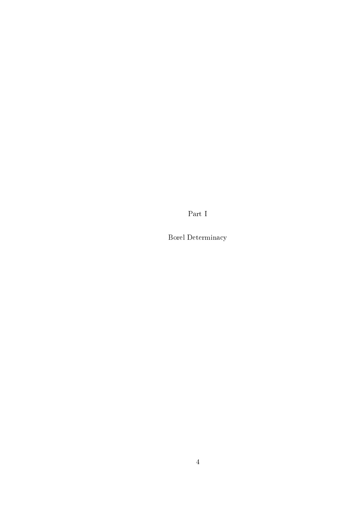Part I

Borel Determinacy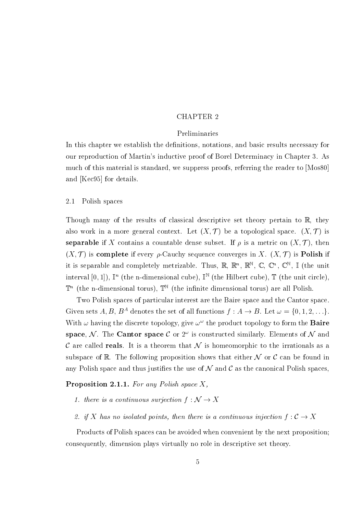### **CHAPTER 2**

### Preliminaries

In this chapter we establish the definitions, notations, and basic results necessary for our reproduction of Martin's inductive proof of Borel Determinacy in Chapter 3. As much of this material is standard, we suppress proofs, referring the reader to [Mos80] and [Kec95] for details.

#### 2.1 Polish spaces

Though many of the results of classical descriptive set theory pertain to  $\mathbb{R}$ , they also work in a more general context. Let  $(X, \mathcal{T})$  be a topological space.  $(X, \mathcal{T})$  is **separable** if X contains a countable dense subset. If  $\rho$  is a metric on  $(X, \mathcal{T})$ , then  $(X, \mathcal{T})$  is **complete** if every  $\rho$ -Cauchy sequence converges in X.  $(X, \mathcal{T})$  is **Polish** if it is separable and completely metrizable. Thus,  $\mathbb{R}, \mathbb{R}^n, \mathbb{R}^N, \mathbb{C}, \mathbb{C}^n, \mathbb{C}^N, \mathbb{I}$  (the unit interval [0, 1]),  $\mathbb{I}^n$  (the n-dimensional cube),  $\mathbb{I}^{\mathbb{N}}$  (the Hilbert cube),  $\mathbb{T}$  (the unit circle).  $\mathbb{T}^n$  (the n-dimensional torus),  $\mathbb{T}^{\mathbb{N}}$  (the infinite dimensional torus) are all Polish.

Two Polish spaces of particular interest are the Baire space and the Cantor space. Given sets A, B,  $B^A$  denotes the set of all functions  $f : A \to B$ . Let  $\omega = \{0, 1, 2, ...\}$ . With  $\omega$  having the discrete topology, give  $\omega^{\omega}$  the product topology to form the **Baire** space, N. The Cantor space C or  $2^{\omega}$  is constructed similarly. Elements of N and C are called **reals**. It is a theorem that N is homeomorphic to the irrationals as a subspace of R. The following proposition shows that either  $\mathcal N$  or  $\mathcal C$  can be found in any Polish space and thus justifies the use of  $N$  and  $\mathcal C$  as the canonical Polish spaces,

**Proposition 2.1.1.** For any Polish space X.

- 1. there is a continuous surjection  $f: \mathcal{N} \to X$
- 2. if X has no isolated points, then there is a continuous injection  $f: \mathcal{C} \to X$

Products of Polish spaces can be avoided when convenient by the next proposition; consequently, dimension plays virtually no role in descriptive set theory.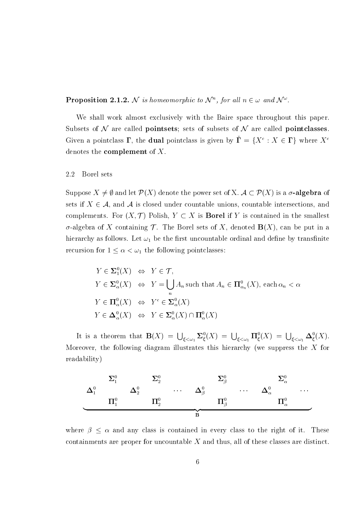**Proposition 2.1.2.** N is homeomorphic to  $\mathcal{N}^n$ , for all  $n \in \omega$  and  $\mathcal{N}^{\omega}$ .

We shall work almost exclusively with the Baire space throughout this paper. Subsets of  $N$  are called **pointsets**; sets of subsets of  $N$  are called **pointclasses**. Given a pointclass  $\Gamma$ , the **dual** pointclass is given by  $\check{\Gamma} = \{X^c : X \in \Gamma\}$  where  $X^c$ denotes the **complement** of  $X$ .

#### 2.2 Borel sets

Suppose  $X \neq \emptyset$  and let  $\mathcal{P}(X)$  denote the power set of X.  $\mathcal{A} \subset \mathcal{P}(X)$  is a  $\sigma$ -algebra of sets if  $X \in \mathcal{A}$ , and  $\mathcal{A}$  is closed under countable unions, countable intersections, and complements. For  $(X, \mathcal{T})$  Polish,  $Y \subset X$  is **Borel** if Y is contained in the smallest  $\sigma$ -algebra of X containing  $\mathcal T$ . The Borel sets of X, denoted  $\mathbf B(X)$ , can be put in a hierarchy as follows. Let  $\omega_1$  be the first uncountable ordinal and define by transfinite recursion for  $1 \leq \alpha < \omega_1$  the following pointclasses:

$$
Y \in \Sigma_1^0(X) \iff Y \in \mathcal{T},
$$
  
\n
$$
Y \in \Sigma_\alpha^0(X) \iff Y = \bigcup_n A_n \text{ such that } A_n \in \mathbf{\Pi}_{\alpha_n}^0(X), \text{ each } \alpha_n < \alpha
$$
  
\n
$$
Y \in \mathbf{\Pi}_{\alpha}^0(X) \iff Y^c \in \Sigma_\alpha^0(X)
$$
  
\n
$$
Y \in \Delta_\alpha^0(X) \iff Y \in \Sigma_\alpha^0(X) \cap \mathbf{\Pi}_{\alpha}^0(X)
$$

It is a theorem that  $\mathbf{B}(X) = \bigcup_{\xi < \omega_1} \mathbf{\Sigma}^0_{\xi}(X) = \bigcup_{\xi < \omega_1} \mathbf{\Pi}^0_{\xi}(X) = \bigcup_{\xi < \omega_1} \mathbf{\Delta}^0_{\xi}(X).$ Moreover, the following diagram illustrates this hierarchy (we suppress the  $X$  for readability)



where  $\beta \leq \alpha$  and any class is contained in every class to the right of it. These containments are proper for uncountable  $X$  and thus, all of these classes are distinct.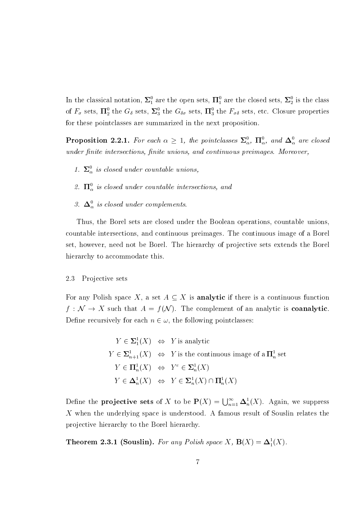In the classical notation,  $\Sigma_1^0$  are the open sets,  $\Pi_1^0$  are the closed sets,  $\Sigma_2^0$  is the class of  $F_{\sigma}$  sets,  $\Pi_2^0$  the  $G_{\delta}$  sets,  $\Sigma_3^0$  the  $G_{\delta\sigma}$  sets,  $\Pi_3^0$  the  $F_{\sigma\delta}$  sets, etc. Closure properties for these pointclasses are summarized in the next proposition.

**Proposition 2.2.1.** For each  $\alpha \geq 1$ , the pointclasses  $\Sigma_{\alpha}^{0}$ ,  $\Pi_{\alpha}^{0}$ , and  $\Delta_{\alpha}^{0}$  are closed under finite intersections, finite unions, and continuous preimages. Moreover,

- 1.  $\Sigma^0_\alpha$  is closed under countable unions,
- 2.  $\Pi_{\alpha}^{0}$  is closed under countable intersections, and
- 3.  $\Delta_{\alpha}^{0}$  is closed under complements.

Thus, the Borel sets are closed under the Boolean operations, countable unions. countable intersections, and continuous preimages. The continuous image of a Borel set, however, need not be Borel. The hierarchy of projective sets extends the Borel hierarchy to accommodate this.

#### 2.3 Projective sets

For any Polish space X, a set  $A \subseteq X$  is **analytic** if there is a continuous function  $f: \mathcal{N} \to X$  such that  $A = f(\mathcal{N})$ . The complement of an analytic is **coanalytic**. Define recursively for each  $n \in \omega$ , the following pointclasses:

$$
Y \in \Sigma_1^1(X) \iff Y \text{ is analytic}
$$
  
\n
$$
Y \in \Sigma_{n+1}^1(X) \iff Y \text{ is the continuous image of a } \Pi_n^1 \text{ set}
$$
  
\n
$$
Y \in \Pi_n^1(X) \iff Y^c \in \Sigma_n^1(X)
$$
  
\n
$$
Y \in \Delta_n^1(X) \iff Y \in \Sigma_n^1(X) \cap \Pi_n^1(X)
$$

Define the **projective sets** of X to be  $P(X) = \bigcup_{n=1}^{\infty} \Delta_n^1(X)$ . Again, we suppress X when the underlying space is understood. A famous result of Souslin relates the projective hierarchy to the Borel hierarchy.

**Theorem 2.3.1 (Souslin).** For any Polish space X,  $B(X) = \Delta_1^1(X)$ .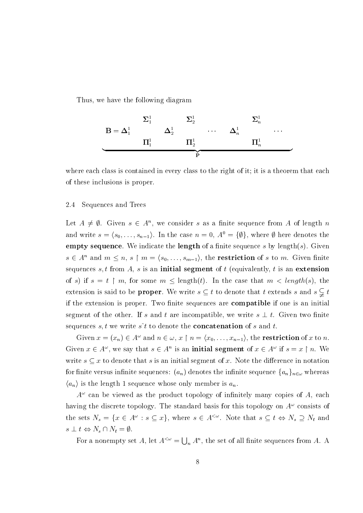Thus, we have the following diagram



where each class is contained in every class to the right of it; it is a theorem that each of these inclusions is proper.

#### 2.4 Sequences and Trees

Let  $A \neq \emptyset$ . Given  $s \in A^n$ , we consider s as a finite sequence from A of length n and write  $s = \langle s_0, \ldots, s_{n-1} \rangle$ . In the case  $n = 0, A^0 = {\emptyset}$ , where  $\emptyset$  here denotes the **empty sequence**. We indicate the **length** of a finite sequence s by length(s). Given  $s \in A^n$  and  $m \leq n$ ,  $s \restriction m = \langle s_0, \ldots, s_{m-1} \rangle$ , the **restriction** of s to m. Given finite sequences  $s, t$  from  $A$ ,  $s$  is an initial segment of  $t$  (equivalently,  $t$  is an extension of s) if  $s = t \mid m$ , for some  $m \leq \text{length}(t)$ . In the case that  $m < \text{length}(s)$ , the extension is said to be **proper**. We write  $s \subseteq t$  to denote that t extends s and  $s \subsetneq t$ if the extension is proper. Two finite sequences are **compatible** if one is an initial segment of the other. If s and t are incompatible, we write  $s \perp t$ . Given two finite sequences  $s, t$  we write  $s<sup>2</sup>t$  to denote the **concatenation** of s and t.

Given  $x = (x_n) \in A^{\omega}$  and  $n \in \omega$ ,  $x \upharpoonright n = \langle x_0, \ldots, x_{n-1} \rangle$ , the **restriction** of x to n. Given  $x \in A^{\omega}$ , we say that  $s \in A^n$  is an **initial segment** of  $x \in A^{\omega}$  if  $s = x \restriction n$ . We write  $s \subseteq x$  to denote that s is an initial segment of x. Note the difference in notation for finite versus infinite sequences:  $(a_n)$  denotes the infinite sequence  $\{a_n\}_{n\in\omega}$  whereas  $\langle a_n \rangle$  is the length 1 sequence whose only member is  $a_n$ .

 $A^{\omega}$  can be viewed as the product topology of infinitely many copies of A, each having the discrete topology. The standard basis for this topology on  $A^{\omega}$  consists of the sets  $N_s = \{x \in A^{\omega} : s \subseteq x\}$ , where  $s \in A^{\langle \omega \rangle}$ . Note that  $s \subseteq t \Leftrightarrow N_s \supseteq N_t$  and  $s \perp t \Leftrightarrow N_s \cap N_t = \emptyset.$ 

For a nonempty set A, let  $A^{\langle \omega \rangle} = \bigcup_n A^n$ , the set of all finite sequences from A. A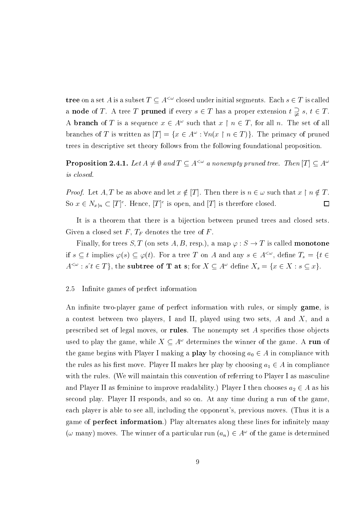**tree** on a set A is a subset  $T \subseteq A^{\leq \omega}$  closed under initial segments. Each  $s \in T$  is called a node of T. A tree T pruned if every  $s \in T$  has a proper extension  $t \supsetneq s$ ,  $t \in T$ . A **branch** of T is a sequence  $x \in A^{\omega}$  such that  $x \upharpoonright n \in T$ , for all n. The set of all branches of T is written as  $[T] = \{x \in A^{\omega} : \forall n(x \upharpoonright n \in T)\}\.$  The primacy of pruned trees in descriptive set theory follows from the following foundational proposition.

**Proposition 2.4.1.** Let  $A \neq \emptyset$  and  $T \subseteq A^{<\omega}$  a nonempty pruned tree. Then  $[T] \subseteq A^{\omega}$ is closed.

*Proof.* Let A, T be as above and let  $x \notin [T]$ . Then there is  $n \in \omega$  such that  $x \restriction n \notin T$ . So  $x \in N_{x\upharpoonright n} \subset [T]^c$ . Hence,  $[T]^c$  is open, and  $[T]$  is therefore closed.  $\Box$ 

It is a theorem that there is a bijection between pruned trees and closed sets. Given a closed set F,  $T_F$  denotes the tree of F.

Finally, for trees S, T (on sets A, B, resp.), a map  $\varphi : S \to T$  is called **monotone** if  $s \subseteq t$  implies  $\varphi(s) \subseteq \varphi(t)$ . For a tree T on A and any  $s \in A^{\langle \omega \rangle}$ , define  $T_s = \{t \in$  $A^{<\omega}: s^{\cdot}t \in T$ , the subtree of **T** at s; for  $X \subseteq A^{\omega}$  define  $X_s = \{x \in X : s \subseteq x\}.$ 

#### 2.5 Infinite games of perfect information

An infinite two-player game of perfect information with rules, or simply game, is a contest between two players, I and II, played using two sets,  $A$  and  $X$ , and a prescribed set of legal moves, or rules. The nonempty set  $A$  specifies those objects used to play the game, while  $X \subseteq A^{\omega}$  determines the winner of the game. A run of the game begins with Player I making a **play** by choosing  $a_0 \in A$  in compliance with the rules as his first move. Player II makes her play by choosing  $a_1 \in A$  in compliance with the rules. (We will maintain this convention of referring to Player I as masculine and Player II as feminine to improve readability.) Player I then chooses  $a_2 \in A$  as his second play. Player II responds, and so on. At any time during a run of the game, each player is able to see all, including the opponent's, previous moves. (Thus it is a game of **perfect information**.) Play alternates along these lines for infinitely many  $(\omega$  many) moves. The winner of a particular run  $(a_n) \in A^{\omega}$  of the game is determined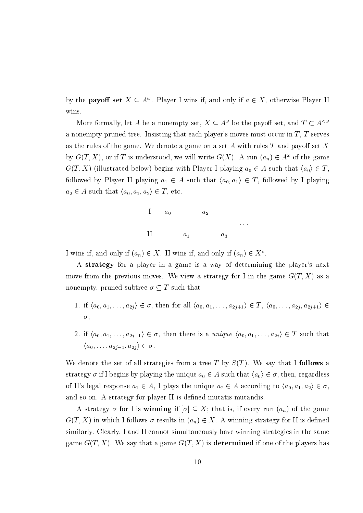by the **payoff set**  $X \subseteq A^{\omega}$ . Player I wins if, and only if  $a \in X$ , otherwise Player II wins.

More formally, let  $A$  be a nonempty set,  $X \subseteq A^\omega$  be the payoff set, and  $T \subset A^{<\omega}$ a nonempty pruned tree. Insisting that each player's moves must occur in  $T$ ,  $T$  serves as the rules of the game. We denote a game on a set  $A$  with rules  $T$  and payoff set  $X$ by  $G(T, X)$ , or if T is understood, we will write  $G(X)$ . A run  $(a_n) \in A^{\omega}$  of the game  $G(T, X)$  (illustrated below) begins with Player I playing  $a_0 \in A$  such that  $\langle a_0 \rangle \in T$ , followed by Player II playing  $a_1 \in A$  such that  $\langle a_0, a_1 \rangle \in T$ , followed by I playing  $a_2 \in A$  such that  $\langle a_0, a_1, a_2 \rangle \in T$ , etc.



I wins if, and only if  $(a_n) \in X$ . II wins if, and only if  $(a_n) \in X^c$ .

A strategy for a player in a game is a way of determining the player's next move from the previous moves. We view a strategy for I in the game  $G(T, X)$  as a nonempty, pruned subtree  $\sigma \subseteq T$  such that

- 1. if  $\langle a_0, a_1, \ldots, a_{2j} \rangle \in \sigma$ , then for all  $\langle a_0, a_1, \ldots, a_{2j+1} \rangle \in T$ ,  $\langle a_0, \ldots, a_{2j}, a_{2j+1} \rangle \in$  $\sigma;$
- 2. if  $\langle a_0, a_1, \ldots, a_{2j-1} \rangle \in \sigma$ , then there is a *unique*  $\langle a_0, a_1, \ldots, a_{2j} \rangle \in T$  such that  $\langle a_0,\ldots,a_{2i-1},a_{2i}\rangle\in\sigma.$

We denote the set of all strategies from a tree T by  $S(T)$ . We say that I follows a strategy  $\sigma$  if I begins by playing the unique  $a_0 \in A$  such that  $\langle a_0 \rangle \in \sigma$ , then, regardless of II's legal response  $a_1 \in A$ , I plays the unique  $a_2 \in A$  according to  $\langle a_0, a_1, a_2 \rangle \in \sigma$ , and so on. A strategy for player II is defined mutatis mutandis.

A strategy  $\sigma$  for I is **winning** if  $[\sigma] \subseteq X$ ; that is, if every run  $(a_n)$  of the game  $G(T, X)$  in which I follows  $\sigma$  results in  $(a_n) \in X$ . A winning strategy for II is defined similarly. Clearly, I and II cannot simultaneously have winning strategies in the same game  $G(T, X)$ . We say that a game  $G(T, X)$  is **determined** if one of the players has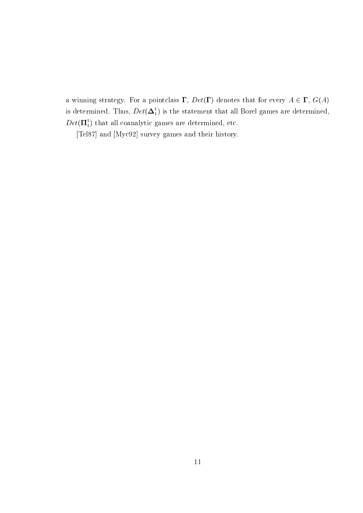a winning strategy. For a pointclass  $\Gamma$ ,  $Det(\Gamma)$  denotes that for every  $A \in \Gamma$ ,  $G(A)$ is determined. Thus,  $Det(\mathbf{\Delta}_1^1)$  is the statement that all Borel games are determined,  $Det(\boldsymbol{\Pi}^1_1)$  that all coanalytic games are determined, etc.

[Tel87] and [Myc92] survey games and their history.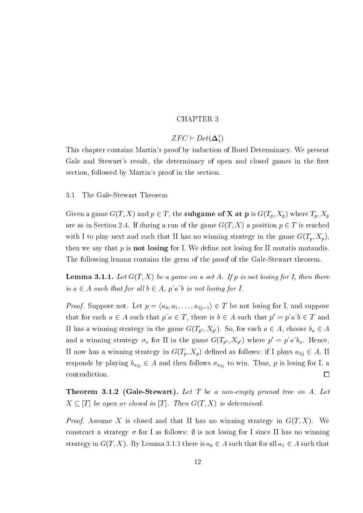### **CHAPTER 3**

### $ZFC \vdash Det(\mathbf{\Delta}^1_1)$

This chapter contains Martin's proof by induction of Borel Determinacy. We present Gale and Stewart's result, the determinacy of open and closed games in the first section, followed by Martin's proof in the section.

 $3.1$ The Gale-Stewart Theorem

Given a game  $G(T, X)$  and  $p \in T$ , the **subgame of X at p** is  $G(T_p, X_p)$  where  $T_p, X_p$ are as in Section 2.4. If during a run of the game  $G(T, X)$  a position  $p \in T$  is reached with I to play next and such that II has no winning strategy in the game  $G(T_p, X_p)$ . then we say that  $p$  is **not** losing for I. We define not losing for II mutatis mutandis. The following lemma contains the germ of the proof of the Gale-Stewart theorem.

**Lemma 3.1.1.** Let  $G(T, X)$  be a game on a set A. If p is not losing for I, then there is  $a \in A$  such that for all  $b \in A$ ,  $p \hat{a} \hat{b}$  is not losing for I.

*Proof.* Suppose not. Let  $p = \langle a_0, a_1, \ldots, a_{2j-1} \rangle \in T$  be not losing for I, and suppose that for each  $a \in A$  such that  $p \hat{\ } a \in T$ , there is  $b \in A$  such that  $p' = p \hat{\ } a \hat{\ } b \in T$  and II has a winning strategy in the game  $G(T_{p'}, X_{p'})$ . So, for each  $a \in A$ , choose  $b_a \in A$ and a winning strategy  $\sigma_a$  for II in the game  $G(T_{p'}, X_{p'})$  where  $p' = p\hat{a} \hat{b}_a$ . Hence, II now has a winning strategy in  $G(T_p, X_p)$  defined as follows: if I plays  $a_{2i} \in A$ , II responds by playing  $b_{a_{2j}} \in A$  and then follows  $\sigma_{a_{2j}}$  to win. Thus, p is losing for I, a contradiction.  $\Box$ 

**Theorem 3.1.2 (Gale-Stewart).** Let T be a non-empty pruned tree on  $A$ . Let  $X \subseteq [T]$  be open or closed in [T]. Then  $G(T, X)$  is determined.

*Proof.* Assume X is closed and that II has no winning strategy in  $G(T, X)$ . We construct a strategy  $\sigma$  for I as follows:  $\emptyset$  is not losing for I since II has no winning strategy in  $G(T, X)$ . By Lemma 3.1.1 there is  $a_0 \in A$  such that for all  $a_1 \in A$  such that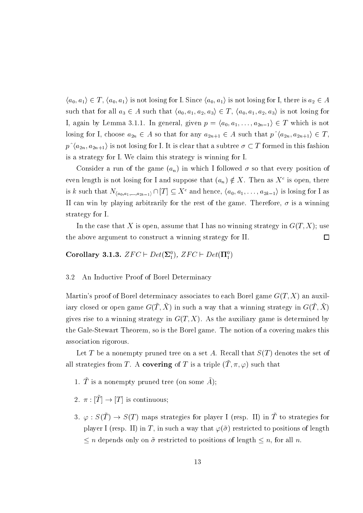$\langle a_0, a_1 \rangle \in T$ ,  $\langle a_0, a_1 \rangle$  is not losing for I. Since  $\langle a_0, a_1 \rangle$  is not losing for I, there is  $a_2 \in A$ such that for all  $a_3 \in A$  such that  $\langle a_0, a_1, a_2, a_3 \rangle \in T$ ,  $\langle a_0, a_1, a_2, a_3 \rangle$  is not losing for I, again by Lemma 3.1.1. In general, given  $p = \langle a_0, a_1, \ldots, a_{2n-1} \rangle \in T$  which is not losing for I, choose  $a_{2n} \in A$  so that for any  $a_{2n+1} \in A$  such that  $p \hat{a}_{2n}, a_{2n+1} \in T$ ,  $p^{\wedge}(a_{2n}, a_{2n+1})$  is not losing for I. It is clear that a subtree  $\sigma \subset T$  formed in this fashion is a strategy for I. We claim this strategy is winning for I.

Consider a run of the game  $(a_n)$  in which I followed  $\sigma$  so that every position of even length is not losing for I and suppose that  $(a_n) \notin X$ . Then as  $X^c$  is open, there is k such that  $N_{\langle a_0,a_1,...,a_{2k-1}\rangle} \cap [T] \subseteq X^c$  and hence,  $\langle a_0,a_1,...,a_{2k-1}\rangle$  is losing for I as II can win by playing arbitrarily for the rest of the game. Therefore,  $\sigma$  is a winning strategy for I.

In the case that X is open, assume that I has no winning strategy in  $G(T, X)$ ; use the above argument to construct a winning strategy for II.  $\Box$ 

Corollary 3.1.3.  $ZFC \vdash Det(\Sigma_1^0), ZFC \vdash Det(\Pi_1^0)$ 

#### $3.2$ An Inductive Proof of Borel Determinacy

Martin's proof of Borel determinacy associates to each Borel game  $G(T, X)$  an auxiliary closed or open game  $G(\tilde{T}, \tilde{X})$  in such a way that a winning strategy in  $G(\tilde{T}, \tilde{X})$ gives rise to a winning strategy in  $G(T, X)$ . As the auxiliary game is determined by the Gale-Stewart Theorem, so is the Borel game. The notion of a covering makes this association rigorous.

Let T be a nonempty pruned tree on a set A. Recall that  $S(T)$  denotes the set of all strategies from T. A covering of T is a triple  $(\tilde{T}, \pi, \varphi)$  such that

- 1.  $\tilde{T}$  is a nonempty pruned tree (on some  $\tilde{A}$ );
- 2.  $\pi : [\tilde{T}] \to [T]$  is continuous;
- 3.  $\varphi: S(\tilde{T}) \to S(T)$  maps strategies for player I (resp. II) in  $\tilde{T}$  to strategies for player I (resp. II) in T, in such a way that  $\varphi(\tilde{\sigma})$  restricted to positions of length  $\leq n$  depends only on  $\tilde{\sigma}$  restricted to positions of length  $\leq n$ , for all n.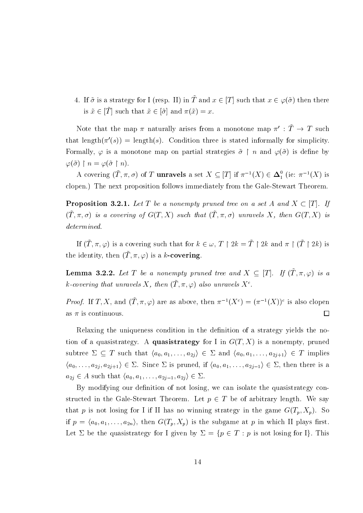4. If  $\tilde{\sigma}$  is a strategy for I (resp. II) in  $\tilde{T}$  and  $x \in [T]$  such that  $x \in \varphi(\tilde{\sigma})$  then there is  $\tilde{x} \in [\tilde{T}]$  such that  $\tilde{x} \in [\tilde{\sigma}]$  and  $\pi(\tilde{x}) = x$ .

Note that the map  $\pi$  naturally arises from a monotone map  $\pi' : \tilde{T} \to T$  such that length $(\pi'(s)) = \text{length}(s)$ . Condition three is stated informally for simplicity. Formally,  $\varphi$  is a monotone map on partial strategies  $\tilde{\sigma} \restriction n$  and  $\varphi(\tilde{\sigma})$  is define by  $\varphi(\tilde{\sigma}) \restriction n = \varphi(\tilde{\sigma} \restriction n).$ 

A covering  $(\tilde{T}, \pi, \sigma)$  of T **unravels** a set  $X \subseteq [T]$  if  $\pi^{-1}(X) \in \Delta_1^0$  (ie:  $\pi^{-1}(X)$  is clopen.) The next proposition follows immediately from the Gale-Stewart Theorem.

**Proposition 3.2.1.** Let T be a nonempty pruned tree on a set A and  $X \subset [T]$ . If  $(\tilde{T}, \pi, \sigma)$  is a covering of  $G(T, X)$  such that  $(\tilde{T}, \pi, \sigma)$  unravels X, then  $G(T, X)$  is  $determined.$ 

If  $(\tilde{T}, \pi, \varphi)$  is a covering such that for  $k \in \omega$ ,  $T \upharpoonright 2k = \tilde{T} \upharpoonright 2k$  and  $\pi \upharpoonright (\tilde{T} \upharpoonright 2k)$  is the identity, then  $(\tilde{T}, \pi, \varphi)$  is a k-covering.

**Lemma 3.2.2.** Let T be a nonempty pruned tree and  $X \subseteq [T]$ . If  $(\tilde{T}, \pi, \varphi)$  is a k-covering that unravels X, then  $(\tilde{T}, \pi, \varphi)$  also unravels  $X^c$ .

*Proof.* If T, X, and  $(\tilde{T}, \pi, \varphi)$  are as above, then  $\pi^{-1}(X^c) = (\pi^{-1}(X))^c$  is also clopen as  $\pi$  is continuous.  $\Box$ 

Relaxing the uniqueness condition in the definition of a strategy yields the notion of a quasistrategy. A quasistrategy for I in  $G(T, X)$  is a nonempty, pruned subtree  $\Sigma \subseteq T$  such that  $\langle a_0, a_1, \ldots, a_{2j} \rangle \in \Sigma$  and  $\langle a_0, a_1, \ldots, a_{2j+1} \rangle \in T$  implies  $\langle a_0,\ldots,a_{2j},a_{2j+1}\rangle\in\Sigma$ . Since  $\Sigma$  is pruned, if  $\langle a_0,a_1,\ldots,a_{2j-1}\rangle\in\Sigma$ , then there is a  $a_{2j} \in A$  such that  $\langle a_0, a_1, \ldots, a_{2j-1}, a_{2j} \rangle \in \Sigma$ .

By modifying our definition of not losing, we can isolate the quasistrategy constructed in the Gale-Stewart Theorem. Let  $p \in T$  be of arbitrary length. We say that p is not losing for I if II has no winning strategy in the game  $G(T_p, X_p)$ . So if  $p = \langle a_0, a_1, \ldots, a_{2n} \rangle$ , then  $G(T_p, X_p)$  is the subgame at p in which II plays first. Let  $\Sigma$  be the quasistrategy for I given by  $\Sigma = \{p \in T : p \text{ is not losing for I}\}\.$  This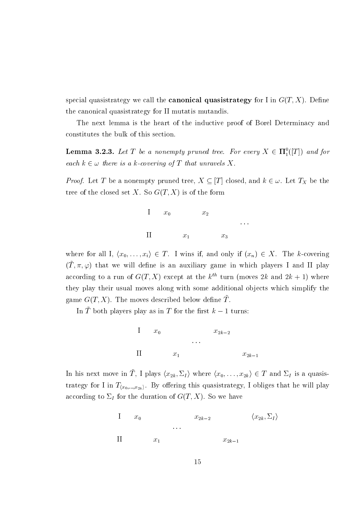special quasistrategy we call the **canonical quasistrategy** for I in  $G(T, X)$ . Define the canonical quasistrategy for II mutatis mutandis.

The next lemma is the heart of the inductive proof of Borel Determinacy and constitutes the bulk of this section.

**Lemma 3.2.3.** Let T be a nonempty pruned tree. For every  $X \in \Pi_1^0([T])$  and for each  $k \in \omega$  there is a k-covering of T that unravels X.

*Proof.* Let T be a nonempty pruned tree,  $X \subseteq [T]$  closed, and  $k \in \omega$ . Let  $T_X$  be the tree of the closed set X. So  $G(T, X)$  is of the form



where for all I,  $\langle x_0,\ldots,x_i\rangle \in T$ . I wins if, and only if  $(x_n) \in X$ . The k-covering  $(\tilde{T}, \pi, \varphi)$  that we will define is an auxiliary game in which players I and II play according to a run of  $G(T, X)$  except at the  $k^{th}$  turn (moves 2k and 2k + 1) where they play their usual moves along with some additional objects which simplify the game  $G(T, X)$ . The moves described below define  $\tilde{T}$ .

In  $\tilde{T}$  both players play as in T for the first  $k-1$  turns:



In his next move in  $\tilde{T}$ , I plays  $\langle x_{2k}, \Sigma_I \rangle$  where  $\langle x_0, \ldots, x_{2k} \rangle \in T$  and  $\Sigma_I$  is a quasistrategy for I in  $T_{(x_0,...,x_{2k})}$ . By offering this quasistrategy, I obliges that he will play according to  $\Sigma_I$  for the duration of  $G(T, X)$ . So we have

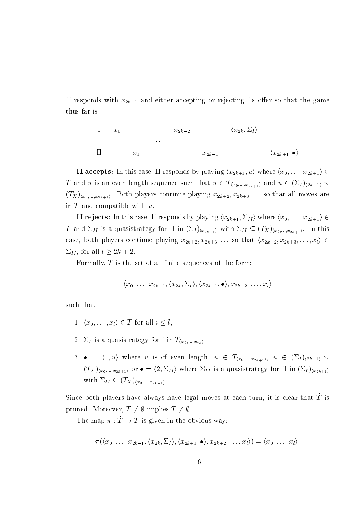II responds with  $x_{2k+1}$  and either accepting or rejecting I's offer so that the game thus far is

I 
$$
x_0
$$
  $x_{2k-2}$   $\langle x_{2k}, \Sigma_I \rangle$   
...  
II  $x_1$   $x_{2k-1}$   $\langle x_{2k+1}, \bullet \rangle$ 

**II accepts:** In this case, II responds by playing  $\langle x_{2k+1}, u \rangle$  where  $\langle x_0, \ldots, x_{2k+1} \rangle \in$ T and u is an even length sequence such that  $u \in T_{(x_0,...,x_{2k+1})}$  and  $u \in (\Sigma_I)_{(2k+1)}$  $(T_X)_{\langle x_0,\ldots,x_{2k+1}\rangle}$ . Both players continue playing  $x_{2k+2}, x_{2k+3}, \ldots$  so that all moves are in  $T$  and compatible with  $u$ .

**II rejects:** In this case, II responds by playing  $\langle x_{2k+1}, \Sigma_{II} \rangle$  where  $\langle x_0, \ldots, x_{2k+1} \rangle \in$ T and  $\Sigma_{II}$  is a quasistrategy for II in  $(\Sigma_I)_{\langle x_{2k+1}\rangle}$  with  $\Sigma_{II} \subseteq (T_X)_{\langle x_0,...,x_{2k+1}\rangle}$ . In this case, both players continue playing  $x_{2k+2}, x_{2k+3}, \ldots$  so that  $\langle x_{2k+2}, x_{2k+3}, \ldots, x_l \rangle \in$  $\Sigma_{II}$ , for all  $l \geq 2k+2$ .

Formally,  $\tilde{T}$  is the set of all finite sequences of the form:

$$
\langle x_0,\ldots,x_{2k-1},\langle x_{2k},\Sigma_I\rangle,\langle x_{2k+1},\bullet\rangle,x_{2k+2},\ldots,x_l\rangle
$$

such that

- 1.  $\langle x_0,\ldots,x_i\rangle \in T$  for all  $i \leq l$ ,
- 2.  $\Sigma_I$  is a quasistrategy for I in  $T_{(x_0,...,x_{2k})_1}$
- 3.  $\bullet = \langle 1, u \rangle$  where u is of even length,  $u \in T_{\langle x_0,...,x_{2k+1} \rangle}$ ,  $u \in (\Sigma_I)_{\langle 2k+1 \rangle}$  $(T_X)_{\langle x_0,...,x_{2k+1}\rangle}$  or  $\bullet = \langle 2,\Sigma_{II}\rangle$  where  $\Sigma_{II}$  is a quasistrategy for II in  $(\Sigma_I)_{\langle x_{2k+1}\rangle}$ with  $\Sigma_{II} \subseteq (T_X)_{\langle x_0,...,x_{2k+1} \rangle}$ .

Since both players have always have legal moves at each turn, it is clear that  $\tilde{T}$  is pruned. Moreover,  $T \neq \emptyset$  implies  $T \neq \emptyset$ .

The map  $\pi : \tilde{T} \to T$  is given in the obvious way:

$$
\pi(\langle x_0,\ldots,x_{2k-1},\langle x_{2k},\Sigma_I\rangle,\langle x_{2k+1},\bullet\rangle,x_{2k+2},\ldots,x_l\rangle)=\langle x_0,\ldots,x_l\rangle.
$$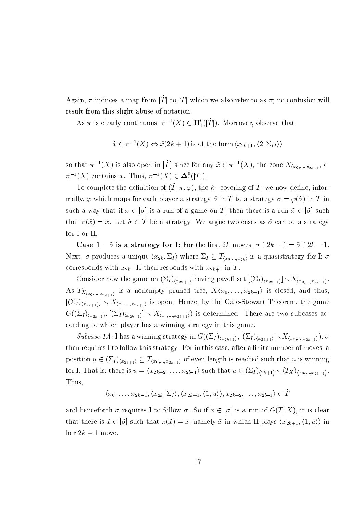Again,  $\pi$  induces a map from  $[\tilde{T}]$  to  $[T]$  which we also refer to as  $\pi$ ; no confusion will result from this slight abuse of notation.

As  $\pi$  is clearly continuous,  $\pi^{-1}(X) \in \Pi^0_1([\tilde{T}])$ . Moreover, observe that

$$
\tilde{x} \in \pi^{-1}(X) \Leftrightarrow \tilde{x}(2k+1)
$$
 is of the form  $\langle x_{2k+1}, \langle 2, \Sigma_{II} \rangle \rangle$ 

so that  $\pi^{-1}(X)$  is also open in  $[\tilde{T}]$  since for any  $\tilde{x} \in \pi^{-1}(X)$ , the cone  $N_{\langle x_0,...,x_{2k+1}\rangle} \subset$  $\pi^{-1}(X)$  contains x. Thus,  $\pi^{-1}(X) \in \Delta_1^0([\tilde{T}]).$ 

To complete the definition of  $(\tilde{T}, \pi, \varphi)$ , the k-covering of T, we now define, informally,  $\varphi$  which maps for each player a strategy  $\tilde{\sigma}$  in  $\tilde{T}$  to a strategy  $\sigma = \varphi(\tilde{\sigma})$  in T in such a way that if  $x \in [\sigma]$  is a run of a game on T, then there is a run  $\tilde{x} \in [\tilde{\sigma}]$  such that  $\pi(\tilde{x}) = x$ . Let  $\tilde{\sigma} \subset \tilde{T}$  be a strategy. We argue two cases as  $\tilde{\sigma}$  can be a strategy for I or II.

Case  $1 - \tilde{\sigma}$  is a strategy for I: For the first 2k moves,  $\sigma \restriction 2k - 1 = \tilde{\sigma} \restriction 2k - 1$ . Next,  $\tilde{\sigma}$  produces a unique  $\langle x_{2k}, \Sigma_I \rangle$  where  $\Sigma_I \subseteq T_{\langle x_0,...,x_{2k} \rangle}$  is a quasistrategy for I;  $\sigma$ corresponds with  $x_{2k}$ . II then responds with  $x_{2k+1}$  in T.

Consider now the game on  $(\Sigma_I)_{\langle x_{2k+1}\rangle}$  having payoff set  $[(\Sigma_I)_{\langle x_{2k+1}\rangle}] \setminus X_{\langle x_0,...,x_{2k+1}\rangle}$ . As  $T_{X_{(x_0,\ldots,x_{2k+1})}}$  is a nonempty pruned tree,  $X\langle x_0,\ldots,x_{2k+1}\rangle$  is closed, and thus,  $[(\Sigma_I)_{\langle x_{2k+1}\rangle}] \setminus X_{\langle x_0,...,x_{2k+1}\rangle}$  is open. Hence, by the Gale-Stewart Theorem, the game  $G((\Sigma_I)_{\langle x_{2k+1}\rangle}, [(\Sigma_I)_{\langle x_{2k+1}\rangle}] \setminus X_{\langle x_0,\dots,x_{2k+1}\rangle})$  is determined. There are two subcases according to which player has a winning strategy in this game.

*Subcase 1A:* I has a winning strategy in  $G((\Sigma_I)_{\langle x_{2k+1}\rangle}, [(\Sigma_I)_{\langle x_{2k+1}\rangle}] \setminus X_{\langle x_0,...,x_{2k+1}\rangle}).$ then requires I to follow this strategy. For in this case, after a finite number of moves, a position  $u \in (\Sigma_I)_{\langle x_{2k+1} \rangle} \subseteq T_{\langle x_0,...,x_{2k+1} \rangle}$  of even length is reached such that u is winning for I. That is, there is  $u = \langle x_{2k+2}, \ldots, x_{2l-1} \rangle$  such that  $u \in (\Sigma_I)_{\langle 2k+1 \rangle} \setminus \langle T_X \rangle_{\langle x_0, \ldots, x_{2k+1} \rangle}$ . Thus.

$$
\langle x_0,\ldots,x_{2k-1},\langle x_{2k},\Sigma_I\rangle,\langle x_{2k+1},\langle 1,u\rangle\rangle,x_{2k+2},\ldots,x_{2l-1}\rangle\in\tilde{T}
$$

and henceforth  $\sigma$  requires I to follow  $\tilde{\sigma}$ . So if  $x \in [\sigma]$  is a run of  $G(T, X)$ , it is clear that there is  $\tilde{x} \in [\tilde{\sigma}]$  such that  $\pi(\tilde{x}) = x$ , namely  $\tilde{x}$  in which II plays  $\langle x_{2k+1}, \langle 1, u \rangle \rangle$  in her  $2k + 1$  move.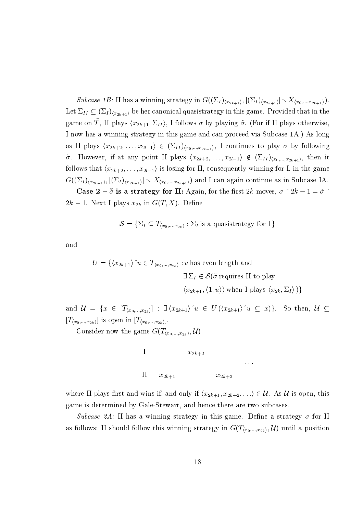Subcase 1B: II has a winning strategy in  $G((\Sigma_I)_{\langle x_{2k+1}\rangle}, [(\Sigma_I)_{\langle x_{2k+1}\rangle}] \setminus X_{\langle x_0,\dots,x_{2k+1}\rangle}).$ Let  $\Sigma_{II} \subseteq (\Sigma_I)_{\langle x_{2k+1} \rangle}$  be her canonical quasistrategy in this game. Provided that in the game on  $\tilde{T}$ , II plays  $\langle x_{2k+1}, \Sigma_{II} \rangle$ , I follows  $\sigma$  by playing  $\tilde{\sigma}$ . (For if II plays otherwise, I now has a winning strategy in this game and can proceed via Subcase 1A.) As long as II plays  $\langle x_{2k+2},\ldots,x_{2l-1}\rangle \in (\Sigma_{II})_{\langle x_0,\ldots,x_{2k-1}\rangle}$ , I continues to play  $\sigma$  by following  $\tilde{\sigma}$ . However, if at any point II plays  $\langle x_{2k+2},\ldots,x_{2l-1}\rangle \notin (\Sigma_{II})_{\langle x_0,\ldots,x_{2k+1}\rangle}$ , then it follows that  $\langle x_{2k+2}, \ldots, x_{2l-1} \rangle$  is losing for II, consequently winning for I, in the game  $G((\Sigma_I)_{\langle x_{2k+1}\rangle}, [(\Sigma_I)_{\langle x_{2k+1}\rangle}] \setminus X_{\langle x_0,\ldots,x_{2k+1}\rangle})$  and I can again continue as in Subcase IA.

Case  $2 - \tilde{\sigma}$  is a strategy for II: Again, for the first 2k moves,  $\sigma \upharpoonright 2k - 1 = \tilde{\sigma} \upharpoonright$  $2k-1$ . Next I plays  $x_{2k}$  in  $G(T, X)$ . Define

$$
\mathcal{S} = \{ \Sigma_I \subseteq T_{\langle x_0, \dots, x_{2k} \rangle} : \Sigma_I \text{ is a quasistrategy for } I \}
$$

and

$$
U = \{ \langle x_{2k+1} \rangle \hat{u} \in T_{\langle x_0, ..., x_{2k} \rangle} : u \text{ has even length and}
$$

$$
\exists \Sigma_I \in \mathcal{S}(\tilde{\sigma} \text{ requires II to play}
$$

$$
\langle x_{2k+1}, \langle 1, u \rangle \rangle \text{ when I plays } \langle x_{2k}, \Sigma_I \rangle) \}
$$

and  $\mathcal{U} = \{x \in [T_{(x_0,\ldots,x_{2k})}] : \exists \langle x_{2k+1} \rangle \hat{u} \in U(\langle x_{2k+1} \rangle \hat{u} \subseteq x)\}\.$  So then,  $\mathcal{U} \subseteq$  $[T_{\langle x_0,...,x_{2k}\rangle}]$  is open in  $[T_{\langle x_0,...,x_{2k}\rangle}]$ .

Consider now the game  $G(T_{\langle x_0,...,x_{2k}\rangle},\mathcal{U})$ 



where II plays first and wins if, and only if  $\langle x_{2k+1}, x_{2k+2}, \ldots \rangle \in \mathcal{U}$ . As  $\mathcal{U}$  is open, this game is determined by Gale-Stewart, and hence there are two subcases.

Subcase 2A: II has a winning strategy in this game. Define a strategy  $\sigma$  for II as follows: II should follow this winning strategy in  $G(T_{\langle x_0,...,x_{2k}\rangle},\mathcal{U})$  until a position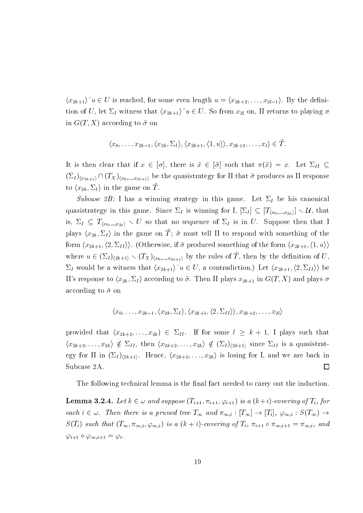$\langle x_{2k+1}\rangle^{\wedge}u \in U$  is reached, for some even length  $u = \langle x_{2k+2}, \ldots, x_{2l-1}\rangle$ . By the definition of U, let  $\Sigma_I$  witness that  $\langle x_{2k+1} \rangle u \in U$ . So from  $x_{2l}$  on, II returns to playing  $\sigma$ in  $G(T, X)$  according to  $\tilde{\sigma}$  on

$$
\langle x_0,\ldots,x_{2k-1},\langle x_{2k},\Sigma_I\rangle,\langle x_{2k+1},\langle 1,u\rangle\rangle,x_{2k+2},\ldots,x_l\rangle\in\tilde{T}.
$$

It is then clear that if  $x \in [\sigma]$ , there is  $\tilde{x} \in [\tilde{\sigma}]$  such that  $\pi(\tilde{x}) = x$ . Let  $\Sigma_{II} \subseteq$  $(\Sigma_I)_{\langle x_{2k+1}\rangle} \cap (T_X)_{\langle x_0,\ldots,x_{2k+1}\rangle}$  be the quasistrategy for II that  $\tilde{\sigma}$  produces as II response to  $\langle x_{2k}, \Sigma_I \rangle$  in the game on T.

Subcase 2B: I has a winning strategy in this game. Let  $\Sigma_I$  be his canonical quasistrategy in this game. Since  $\Sigma_I$  is winning for I,  $[\Sigma_I] \subseteq [T_{(x_0,...,x_{2k})}] \setminus \mathcal{U}$ , that is,  $\Sigma_I \subseteq T_{(x_0,...,x_{2k})} \setminus U$  so that no sequence of  $\Sigma_I$  is in U. Suppose then that I plays  $\langle x_{2k}, \Sigma_I \rangle$  in the game on  $\tilde{T}$ ;  $\tilde{\sigma}$  must tell II to respond with something of the form  $\langle x_{2k+1}, \langle 2, \Sigma_{II} \rangle \rangle$ . (Otherwise, if  $\tilde{\sigma}$  produced something of the form  $\langle x_{2k+1}, \langle 1, u \rangle \rangle$ where  $u \in (\Sigma_I)_{\langle 2k+1\rangle} \setminus (T_X)_{\langle x_0,...,x_{2k+1}\rangle}$  by the rules of  $\tilde{T}$ , then by the definition of U,  $\Sigma_I$  would be a witness that  $\langle x_{2k+1} \rangle u \in U$ , a contradiction.) Let  $\langle x_{2k+1}, \langle 2, \Sigma_{II} \rangle \rangle$  be II's response to  $\langle x_{2k}, \Sigma_I \rangle$  according to  $\tilde{\sigma}$ . Then II plays  $x_{2k+1}$  in  $G(T, X)$  and plays  $\sigma$ according to  $\tilde{\sigma}$  on

$$
\langle x_0,\ldots,x_{2k-1},\langle x_{2k},\Sigma_I\rangle,\langle x_{2k+1},\langle 2,\Sigma_{II}\rangle\rangle,x_{2k+2},\ldots,x_{2l}\rangle
$$

provided that  $(x_{2k+2},...,x_{2k}) \in \Sigma_{II}$ . If for some  $l \geq k+1$ , I plays such that  $\langle x_{2k+2},\ldots,x_{2k}\rangle \notin \Sigma_{II}$ , then  $\langle x_{2k+2},\ldots,x_{2k}\rangle \notin (\Sigma_I)_{\langle 2k+1\rangle}$  since  $\Sigma_{II}$  is a quasistrategy for II in  $(\Sigma_I)_{(2k+1)}$ . Hence,  $(x_{2k+2},...,x_{2k})$  is losing for I, and we are back in Subcase 2A.  $\Box$ 

The following technical lemma is the final fact needed to carry out the induction.

**Lemma 3.2.4.** Let  $k \in \omega$  and suppose  $(T_{i+1}, \pi_{i+1}, \varphi_{i+1})$  is a  $(k+i)$ -covering of  $T_i$ , for each  $i \in \omega$ . Then there is a pruned tree  $T_{\infty}$  and  $\pi_{\infty,i} : [T_{\infty}] \to [T_i], \varphi_{\infty,i} : S(T_{\infty}) \to$  $S(T_i)$  such that  $(T_{\infty}, \pi_{\infty,i}, \varphi_{\infty,i})$  is a  $(k + i)$ -covering of  $T_i$ ,  $\pi_{i+1} \circ \pi_{\infty,i+1} = \pi_{\infty,i}$ , and  $\varphi_{i+1} \circ \varphi_{\infty, i+1} = \varphi_i.$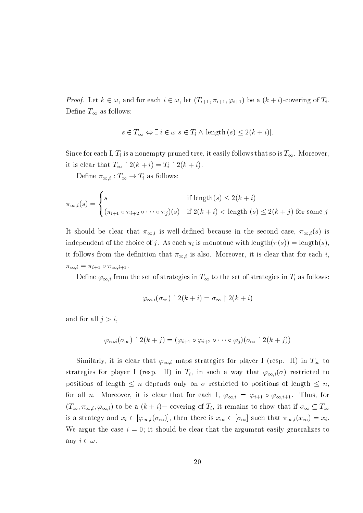*Proof.* Let  $k \in \omega$ , and for each  $i \in \omega$ , let  $(T_{i+1}, \pi_{i+1}, \varphi_{i+1})$  be a  $(k+i)$ -covering of  $T_i$ . Define  $T_{\infty}$  as follows:

$$
s \in T_{\infty} \Leftrightarrow \exists i \in \omega[s \in T_i \wedge \text{length}(s) \le 2(k+i)]
$$

Since for each I,  $T_i$  is a nonempty pruned tree, it easily follows that so is  $T_\infty$ . Moreover, it is clear that  $T_{\infty} \restriction 2(k+i) = T_i \restriction 2(k+i)$ .

Define  $\pi_{\infty,i}: T_{\infty} \to T_i$  as follows:

$$
\pi_{\infty,i}(s) = \begin{cases}\ns & \text{if length}(s) \le 2(k+i) \\
(\pi_{i+1} \circ \pi_{i+2} \circ \cdots \circ \pi_j)(s) & \text{if } 2(k+i) < \text{length }(s) \le 2(k+j) \text{ for some } j\n\end{cases}
$$

It should be clear that  $\pi_{\infty,i}$  is well-defined because in the second case,  $\pi_{\infty,i}(s)$  is independent of the choice of j. As each  $\pi_i$  is monotone with length $(\pi(s)) = \text{length}(s)$ . it follows from the definition that  $\pi_{\infty,i}$  is also. Moreover, it is clear that for each i.  $\pi_{\infty,i} = \pi_{i+1} \circ \pi_{\infty,i+1}.$ 

Define  $\varphi_{\infty,i}$  from the set of strategies in  $T_{\infty}$  to the set of strategies in  $T_i$  as follows:

$$
\varphi_{\infty,i}(\sigma_{\infty}) \upharpoonright 2(k+i) = \sigma_{\infty} \upharpoonright 2(k+i)
$$

and for all  $j > i$ ,

$$
\varphi_{\infty,i}(\sigma_{\infty}) \upharpoonright 2(k+j) = (\varphi_{i+1} \circ \varphi_{i+2} \circ \cdots \circ \varphi_i)(\sigma_{\infty} \upharpoonright 2(k+j))
$$

Similarly, it is clear that  $\varphi_{\infty,i}$  maps strategies for player I (resp. II) in  $T_{\infty}$  to strategies for player I (resp. II) in  $T_i$ , in such a way that  $\varphi_{\infty,i}(\sigma)$  restricted to positions of length  $\leq n$  depends only on  $\sigma$  restricted to positions of length  $\leq n$ . for all *n*. Moreover, it is clear that for each I,  $\varphi_{\infty,i} = \varphi_{i+1} \circ \varphi_{\infty,i+1}$ . Thus, for  $(T_{\infty}, \pi_{\infty,i}, \varphi_{\infty,i})$  to be a  $(k + i)$  - covering of  $T_i$ , it remains to show that if  $\sigma_{\infty} \subseteq T_{\infty}$ is a strategy and  $x_i \in [\varphi_{\infty,i}(\sigma_{\infty})]$ , then there is  $x_{\infty} \in [\sigma_{\infty}]$  such that  $\pi_{\infty,i}(x_{\infty}) = x_i$ . We argue the case  $i = 0$ ; it should be clear that the argument easily generalizes to any  $i \in \omega$ .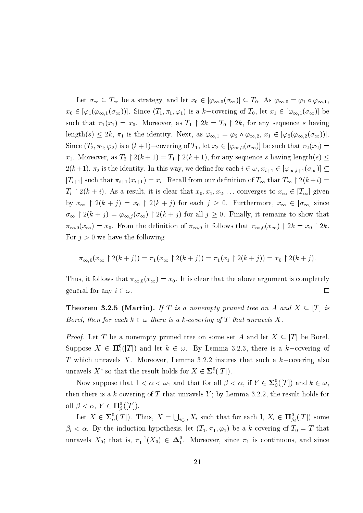Let  $\sigma_{\infty} \subseteq T_{\infty}$  be a strategy, and let  $x_0 \in [\varphi_{\infty,0}(\sigma_{\infty})] \subseteq T_0$ . As  $\varphi_{\infty,0} = \varphi_1 \circ \varphi_{\infty,1}$ .  $x_0 \in [\varphi_1(\varphi_{\infty,1}(\sigma_{\infty}))]$ . Since  $(T_1, \pi_1, \varphi_1)$  is a k-covering of  $T_0$ , let  $x_1 \in [\varphi_{\infty,1}(\sigma_{\infty})]$  be such that  $\pi_1(x_1) = x_0$ . Moreover, as  $T_1 \restriction 2k = T_0 \restriction 2k$ , for any sequence s having length(s)  $\leq 2k$ ,  $\pi_1$  is the identity. Next, as  $\varphi_{\infty,1} = \varphi_2 \circ \varphi_{\infty,2}$ ,  $x_1 \in [\varphi_2(\varphi_{\infty,2}(\sigma_{\infty}))].$ Since  $(T_2, \pi_2, \varphi_2)$  is a  $(k+1)$ -covering of  $T_1$ , let  $x_2 \in [\varphi_{\infty,2}(\sigma_{\infty})]$  be such that  $\pi_2(x_2)$  $x_1$ . Moreover, as  $T_2 \restriction 2(k+1) = T_1 \restriction 2(k+1)$ , for any sequence s having length $(s) \leq$  $2(k+1), \pi_2$  is the identity. In this way, we define for each  $i \in \omega$ ,  $x_{i+1} \in [\varphi_{\infty,i+1}(\sigma_{\infty})] \subseteq$  $[T_{i+1}]$  such that  $\pi_{i+1}(x_{i+1}) = x_i$ . Recall from our definition of  $T_{\infty}$  that  $T_{\infty} \restriction 2(k+i) =$  $T_i \restriction 2(k+i)$ . As a result, it is clear that  $x_0, x_1, x_2, \ldots$  converges to  $x_\infty \in [T_\infty]$  given by  $x_{\infty}$  |  $2(k + j) = x_0$  |  $2(k + j)$  for each  $j \ge 0$ . Furthermore,  $x_{\infty} \in [\sigma_{\infty}]$  since  $\sigma_{\infty}$  |  $2(k + j) = \varphi_{\infty, j}(\sigma_{\infty})$  |  $2(k + j)$  for all  $j \ge 0$ . Finally, it remains to show that  $\pi_{\infty,0}(x_\infty) = x_0$ . From the definition of  $\pi_{\infty,0}$  it follows that  $\pi_{\infty,0}(x_\infty) \upharpoonright 2k = x_0 \upharpoonright 2k$ . For  $j > 0$  we have the following

$$
\pi_{\infty,0}(x_\infty \upharpoonright 2(k+j)) = \pi_1(x_\infty \upharpoonright 2(k+j)) = \pi_1(x_1 \upharpoonright 2(k+j)) = x_0 \upharpoonright 2(k+j).
$$

Thus, it follows that  $\pi_{\infty,0}(x_\infty) = x_0$ . It is clear that the above argument is completely general for any  $i \in \omega$ .  $\Box$ 

**Theorem 3.2.5 (Martin).** If T is a nonempty pruned tree on A and  $X \subseteq [T]$  is Borel, then for each  $k \in \omega$  there is a k-covering of T that unravels X.

*Proof.* Let T be a nonempty pruned tree on some set A and let  $X \subseteq [T]$  be Borel. Suppose  $X \in \Pi_1^0([T])$  and let  $k \in \omega$ . By Lemma 3.2.3, there is a k-covering of T which unravels X. Moreover, Lemma 3.2.2 insures that such a  $k$ -covering also unravels  $X^c$  so that the result holds for  $X \in \Sigma^0_1([T])$ .

Now suppose that  $1 < \alpha < \omega_1$  and that for all  $\beta < \alpha$ , if  $Y \in \Sigma^0_{\beta}([T])$  and  $k \in \omega$ , then there is a k-covering of T that unravels Y; by Lemma 3.2.2, the result holds for all  $\beta < \alpha$ ,  $Y \in \Pi_{\beta}^{0}([T])$ .

Let  $X \in \Sigma^0_\alpha([T])$ . Thus,  $X = \bigcup_{i \in \omega} X_i$  such that for each I,  $X_i \in \Pi^0_{\beta_i}([T])$  some  $\beta_i < \alpha$ . By the induction hypothesis, let  $(T_1, \pi_1, \varphi_1)$  be a k-covering of  $T_0 = T$  that unravels  $X_0$ ; that is,  $\pi_1^{-1}(X_0) \in \Delta_1^0$ . Moreover, since  $\pi_1$  is continuous, and since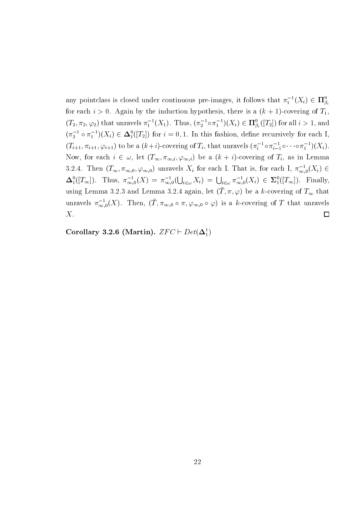any pointclass is closed under continuous pre-images, it follows that  $\pi_1^{-1}(X_i) \in \Pi_{\beta_i}^0$ for each  $i > 0$ . Again by the induction hypothesis, there is a  $(k + 1)$ -covering of  $T_1$ .  $(T_2, \pi_2, \varphi_2)$  that unravels  $\pi_1^{-1}(X_1)$ . Thus,  $(\pi_2^{-1} \circ \pi_1^{-1})(X_i) \in \mathbf{\Pi}^0_{\beta_i}([T_2])$  for all  $i > 1$ , and  $(\pi_2^{-1} \circ \pi_1^{-1})(X_i) \in \mathbf{\Delta}_1^0([T_2])$  for  $i = 0, 1$ . In this fashion, define recursively for each I,  $(T_{i+1}, \pi_{i+1}, \varphi_{i+1})$  to be a  $(k+i)$ -covering of  $T_i$ , that unravels  $(\pi_i^{-1} \circ \pi_{i-1}^{-1} \circ \cdots \circ \pi_1^{-1})(X_i)$ . Now, for each  $i \in \omega$ , let  $(T_{\infty}, \pi_{\infty,i}, \varphi_{\infty,i})$  be a  $(k + i)$ -covering of  $T_i$ , as in Lemma 3.2.4. Then  $(T_{\infty}, \pi_{\infty,0}, \varphi_{\infty,0})$  unravels  $X_i$  for each I. That is, for each I,  $\pi_{\infty,0}^{-1}(X_i) \in$  $\Delta_1^0([T_\infty])$ . Thus,  $\pi_{\infty,0}^{-1}(X) = \pi_{\infty,0}^{-1}(\bigcup_{i\in\omega}X_i) = \bigcup_{i\in\omega}\pi_{\infty,0}^{-1}(X_i) \in \Sigma_1^0([T_\infty])$ . Finally, using Lemma 3.2.3 and Lemma 3.2.4 again, let  $(\tilde{T}, \pi, \varphi)$  be a k-covering of  $T_{\infty}$  that unravels  $\pi_{\infty,0}^{-1}(X)$ . Then,  $(\tilde{T}, \pi_{\infty,0} \circ \pi, \varphi_{\infty,0} \circ \varphi)$  is a k-covering of T that unravels  $X$ .  $\Box$ 

Corollary 3.2.6 (Martin).  $ZFC \vdash Det(\Delta_1^1)$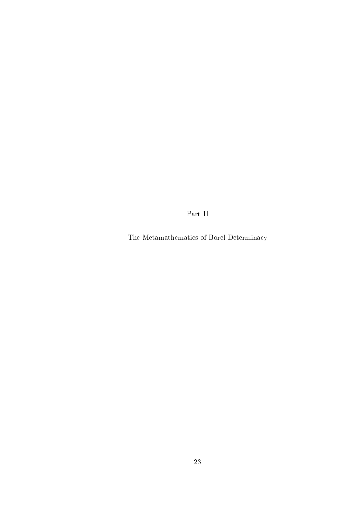Part $\bar{\rm II}$ 

The Metamathematics of Borel Determinacy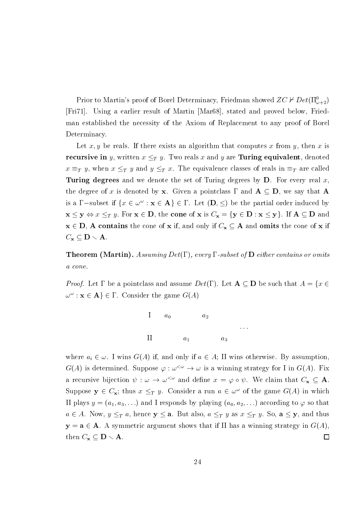Prior to Martin's proof of Borel Determinacy, Friedman showed  $ZC \nvdash Det(\Pi^0_{\omega+2})$ [Fri71]. Using a earlier result of Martin [Mar68], stated and proved below, Friedman established the necessity of the Axiom of Replacement to any proof of Borel Determinacy.

Let x, y be reals. If there exists an algorithm that computes x from y, then x is **recursive in** y, written  $x \leq_T y$ . Two reals x and y are **Turing equivalent**, denoted  $x \equiv_T y$ , when  $x \leq_T y$  and  $y \leq_T x$ . The equivalence classes of reals in  $\equiv_T$  are called Turing degrees and we denote the set of Turing degrees by  $D$ . For every real x, the degree of x is denoted by x. Given a pointclass  $\Gamma$  and  $A \subseteq D$ , we say that A is a  $\Gamma$ -subset if  $\{x \in \omega^\omega : x \in A\} \in \Gamma$ . Let  $(D, \leq)$  be the partial order induced by  $\mathbf{x} \leq \mathbf{y} \Leftrightarrow x \leq_T y$ . For  $\mathbf{x} \in \mathbf{D}$ , the cone of  $\mathbf{x}$  is  $C_{\mathbf{x}} = {\mathbf{y} \in \mathbf{D} : \mathbf{x} \leq \mathbf{y}}$ . If  $\mathbf{A} \subseteq \mathbf{D}$  and  $x \in D$ , A contains the cone of x if, and only if  $C_x \subseteq A$  and omits the cone of x if  $C_{\mathbf{x}} \subseteq \mathbf{D} \setminus \mathbf{A}$ 

**Theorem (Martin).** Assuming  $Det(\Gamma)$ , every  $\Gamma$ -subset of  $D$  either contains or omits a cone.

*Proof.* Let  $\Gamma$  be a pointclass and assume  $Det(\Gamma)$ . Let  $\mathbf{A} \subseteq \mathbf{D}$  be such that  $A = \{x \in \Gamma\}$  $\omega^{\omega}$ :  $\mathbf{x} \in \mathbf{A}$   $\in \Gamma$ . Consider the game  $G(A)$ 



where  $a_i \in \omega$ . I wins  $G(A)$  if, and only if  $a \in A$ ; II wins otherwise. By assumption,  $G(A)$  is determined. Suppose  $\varphi : \omega^{\langle \omega \rangle} \to \omega$  is a winning strategy for I in  $G(A)$ . Fix a recursive bijection  $\psi : \omega \to \omega^{\leq \omega}$  and define  $x = \varphi \circ \psi$ . We claim that  $C_{\mathbf{x}} \subseteq \mathbf{A}$ . Suppose  $y \in C_x$ ; thus  $x \leq_T y$ . Consider a run  $a \in \omega^{\omega}$  of the game  $G(A)$  in which II plays  $y = (a_1, a_3, \ldots)$  and I responds by playing  $(a_0, a_2, \ldots)$  according to  $\varphi$  so that  $a \in A$ . Now,  $y \leq_T a$ , hence  $y \leq a$ . But also,  $a \leq_T y$  as  $x \leq_T y$ . So,  $a \leq y$ , and thus  $y = a \in A$ . A symmetric argument shows that if II has a winning strategy in  $G(A)$ , then  $C_{\mathbf{x}} \subseteq \mathbf{D} \setminus \mathbf{A}$ .  $\Box$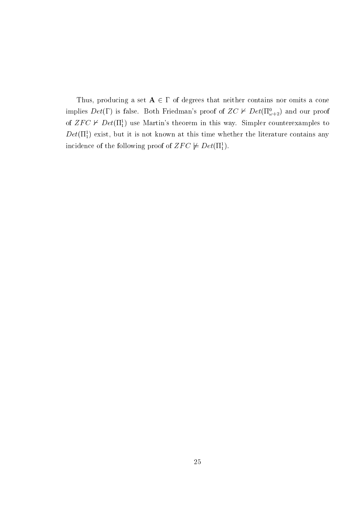Thus, producing a set  $A \in \Gamma$  of degrees that neither contains nor omits a cone implies  $Det(\Gamma)$  is false. Both Friedman's proof of  $ZC \nvdash Det(\Pi^0_{\omega+2})$  and our proof of  $ZFC \nvdash Det(\Pi_1^1)$  use Martin's theorem in this way. Simpler counterexamples to  $Det(\Pi_1^1)$  exist, but it is not known at this time whether the literature contains any incidence of the following proof of  $ZFC \not\models Det(\Pi_1^1)$ .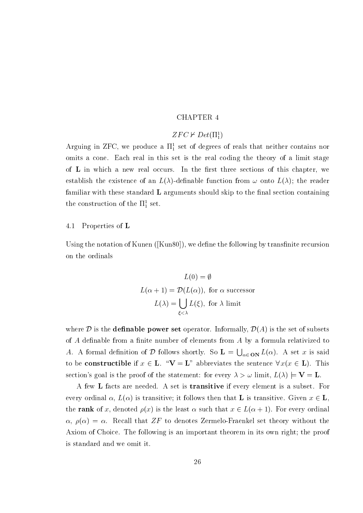### **CHAPTER 4**

### $ZFC \nvdash Det(\Pi_1^1)$

Arguing in ZFC, we produce a  $\Pi_1^1$  set of degrees of reals that neither contains nor omits a cone. Each real in this set is the real coding the theory of a limit stage of L in which a new real occurs. In the first three sections of this chapter, we establish the existence of an  $L(\lambda)$ -definable function from  $\omega$  onto  $L(\lambda)$ ; the reader familiar with these standard L arguments should skip to the final section containing the construction of the  $\Pi^1_1$  set.

#### 4.1 Properties of  $L$

Using the notation of Kunen ([Kun80]), we define the following by transfinite recursion on the ordinals

$$
L(0) = \emptyset
$$
  
\n
$$
L(\alpha + 1) = \mathcal{D}(L(\alpha)), \text{ for } \alpha \text{ successor}
$$
  
\n
$$
L(\lambda) = \bigcup_{\xi < \lambda} L(\xi), \text{ for } \lambda \text{ limit}
$$

where  $D$  is the **definable power set** operator. Informally,  $D(A)$  is the set of subsets of  $A$  definable from a finite number of elements from  $A$  by a formula relativized to A. A formal definition of D follows shortly. So  $\mathbf{L} = \bigcup_{\alpha \in \mathbf{ON}} L(\alpha)$ . A set x is said to be **constructible** if  $x \in L$ . " $V = L$ " abbreviates the sentence  $\forall x (x \in L)$ . This section's goal is the proof of the statement: for every  $\lambda > \omega$  limit,  $L(\lambda) \models V = L$ .

A few L facts are needed. A set is **transitive** if every element is a subset. For every ordinal  $\alpha$ ,  $L(\alpha)$  is transitive; it follows then that **L** is transitive. Given  $x \in L$ , the rank of x, denoted  $\rho(x)$  is the least  $\alpha$  such that  $x \in L(\alpha + 1)$ . For every ordinal  $\alpha, \rho(\alpha) = \alpha$ . Recall that ZF to denotes Zermelo-Fraenkel set theory without the Axiom of Choice. The following is an important theorem in its own right; the proof is standard and we omit it.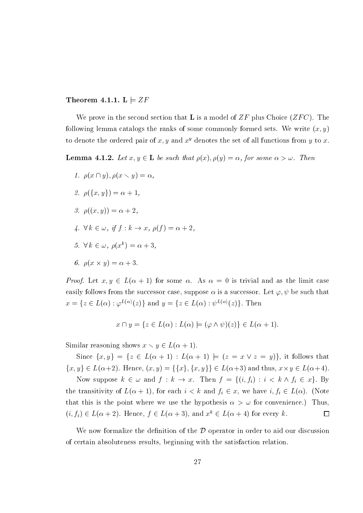Theorem 4.1.1. L  $\models ZF$ 

We prove in the second section that **L** is a model of ZF plus Choice  $(ZFC)$ . The following lemma catalogs the ranks of some commonly formed sets. We write  $(x, y)$ to denote the ordered pair of x, y and  $x^y$  denotes the set of all functions from y to x.

**Lemma 4.1.2.** Let  $x, y \in L$  be such that  $\rho(x), \rho(y) = \alpha$ , for some  $\alpha > \omega$ . Then

- 1.  $\rho(x \cap y)$ ,  $\rho(x \setminus y) = \alpha$ ,
- 2.  $\rho({x, y}) = \alpha + 1$ .
- 3.  $\rho((x, y)) = \alpha + 2$ .
- 4.  $\forall k \in \omega$ , if  $f: k \to x$ ,  $\rho(f) = \alpha + 2$ .
- 5.  $\forall k \in \omega, \rho(x^k) = \alpha + 3$ ,
- 6.  $\rho(x \times y) = \alpha + 3$ .

*Proof.* Let  $x, y \in L(\alpha + 1)$  for some  $\alpha$ . As  $\alpha = 0$  is trivial and as the limit case easily follows from the successor case, suppose  $\alpha$  is a successor. Let  $\varphi, \psi$  be such that  $x = \{z \in L(\alpha) : \varphi^{L(\alpha)}(z)\}\$ and  $y = \{z \in L(\alpha) : \psi^{L(\alpha)}(z)\}\$ . Then

$$
x \cap y = \{ z \in L(\alpha) : L(\alpha) \models (\varphi \land \psi)(z) \} \in L(\alpha + 1).
$$

Similar reasoning shows  $x \setminus y \in L(\alpha + 1)$ .

Since  $\{x,y\} = \{z \in L(\alpha+1) : L(\alpha+1) \models (z = x \vee z = y)\}\$ , it follows that  $\{x,y\} \in L(\alpha+2)$ . Hence,  $(x,y) = \{\{x\}, \{x,y\}\} \in L(\alpha+3)$  and thus,  $x \times y \in L(\alpha+4)$ .

Now suppose  $k \in \omega$  and  $f: k \to x$ . Then  $f = \{(i, f_i) : i \lt k \wedge f_i \in x\}$ . By the transitivity of  $L(\alpha + 1)$ , for each  $i < k$  and  $f_i \in x$ , we have  $i, f_i \in L(\alpha)$ . (Note that this is the point where we use the hypothesis  $\alpha > \omega$  for convenience.) Thus,  $(i, f_i) \in L(\alpha + 2)$ . Hence,  $f \in L(\alpha + 3)$ , and  $x^k \in L(\alpha + 4)$  for every k.  $\Box$ 

We now formalize the definition of the  $\mathcal D$  operator in order to aid our discussion of certain absoluteness results, beginning with the satisfaction relation.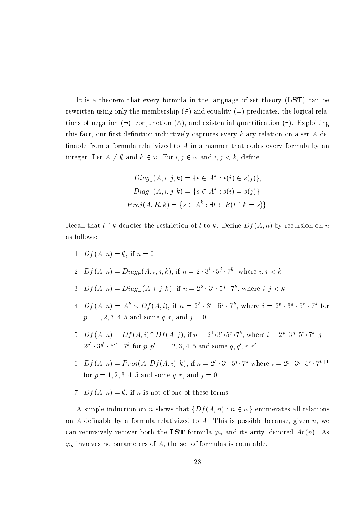It is a theorem that every formula in the language of set theory (LST) can be rewritten using only the membership  $(\in)$  and equality  $(=)$  predicates, the logical relations of negation  $(\neg)$ , conjunction  $(\wedge)$ , and existential quantification  $(\exists)$ . Exploiting this fact, our first definition inductively captures every k-ary relation on a set A definable from a formula relativized to  $A$  in a manner that codes every formula by an integer. Let  $A \neq \emptyset$  and  $k \in \omega$ . For  $i, j \in \omega$  and  $i, j < k$ , define

$$
Diag_{\in}(A, i, j, k) = \{s \in A^{k} : s(i) \in s(j)\},
$$
  
\n
$$
Diag_{=}(A, i, j, k) = \{s \in A^{k} : s(i) = s(j)\},
$$
  
\n
$$
Proj(A, R, k) = \{s \in A^{k} : \exists t \in R(t \upharpoonright k = s)\}.
$$

Recall that  $t \restriction k$  denotes the restriction of t to k. Define  $Df(A, n)$  by recursion on n as follows:

1.  $Df(A, n) = \emptyset$ , if  $n = 0$ 

2. 
$$
Df(A, n) = Diag_{\in}(A, i, j, k)
$$
, if  $n = 2 \cdot 3^{i} \cdot 5^{j} \cdot 7^{k}$ , where  $i, j < k$ 

- 3.  $Df(A, n) = Diag_{=}(A, i, j, k)$ , if  $n = 2^2 \cdot 3^i \cdot 5^j \cdot 7^k$ , where  $i, j < k$
- 4.  $Df(A, n) = A^k \setminus Df(A, i)$ , if  $n = 2^3 \cdot 3^i \cdot 5^j \cdot 7^k$ , where  $i = 2^p \cdot 3^q \cdot 5^r \cdot 7^k$  for  $p = 1, 2, 3, 4, 5$  and some q, r, and  $j = 0$
- 5.  $Df(A, n) = Df(A, i) \cap Df(A, j)$ , if  $n = 2^4 \cdot 3^i \cdot 5^j \cdot 7^k$ , where  $i = 2^p \cdot 3^q \cdot 5^r \cdot 7^k$ ,  $j =$  $2^{p'} \cdot 3^{q'} \cdot 5^{r'} \cdot 7^k$  for  $p, p' = 1, 2, 3, 4, 5$  and some  $q, q', r, r'$
- 6.  $Df(A, n) = Proj(A, Df(A, i), k),$  if  $n = 2^5 \cdot 3^i \cdot 5^j \cdot 7^k$  where  $i = 2^p \cdot 3^q \cdot 5^r \cdot 7^{k+1}$ for  $p = 1, 2, 3, 4, 5$  and some  $q, r$ , and  $j = 0$
- 7.  $Df(A, n) = \emptyset$ , if *n* is not of one of these forms.

A simple induction on *n* shows that  $\{Df(A, n) : n \in \omega\}$  enumerates all relations on A definable by a formula relativized to A. This is possible because, given n, we can recursively recover both the LST formula  $\varphi_n$  and its arity, denoted  $Ar(n)$ . As  $\varphi_n$  involves no parameters of A, the set of formulas is countable.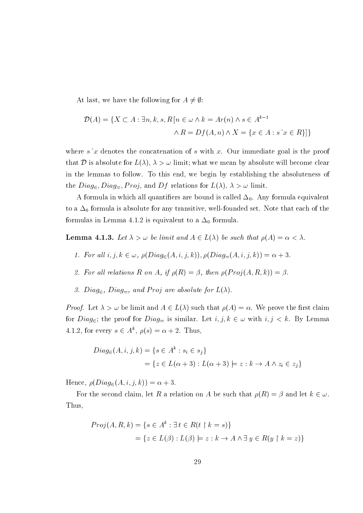At last, we have the following for  $A \neq \emptyset$ :

$$
\mathcal{D}(A) = \{ X \subset A : \exists n, k, s, R \left[ n \in \omega \land k = Ar(n) \land s \in A^{k-1} \right] \land R = Df(A, n) \land X = \{ x \in A : s \hat{ } x \in R \} \}
$$

where  $s^x$  denotes the concatenation of s with x. Our immediate goal is the proof that D is absolute for  $L(\lambda)$ ,  $\lambda > \omega$  limit; what we mean by absolute will become clear in the lemmas to follow. To this end, we begin by establishing the absoluteness of the  $Diag_{\infty}, Diag_{\equiv}$ , *Proj*, and *Df* relations for  $L(\lambda)$ ,  $\lambda > \omega$  limit.

A formula in which all quantifiers are bound is called  $\Delta_0$ . Any formula equivalent to a  $\Delta_0$  formula is absolute for any transitive, well-founded set. Note that each of the formulas in Lemma 4.1.2 is equivalent to a  $\Delta_0$  formula.

**Lemma 4.1.3.** Let  $\lambda > \omega$  be limit and  $A \in L(\lambda)$  be such that  $\rho(A) = \alpha < \lambda$ .

- 1. For all  $i, j, k \in \omega$ ,  $\rho(Diag_{\in}(A, i, j, k)), \rho(Diag_{=}(A, i, j, k)) = \alpha + 3$ .
- 2. For all relations R on A, if  $\rho(R) = \beta$ , then  $\rho(Proj(A, R, k)) = \beta$ .
- 3. Diag<sub> $\epsilon$ </sub>, Diag<sub> $=$ </sub>, and Proj are absolute for  $L(\lambda)$ .

*Proof.* Let  $\lambda > \omega$  be limit and  $A \in L(\lambda)$  such that  $\rho(A) = \alpha$ . We prove the first claim for  $Diag_{\in}$ ; the proof for  $Diag_{=}$  is similar. Let  $i, j, k \in \omega$  with  $i, j < k$ . By Lemma 4.1.2, for every  $s \in A^k$ ,  $\rho(s) = \alpha + 2$ . Thus,

$$
Diag_{\in}(A, i, j, k) = \{s \in A^k : s_i \in s_j\}
$$
  
=  $\{z \in L(\alpha + 3) : L(\alpha + 3) \models z : k \to A \land z_i \in z_j\}$ 

Hence,  $\rho(Diag_{\in}(A,i,j,k)) = \alpha + 3$ .

For the second claim, let R a relation on A be such that  $\rho(R) = \beta$  and let  $k \in \omega$ . Thus,

$$
Proj(A, R, k) = \{s \in A^k : \exists t \in R(t \upharpoonright k = s)\}
$$

$$
= \{z \in L(\beta) : L(\beta) \models z : k \to A \land \exists y \in R(y \upharpoonright k = z)\}
$$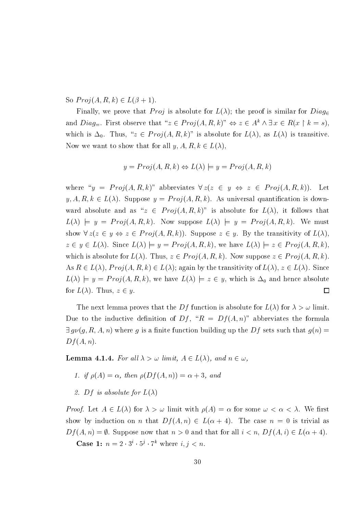So  $Proj(A, R, k) \in L(\beta + 1)$ .

Finally, we prove that *Proj* is absolute for  $L(\lambda)$ ; the proof is similar for  $Diag_{\epsilon}$ and  $Diag_{\equiv}$ . First observe that " $z \in Proj(A, R, k)$ "  $\Leftrightarrow z \in A^k \wedge \exists x \in R(x \upharpoonright k = s)$ . which is  $\Delta_0$ . Thus, " $z \in Proj(A, R, k)$ " is absolute for  $L(\lambda)$ , as  $L(\lambda)$  is transitive. Now we want to show that for all  $y, A, R, k \in L(\lambda)$ ,

$$
y = Proj(A, R, k) \Leftrightarrow L(\lambda) = y = Proj(A, R, k)
$$

where " $y = Proj(A, R, k)$ " abbreviates  $\forall z(z \in y \Leftrightarrow z \in Proj(A, R, k))$ . Let  $y, A, R, k \in L(\lambda)$ . Suppose  $y = Proj(A, R, k)$ . As universal quantification is downward absolute and as " $z \in Proj(A, R, k)$ " is absolute for  $L(\lambda)$ , it follows that  $L(\lambda) \models y = Proj(A, R, k)$ . Now suppose  $L(\lambda) \models y = Proj(A, R, k)$ . We must show  $\forall z(z \in y \Leftrightarrow z \in Proj(A, R, k))$ . Suppose  $z \in y$ . By the transitivity of  $L(\lambda)$ .  $z \in y \in L(\lambda)$ . Since  $L(\lambda) \models y = Proj(A, R, k)$ , we have  $L(\lambda) \models z \in Proj(A, R, k)$ . which is absolute for  $L(\lambda)$ . Thus,  $z \in Proj(A, R, k)$ . Now suppose  $z \in Proj(A, R, k)$ . As  $R \in L(\lambda)$ ,  $Proj(A, R, k) \in L(\lambda)$ ; again by the transitivity of  $L(\lambda)$ ,  $z \in L(\lambda)$ . Since  $L(\lambda) \models y = Proj(A, R, k)$ , we have  $L(\lambda) \models z \in y$ , which is  $\Delta_0$  and hence absolute for  $L(\lambda)$ . Thus,  $z \in y$ .  $\Box$ 

The next lemma proves that the Df function is absolute for  $L(\lambda)$  for  $\lambda > \omega$  limit. Due to the inductive definition of  $Df$ , " $R = Df(A,n)$ " abbreviates the formula  $\exists g \nu(g, R, A, n)$  where g is a finite function building up the Df sets such that  $g(n)$  $Df(A,n).$ 

**Lemma 4.1.4.** For all  $\lambda > \omega$  limit,  $A \in L(\lambda)$ , and  $n \in \omega$ ,

- 1. if  $\rho(A) = \alpha$ , then  $\rho(Df(A, n)) = \alpha + 3$ , and
- 2. Df is absolute for  $L(\lambda)$

*Proof.* Let  $A \in L(\lambda)$  for  $\lambda > \omega$  limit with  $\rho(A) = \alpha$  for some  $\omega < \alpha < \lambda$ . We first show by induction on *n* that  $Df(A, n) \in L(\alpha + 4)$ . The case  $n = 0$  is trivial as  $Df(A, n) = \emptyset$ . Suppose now that  $n > 0$  and that for all  $i < n$ ,  $Df(A, i) \in L(\alpha + 4)$ .

**Case 1:**  $n = 2 \cdot 3^i \cdot 5^j \cdot 7^k$  where  $i, j < n$ .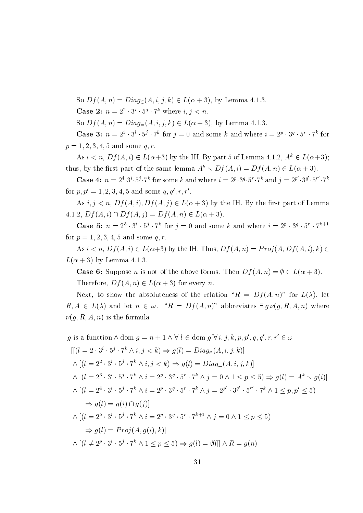So  $Df(A, n) = Diag_{\epsilon}(A, i, j, k) \in L(\alpha + 3)$ , by Lemma 4.1.3. **Case 2:**  $n = 2^2 \cdot 3^i \cdot 5^j \cdot 7^k$  where  $i, j < n$ . So  $Df(A, n) = Diag_{=}(A, i, j, k) \in L(\alpha + 3)$ , by Lemma 4.1.3. **Case 3:**  $n = 2^3 \cdot 3^i \cdot 5^j \cdot 7^k$  for  $j = 0$  and some k and where  $i = 2^p \cdot 3^q \cdot 5^r \cdot 7^k$  for  $p = 1, 2, 3, 4, 5$  and some q, r.

As  $i < n$ ,  $Df(A, i) \in L(\alpha+3)$  by the IH. By part 5 of Lemma 4.1.2,  $A^k \in L(\alpha+3)$ ; thus, by the first part of the same lemma  $A^k \setminus Df(A, i) = Df(A, n) \in L(\alpha + 3)$ .

**Case 4:**  $n = 2^4 \cdot 3^i \cdot 5^j \cdot 7^k$  for some k and where  $i = 2^p \cdot 3^q \cdot 5^r \cdot 7^k$  and  $j = 2^{p'} \cdot 3^{q'} \cdot 5^{r'} \cdot 7^k$ for  $p, p' = 1, 2, 3, 4, 5$  and some  $q, q', r, r'$ .

As  $i, j < n$ ,  $Df(A, i), Df(A, j) \in L(\alpha + 3)$  by the IH. By the first part of Lemma 4.1.2,  $Df(A, i) \cap Df(A, j) = Df(A, n) \in L(\alpha + 3)$ .

**Case 5:**  $n = 2^5 \cdot 3^i \cdot 5^j \cdot 7^k$  for  $j = 0$  and some k and where  $i = 2^p \cdot 3^q \cdot 5^r \cdot 7^{k+1}$ for  $p = 1, 2, 3, 4, 5$  and some q, r.

As  $i < n$ ,  $Df(A, i) \in L(\alpha+3)$  by the IH. Thus,  $Df(A, n) = Proj(A, Df(A, i), k) \in$  $L(\alpha + 3)$  by Lemma 4.1.3.

**Case 6:** Suppose *n* is not of the above forms. Then  $Df(A, n) = \emptyset \in L(\alpha + 3)$ . Therefore,  $Df(A, n) \in L(\alpha + 3)$  for every n.

Next, to show the absoluteness of the relation " $R = Df(A,n)$ " for  $L(\lambda)$ , let  $R, A \in L(\lambda)$  and let  $n \in \omega$ . " $R = Df(A, n)$ " abbreviates  $\exists g \nu(g, R, A, n)$  where  $\nu(q, R, A, n)$  is the formula

$$
g \text{ is a function } \wedge \text{ dom } g = n + 1 \wedge \forall l \in \text{dom } g[\forall i, j, k, p, p', q, q', r, r' \in \omega
$$
  
\n
$$
[[ (l = 2 \cdot 3^i \cdot 5^j \cdot 7^k \wedge i, j < k) \Rightarrow g(l) = Diag_{\in}(A, i, j, k)]
$$
  
\n
$$
\wedge [(l = 2^2 \cdot 3^i \cdot 5^j \cdot 7^k \wedge i, j < k) \Rightarrow g(l) = Diag_{\in}(A, i, j, k)]
$$
  
\n
$$
\wedge [(l = 2^3 \cdot 3^i \cdot 5^j \cdot 7^k \wedge i = 2^p \cdot 3^q \cdot 5^r \cdot 7^k \wedge j = 0 \wedge 1 \le p \le 5) \Rightarrow g(l) = A^k \searrow g(i)]
$$
  
\n
$$
\wedge [(l = 2^4 \cdot 3^i \cdot 5^j \cdot 7^k \wedge i = 2^p \cdot 3^q \cdot 5^r \cdot 7^k \wedge j = 2^{p'} \cdot 3^{q'} \cdot 5^{r'} \cdot 7^k \wedge 1 \le p, p' \le 5)
$$
  
\n
$$
\Rightarrow g(l) = g(i) \cap g(j)]
$$
  
\n
$$
\wedge [(l = 2^5 \cdot 3^i \cdot 5^j \cdot 7^k \wedge i = 2^p \cdot 3^q \cdot 5^r \cdot 7^{k+1} \wedge j = 0 \wedge 1 \le p \le 5)
$$
  
\n
$$
\Rightarrow g(l) = Proj(A, g(i), k)]
$$
  
\n
$$
\wedge [(l \neq 2^p \cdot 3^i \cdot 5^j \cdot 7^k \wedge 1 \le p \le 5) \Rightarrow g(l) = \emptyset)] \wedge R = g(n)
$$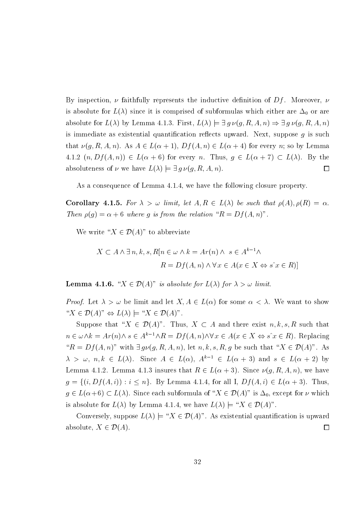By inspection,  $\nu$  faithfully represents the inductive definition of Df. Moreover,  $\nu$ is absolute for  $L(\lambda)$  since it is comprised of subformulas which either are  $\Delta_0$  or are absolute for  $L(\lambda)$  by Lemma 4.1.3. First,  $L(\lambda) \models \exists g \nu(g, R, A, n) \Rightarrow \exists g \nu(g, R, A, n)$ is immediate as existential quantification reflects upward. Next, suppose  $q$  is such that  $\nu(g, R, A, n)$ . As  $A \in L(\alpha + 1)$ ,  $Df(A, n) \in L(\alpha + 4)$  for every n; so by Lemma 4.1.2  $(n, Df(A, n)) \in L(\alpha + 6)$  for every n. Thus,  $g \in L(\alpha + 7) \subset L(\lambda)$ . By the absoluteness of  $\nu$  we have  $L(\lambda) \models \exists g \nu(g, R, A, n)$ .  $\Box$ 

As a consequence of Lemma 4.1.4, we have the following closure property.

**Corollary 4.1.5.** For  $\lambda > \omega$  limit, let  $A, R \in L(\lambda)$  be such that  $\rho(A), \rho(R) = \alpha$ . Then  $\rho(g) = \alpha + 6$  where g is from the relation " $R = Df(A, n)$ ".

We write " $X \in \mathcal{D}(A)$ " to abbreviate

$$
X \subset A \land \exists n, k, s, R[n \in \omega \land k = Ar(n) \land s \in A^{k-1} \land
$$

$$
R = Df(A, n) \land \forall x \in A(x \in X \Leftrightarrow s \hat{\ } x \in R)]
$$

**Lemma 4.1.6.** " $X \in \mathcal{D}(A)$ " is absolute for  $L(\lambda)$  for  $\lambda > \omega$  limit.

*Proof.* Let  $\lambda > \omega$  be limit and let  $X, A \in L(\alpha)$  for some  $\alpha < \lambda$ . We want to show " $X \in \mathcal{D}(A)^{n} \Leftrightarrow L(\lambda) \models "X \in \mathcal{D}(A)^{n}$ .

Suppose that " $X \in \mathcal{D}(A)$ ". Thus,  $X \subset A$  and there exist  $n, k, s, R$  such that  $n \in \omega \wedge k = Ar(n) \wedge s \in A^{k-1} \wedge R = Df(A, n) \wedge \forall x \in A(x \in X \Leftrightarrow s^x x \in R)$ . Replacing " $R = Df(A, n)$ " with  $\exists g \nu(g, R, A, n)$ , let  $n, k, s, R, g$  be such that " $X \in \mathcal{D}(A)$ ". As  $\lambda > \omega, n, k \in L(\lambda)$ . Since  $A \in L(\alpha), A^{k-1} \in L(\alpha+3)$  and  $s \in L(\alpha+2)$  by Lemma 4.1.2. Lemma 4.1.3 insures that  $R \in L(\alpha+3)$ . Since  $\nu(q, R, A, n)$ , we have  $g = \{(i, Df(A, i)) : i \leq n\}.$  By Lemma 4.1.4, for all I,  $Df(A, i) \in L(\alpha + 3)$ . Thus,  $g \in L(\alpha+6) \subset L(\lambda)$ . Since each subformula of " $X \in \mathcal{D}(A)$ " is  $\Delta_0$ , except for  $\nu$  which is absolute for  $L(\lambda)$  by Lemma 4.1.4, we have  $L(\lambda) \models "X \in \mathcal{D}(A)"$ .

Conversely, suppose  $L(\lambda) \models "X \in \mathcal{D}(A)"$ . As existential quantification is upward absolute,  $X \in \mathcal{D}(A)$ .  $\Box$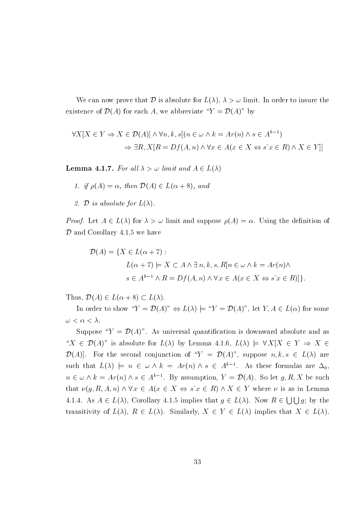We can now prove that D is absolute for  $L(\lambda)$ ,  $\lambda > \omega$  limit. In order to insure the existence of  $\mathcal{D}(A)$  for each A, we abbreviate " $Y = \mathcal{D}(A)$ " by

$$
\forall X[X \in Y \Rightarrow X \in \mathcal{D}(A)] \land \forall n, k, s[(n \in \omega \land k = Ar(n) \land s \in A^{k-1})
$$

$$
\Rightarrow \exists R, X[R = Df(A, n) \land \forall x \in A(x \in X \Leftrightarrow s \land x \in R) \land X \in Y]]
$$

**Lemma 4.1.7.** For all  $\lambda > \omega$  limit and  $A \in L(\lambda)$ 

1. if  $\rho(A) = \alpha$ , then  $\mathcal{D}(A) \in L(\alpha + 8)$ , and

2. D is absolute for  $L(\lambda)$ .

*Proof.* Let  $A \in L(\lambda)$  for  $\lambda > \omega$  limit and suppose  $\rho(A) = \alpha$ . Using the definition of  $\mathcal D$  and Corollary 4.1.5 we have

$$
\mathcal{D}(A) = \{ X \in L(\alpha + 7) : \\ L(\alpha + 7) \models X \subset A \land \exists n, k, s, R [n \in \omega \land k = Ar(n) \land \\ s \in A^{k-1} \land R = Df(A, n) \land \forall x \in A (x \in X \Leftrightarrow s \land x \in R) ] \}.
$$

Thus,  $\mathcal{D}(A) \in L(\alpha + 8) \subset L(\lambda)$ .

In order to show " $Y = \mathcal{D}(A)$ "  $\Leftrightarrow L(\lambda) \models$  " $Y = \mathcal{D}(A)$ ", let  $Y, A \in L(\alpha)$  for some  $\omega < \alpha < \lambda$ .

Suppose " $Y = \mathcal{D}(A)$ ". As universal quantification is downward absolute and as " $X \in \mathcal{D}(A)$ " is absolute for  $L(\lambda)$  by Lemma 4.1.6,  $L(\lambda) \models \forall X | X \in Y \Rightarrow X \in$  $\mathcal{D}(A)$ . For the second conjunction of " $Y = \mathcal{D}(A)$ ", suppose  $n, k, s \in L(\lambda)$  are such that  $L(\lambda)$   $\models$   $n \in \omega \wedge k = Ar(n) \wedge s \in A^{k-1}$ . As these formulas are  $\Delta_0$ .  $n \in \omega \wedge k = Ar(n) \wedge s \in A^{k-1}$ . By assumption,  $Y = \mathcal{D}(A)$ . So let  $g, R, X$  be such that  $\nu(g, R, A, n) \wedge \forall x \in A(x \in X \Leftrightarrow s^x \in R) \wedge X \in Y$  where  $\nu$  is as in Lemma 4.1.4. As  $A \in L(\lambda)$ , Corollary 4.1.5 implies that  $g \in L(\lambda)$ . Now  $R \in \bigcup \bigcup g$ ; by the transitivity of  $L(\lambda)$ ,  $R \in L(\lambda)$ . Similarly,  $X \in Y \in L(\lambda)$  implies that  $X \in L(\lambda)$ .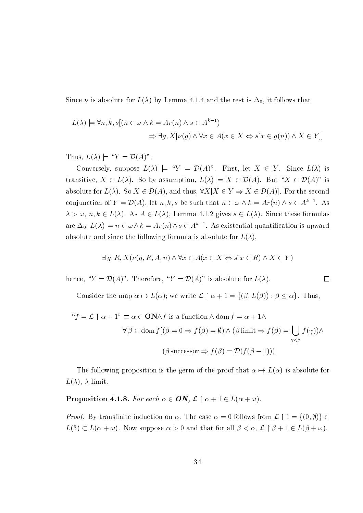Since  $\nu$  is absolute for  $L(\lambda)$  by Lemma 4.1.4 and the rest is  $\Delta_0$ , it follows that

$$
L(\lambda) \models \forall n, k, s[(n \in \omega \land k = Ar(n) \land s \in A^{k-1})
$$
  

$$
\Rightarrow \exists g, X[\nu(g) \land \forall x \in A(x \in X \Leftrightarrow s \hat{\ } x \in g(n)) \land X \in Y]]
$$

Thus,  $L(\lambda) \models "Y = \mathcal{D}(A)$ ".

Conversely, suppose  $L(\lambda) \models "Y = \mathcal{D}(A)$ ". First, let  $X \in Y$ . Since  $L(\lambda)$  is transitive,  $X \in L(\lambda)$ . So by assumption,  $L(\lambda) \models X \in \mathcal{D}(A)$ . But " $X \in \mathcal{D}(A)$ " is absolute for  $L(\lambda)$ . So  $X \in \mathcal{D}(A)$ , and thus,  $\forall X[X \in Y \Rightarrow X \in \mathcal{D}(A)]$ . For the second conjunction of  $Y = \mathcal{D}(A)$ , let  $n, k, s$  be such that  $n \in \omega \wedge k = Ar(n) \wedge s \in A^{k-1}$ . As  $\lambda > \omega, n, k \in L(\lambda)$ . As  $A \in L(\lambda)$ , Lemma 4.1.2 gives  $s \in L(\lambda)$ . Since these formulas are  $\Delta_0$ ,  $L(\lambda) \models n \in \omega \wedge k = Ar(n) \wedge s \in A^{k-1}$ . As existential quantification is upward absolute and since the following formula is absolute for  $L(\lambda)$ ,

$$
\exists g, R, X(\nu(g, R, A, n) \land \forall x \in A(x \in X \Leftrightarrow s \hat{\ } x \in R) \land X \in Y)
$$

 $\Box$ 

hence, " $Y = \mathcal{D}(A)$ ". Therefore, " $Y = \mathcal{D}(A)$ " is absolute for  $L(\lambda)$ .

Consider the map  $\alpha \mapsto L(\alpha)$ ; we write  $\mathcal{L} \upharpoonright \alpha + 1 = \{(\beta, L(\beta)) : \beta \leq \alpha\}.$  Thus,

"
$$
f = \mathcal{L} \upharpoonright \alpha + 1
$$
"  $\equiv \alpha \in \mathbf{ON} \wedge f$  is a function  $\wedge$  dom  $f = \alpha + 1 \wedge$   
 $\forall \beta \in \text{dom } f[(\beta = 0 \Rightarrow f(\beta) = \emptyset) \wedge (\beta \text{ limit } \Rightarrow f(\beta) = \bigcup_{\gamma < \beta} f(\gamma)) \wedge$   
 $(\beta \text{ successor } \Rightarrow f(\beta) = \mathcal{D}(f(\beta - 1)))]$ 

The following proposition is the germ of the proof that  $\alpha \mapsto L(\alpha)$  is absolute for  $L(\lambda)$ ,  $\lambda$  limit.

**Proposition 4.1.8.** For each  $\alpha \in \mathbf{ON}$ ,  $\mathcal{L} \restriction \alpha + 1 \in L(\alpha + \omega)$ .

*Proof.* By transfinite induction on  $\alpha$ . The case  $\alpha = 0$  follows from  $\mathcal{L} \restriction 1 = \{(0, \emptyset)\} \in$  $L(3) \subset L(\alpha + \omega)$ . Now suppose  $\alpha > 0$  and that for all  $\beta < \alpha$ ,  $\mathcal{L} \restriction \beta + 1 \in L(\beta + \omega)$ .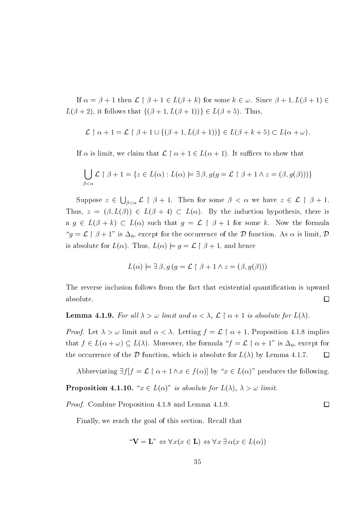If  $\alpha = \beta + 1$  then  $\mathcal{L} \upharpoonright \beta + 1 \in L(\beta + k)$  for some  $k \in \omega$ . Since  $\beta + 1, L(\beta + 1) \in$  $L(\beta+2)$ , it follows that  $\{(\beta+1,L(\beta+1))\}\in L(\beta+5)$ . Thus,

$$
\mathcal{L} \upharpoonright \alpha + 1 = \mathcal{L} \upharpoonright \beta + 1 \cup \{ (\beta + 1, L(\beta + 1)) \} \in L(\beta + k + 5) \subset L(\alpha + \omega).
$$

If  $\alpha$  is limit, we claim that  $\mathcal{L} \restriction \alpha + 1 \in L(\alpha + 1)$ . It suffices to show that

$$
\bigcup_{\beta < \alpha} \mathcal{L} \upharpoonright \beta + 1 = \{ z \in L(\alpha) : L(\alpha) \models \exists \beta, g(g = \mathcal{L} \upharpoonright \beta + 1 \land z = (\beta, g(\beta))) \}
$$

Suppose  $z \in \bigcup_{\beta < \alpha} \mathcal{L} \restriction \beta + 1$ . Then for some  $\beta < \alpha$  we have  $z \in \mathcal{L} \restriction \beta + 1$ . Thus,  $z = (\beta, L(\beta)) \in L(\beta + 4) \subset L(\alpha)$ . By the induction hypothesis, there is a  $g \in L(\beta + k) \subset L(\alpha)$  such that  $g = \mathcal{L} \upharpoonright \beta + 1$  for some k. Now the formula " $g = \mathcal{L} \upharpoonright \beta + 1$ " is  $\Delta_0$ , except for the occurrence of the  $\mathcal D$  function. As  $\alpha$  is limit,  $\mathcal D$ is absolute for  $L(\alpha)$ . Thus,  $L(\alpha) \models g = \mathcal{L} \restriction \beta + 1$ , and hence

$$
L(\alpha) \models \exists \beta, g (g = \mathcal{L} \upharpoonright \beta + 1 \land z = (\beta, g(\beta)))
$$

The reverse inclusion follows from the fact that existential quantification is upward absolute.  $\Box$ 

**Lemma 4.1.9.** For all  $\lambda > \omega$  limit and  $\alpha < \lambda$ ,  $\mathcal{L} \restriction \alpha + 1$  is absolute for  $L(\lambda)$ .

*Proof.* Let  $\lambda > \omega$  limit and  $\alpha < \lambda$ . Letting  $f = \mathcal{L} \restriction \alpha + 1$ , Proposition 4.1.8 implies that  $f \in L(\alpha + \omega) \subseteq L(\lambda)$ . Moreover, the formula " $f = \mathcal{L} \upharpoonright \alpha + 1$ " is  $\Delta_0$ , except for the occurrence of the D function, which is absolute for  $L(\lambda)$  by Lemma 4.1.7.  $\Box$ 

Abbreviating  $\exists f | f = \mathcal{L} \upharpoonright \alpha + 1 \land x \in f(\alpha)$  by " $x \in L(\alpha)$ " produces the following.

 $\Box$ 

**Proposition 4.1.10.** " $x \in L(\alpha)$ " is absolute for  $L(\lambda)$ ,  $\lambda > \omega$  limit.

*Proof.* Combine Proposition 4.1.8 and Lemma 4.1.9.

Finally, we reach the goal of this section. Recall that

$$
\text{``V} = \mathbf{L}\text{''} \Leftrightarrow \forall x(x \in \mathbf{L}) \Leftrightarrow \forall x \exists \alpha(x \in L(\alpha))
$$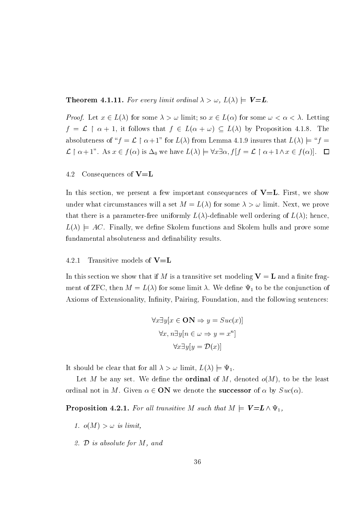**Theorem 4.1.11.** For every limit ordinal  $\lambda > \omega$ ,  $L(\lambda) \models V = L$ .

*Proof.* Let  $x \in L(\lambda)$  for some  $\lambda > \omega$  limit; so  $x \in L(\alpha)$  for some  $\omega < \alpha < \lambda$ . Letting  $f = \mathcal{L} \restriction \alpha + 1$ , it follows that  $f \in L(\alpha + \omega) \subseteq L(\lambda)$  by Proposition 4.1.8. The absoluteness of " $f = \mathcal{L} \restriction \alpha + 1$ " for  $L(\lambda)$  from Lemma 4.1.9 insures that  $L(\lambda) \models "f =$  $\mathcal{L} \upharpoonright \alpha + 1$ ". As  $x \in f(\alpha)$  is  $\Delta_0$  we have  $L(\lambda) \models \forall x \exists \alpha, f \upharpoonright f = \mathcal{L} \upharpoonright \alpha + 1 \land x \in f(\alpha)$ .  $\Box$ 

### 4.2 Consequences of  $V=L$

In this section, we present a few important consequences of  $V=L$ . First, we show under what circumstances will a set  $M = L(\lambda)$  for some  $\lambda > \omega$  limit. Next, we prove that there is a parameter-free uniformly  $L(\lambda)$ -definable well ordering of  $L(\lambda)$ ; hence,  $L(\lambda) = AC$ . Finally, we define Skolem functions and Skolem hulls and prove some fundamental absoluteness and definability results.

### 4.2.1 Transitive models of  $V = L$

In this section we show that if M is a transitive set modeling  $V = L$  and a finite fragment of ZFC, then  $M = L(\lambda)$  for some limit  $\lambda$ . We define  $\Psi_1$  to be the conjunction of Axioms of Extensionality, Infinity, Pairing, Foundation, and the following sentences:

$$
\forall x \exists y [x \in ON \Rightarrow y = Suc(x)]
$$

$$
\forall x, n \exists y [n \in \omega \Rightarrow y = x^n]
$$

$$
\forall x \exists y [y = \mathcal{D}(x)]
$$

It should be clear that for all  $\lambda > \omega$  limit,  $L(\lambda) \models \Psi_1$ .

Let M be any set. We define the **ordinal** of M, denoted  $o(M)$ , to be the least ordinal not in M. Given  $\alpha \in \mathbf{ON}$  we denote the **successor** of  $\alpha$  by  $Suc(\alpha)$ .

**Proposition 4.2.1.** For all transitive M such that  $M \models V = L \wedge \Psi_1$ ,

- 1.  $o(M) > \omega$  is limit,
- 2.  $D$  is absolute for M, and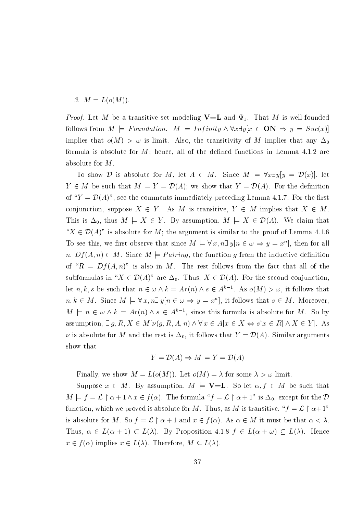$$
3. M = L(o(M)).
$$

*Proof.* Let M be a transitive set modeling  $V=L$  and  $\Psi_1$ . That M is well-founded follows from  $M \models Foundation$ .  $M \models Infinity \land \forall x \exists y [x \in ON \Rightarrow y = Suc(x)]$ implies that  $o(M) > \omega$  is limit. Also, the transitivity of M implies that any  $\Delta_0$ formula is absolute for  $M$ ; hence, all of the defined functions in Lemma 4.1.2 are absolute for  $M$ .

To show D is absolute for M, let  $A \in M$ . Since  $M \models \forall x \exists y [y = \mathcal{D}(x)]$ , let  $Y \in M$  be such that  $M \models Y = \mathcal{D}(A)$ ; we show that  $Y = \mathcal{D}(A)$ . For the definition of " $Y = \mathcal{D}(A)$ ", see the comments immediately preceding Lemma 4.1.7. For the first conjunction, suppose  $X \in Y$ . As M is transitive,  $Y \in M$  implies that  $X \in M$ . This is  $\Delta_0$ , thus  $M \models X \in Y$ . By assumption,  $M \models X \in \mathcal{D}(A)$ . We claim that " $X \in \mathcal{D}(A)$ " is absolute for M; the argument is similar to the proof of Lemma 4.1.6" To see this, we first observe that since  $M \models \forall x, n \exists y [n \in \omega \Rightarrow y = x^n]$ , then for all  $n, Df(A, n) \in M$ . Since  $M \models Pairing$ , the function g from the inductive definition of " $R = Df(A, n)$ " is also in M. The rest follows from the fact that all of the subformulas in " $X \in \mathcal{D}(A)$ " are  $\Delta_0$ . Thus,  $X \in \mathcal{D}(A)$ . For the second conjunction. let n, k, s be such that  $n \in \omega \wedge k = Ar(n) \wedge s \in A^{k-1}$ . As  $o(M) > \omega$ , it follows that  $n, k \in M$ . Since  $M \models \forall x, n \exists y [n \in \omega \Rightarrow y = x^n]$ , it follows that  $s \in M$ . Moreover,  $M \models n \in \omega \wedge k = Ar(n) \wedge s \in A^{k-1}$ , since this formula is absolute for M. So by assumption,  $\exists g, R, X \in M[\nu(g, R, A, n) \land \forall x \in A[x \in X \Leftrightarrow s] x \in R] \land X \in Y$ . As  $\nu$  is absolute for M and the rest is  $\Delta_0$ , it follows that  $Y = \mathcal{D}(A)$ . Similar arguments show that

$$
Y = \mathcal{D}(A) \Rightarrow M \models Y = \mathcal{D}(A)
$$

Finally, we show  $M = L(o(M))$ . Let  $o(M) = \lambda$  for some  $\lambda > \omega$  limit.

Suppose  $x \in M$ . By assumption,  $M \models \mathbf{V=L}$ . So let  $\alpha, f \in M$  be such that  $M \models f = \mathcal{L} \restriction \alpha + 1 \land x \in f(\alpha)$ . The formula " $f = \mathcal{L} \restriction \alpha + 1$ " is  $\Delta_0$ , except for the  $\mathcal{D}$ function, which we proved is absolute for M. Thus, as M is transitive, " $f = \mathcal{L} \restriction \alpha + 1$ " is absolute for M. So  $f = \mathcal{L} \restriction \alpha + 1$  and  $x \in f(\alpha)$ . As  $\alpha \in M$  it must be that  $\alpha < \lambda$ . Thus,  $\alpha \in L(\alpha + 1) \subset L(\lambda)$ . By Proposition 4.1.8  $f \in L(\alpha + \omega) \subseteq L(\lambda)$ . Hence  $x \in f(\alpha)$  implies  $x \in L(\lambda)$ . Therefore,  $M \subseteq L(\lambda)$ .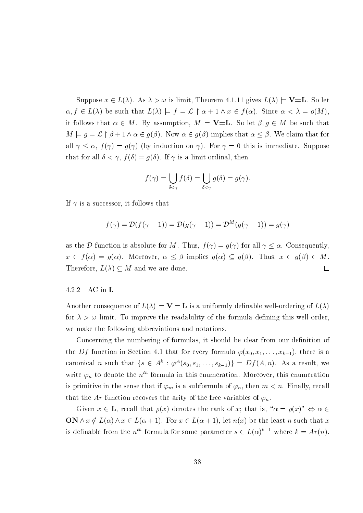Suppose  $x \in L(\lambda)$ . As  $\lambda > \omega$  is limit, Theorem 4.1.11 gives  $L(\lambda) \models \mathbf{V} = \mathbf{L}$ . So let  $\alpha, f \in L(\lambda)$  be such that  $L(\lambda) \models f = \mathcal{L} \restriction \alpha + 1 \land x \in f(\alpha)$ . Since  $\alpha < \lambda = o(M)$ , it follows that  $\alpha \in M$ . By assumption,  $M \models \mathbf{V=L}$ . So let  $\beta, g \in M$  be such that  $M \models g = \mathcal{L} \restriction \beta + 1 \land \alpha \in g(\beta)$ . Now  $\alpha \in g(\beta)$  implies that  $\alpha \leq \beta$ . We claim that for all  $\gamma \leq \alpha$ ,  $f(\gamma) = g(\gamma)$  (by induction on  $\gamma$ ). For  $\gamma = 0$  this is immediate. Suppose that for all  $\delta < \gamma$ ,  $f(\delta) = g(\delta)$ . If  $\gamma$  is a limit ordinal, then

$$
f(\gamma) = \bigcup_{\delta < \gamma} f(\delta) = \bigcup_{\delta < \gamma} g(\delta) = g(\gamma).
$$

If  $\gamma$  is a successor, it follows that

$$
f(\gamma) = \mathcal{D}(f(\gamma - 1)) = \mathcal{D}(g(\gamma - 1)) = \mathcal{D}^M(g(\gamma - 1)) = g(\gamma)
$$

as the D function is absolute for M. Thus,  $f(\gamma) = g(\gamma)$  for all  $\gamma \leq \alpha$ . Consequently,  $x \in f(\alpha) = g(\alpha)$ . Moreover,  $\alpha \leq \beta$  implies  $g(\alpha) \subseteq g(\beta)$ . Thus,  $x \in g(\beta) \in M$ . Therefore,  $L(\lambda) \subseteq M$  and we are done.  $\Box$ 

### 4.2.2  $AC$  in  $L$

Another consequence of  $L(\lambda) \models V = L$  is a uniformly definable well-ordering of  $L(\lambda)$ for  $\lambda > \omega$  limit. To improve the readability of the formula defining this well-order. we make the following abbreviations and notations.

Concerning the numbering of formulas, it should be clear from our definition of the Df function in Section 4.1 that for every formula  $\varphi(x_0, x_1, \ldots, x_{k-1})$ , there is a canonical *n* such that  $\{s \in A^k : \varphi^A(s_0, s_1, \ldots, s_{k-1})\} = Df(A, n)$ . As a result, we write  $\varphi_n$  to denote the  $n^{th}$  formula in this enumeration. Moreover, this enumeration is primitive in the sense that if  $\varphi_m$  is a subformula of  $\varphi_n$ , then  $m < n$ . Finally, recall that the Ar function recovers the arity of the free variables of  $\varphi_n$ .

Given  $x \in L$ , recall that  $\rho(x)$  denotes the rank of x; that is, " $\alpha = \rho(x)$ "  $\Leftrightarrow \alpha \in$  $ON \wedge x \notin L(\alpha) \wedge x \in L(\alpha+1)$ . For  $x \in L(\alpha+1)$ , let  $n(x)$  be the least n such that x is definable from the  $n^{th}$  formula for some parameter  $s \in L(\alpha)^{k-1}$  where  $k = Ar(n)$ .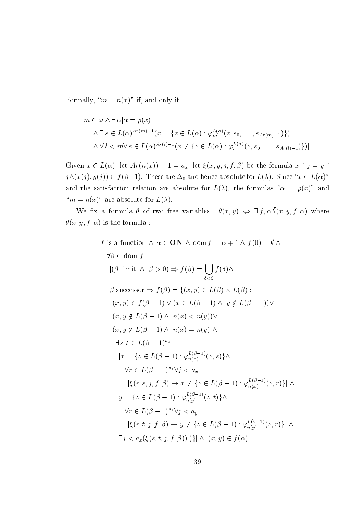Formally, " $m = n(x)$ " if, and only if

 $\boldsymbol{f}$ 

$$
m \in \omega \land \exists \alpha [\alpha = \rho(x)
$$
  

$$
\land \exists s \in L(\alpha)^{Ar(m)-1} (x = \{z \in L(\alpha) : \varphi_m^{L(\alpha)}(z, s_0, \dots, s_{Ar(m)-1})\})
$$
  

$$
\land \forall l < m \forall s \in L(\alpha)^{Ar(l)-1} (x \neq \{z \in L(\alpha) : \varphi_l^{L(\alpha)}(z, s_0, \dots, s_{Ar(l)-1})\})]
$$

Given  $x \in L(\alpha)$ , let  $Ar(n(x)) - 1 = a_x$ ; let  $\xi(x, y, j, f, \beta)$  be the formula  $x \upharpoonright j = y \upharpoonright$  $j \wedge (x(j), y(j)) \in f(\beta-1)$ . These are  $\Delta_0$  and hence absolute for  $L(\lambda)$ . Since " $x \in L(\alpha)$ " and the satisfaction relation are absolute for  $L(\lambda)$ , the formulas " $\alpha = \rho(x)$ " and " $m = n(x)$ " are absolute for  $L(\lambda)$ .

We fix a formula  $\theta$  of two free variables.  $\theta(x,y) \Leftrightarrow \exists f, \alpha \bar{\theta}(x,y,f,\alpha)$  where  $\bar{\theta}(x, y, f, \alpha)$  is the formula:

is a function 
$$
\wedge \alpha \in \mathbf{ON} \wedge \text{dom } f = \alpha + 1 \wedge f(0) = \emptyset \wedge
$$
  
\n $\forall \beta \in \text{dom } f$   
\n
$$
[(\beta \text{ limit } \wedge \beta > 0) \Rightarrow f(\beta) = \bigcup_{\delta < \beta} f(\delta) \wedge
$$
  
\n $\beta \text{ successor} \Rightarrow f(\beta) = \{(x, y) \in L(\beta) \times L(\beta) :$   
\n $(x, y) \in f(\beta - 1) \vee (x \in L(\beta - 1) \wedge y \notin L(\beta - 1)) \vee$   
\n $(x, y \notin L(\beta - 1) \wedge n(x) < n(y)) \vee$   
\n $(x, y \notin L(\beta - 1) \wedge n(x) = n(y) \wedge$   
\n $\exists s, t \in L(\beta - 1)^{a_x}$   
\n
$$
[x = \{z \in L(\beta - 1) : \varphi_{n(x)}^{L(\beta - 1)}(z, s)\} \wedge
$$
  
\n $\forall r \in L(\beta - 1)^{a_x} \forall j < a_x$   
\n
$$
[\xi(r, s, j, f, \beta) \rightarrow x \neq \{z \in L(\beta - 1) : \varphi_{n(x)}^{L(\beta - 1)}(z, r)\}] \wedge
$$
  
\n $y = \{z \in L(\beta - 1) : \varphi_{n(y)}^{L(\beta - 1)}(z, t)\} \wedge$   
\n $\forall r \in L(\beta - 1)^{a_y} \forall j < a_y$   
\n $[\xi(r, t, j, f, \beta) \rightarrow y \neq \{z \in L(\beta - 1) : \varphi_{n(y)}^{L(\beta - 1)}(z, r)\}] \wedge$   
\n $\exists j < a_x (\xi(s, t, j, f, \beta))])\} \wedge (x, y) \in f(\alpha)$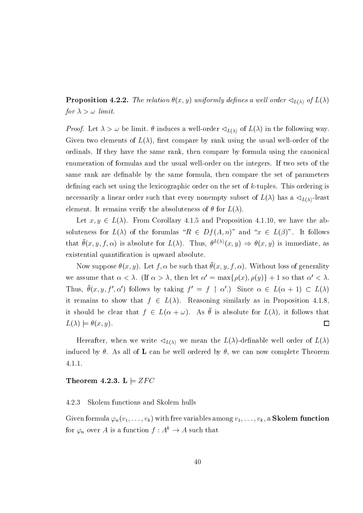**Proposition 4.2.2.** The relation  $\theta(x, y)$  uniformly defines a well order  $\triangleleft_{L(\lambda)}$  of  $L(\lambda)$ for  $\lambda > \omega$  limit.

*Proof.* Let  $\lambda > \omega$  be limit.  $\theta$  induces a well-order  $\lhd_{L(\lambda)}$  of  $L(\lambda)$  in the following way. Given two elements of  $L(\lambda)$ , first compare by rank using the usual well-order of the ordinals. If they have the same rank, then compare by formula using the canonical enumeration of formulas and the usual well-order on the integers. If two sets of the same rank are definable by the same formula, then compare the set of parameters defining each set using the lexicographic order on the set of  $k$ -tuples. This ordering is necessarily a linear order such that every nonempty subset of  $L(\lambda)$  has a  $\langle L(\lambda)$ -least element. It remains verify the absoluteness of  $\theta$  for  $L(\lambda)$ 

Let  $x, y \in L(\lambda)$ . From Corollary 4.1.5 and Proposition 4.1.10, we have the absoluteness for  $L(\lambda)$  of the forumlas " $R \in Df(A,n)$ " and " $x \in L(\beta)$ ". It follows that  $\bar{\theta}(x, y, f, \alpha)$  is absolute for  $L(\lambda)$ . Thus,  $\theta^{L(\lambda)}(x, y) \Rightarrow \theta(x, y)$  is immediate, as existential quantification is upward absolute.

Now suppose  $\theta(x, y)$ . Let f,  $\alpha$  be such that  $\bar{\theta}(x, y, f, \alpha)$ . Without loss of generality we assume that  $\alpha < \lambda$ . (If  $\alpha > \lambda$ , then let  $\alpha' = \max{\{\rho(x), \rho(y)\}} + 1$  so that  $\alpha' < \lambda$ . Thus,  $\bar{\theta}(x, y, f', \alpha')$  follows by taking  $f' = f \restriction \alpha'$ .) Since  $\alpha \in L(\alpha + 1) \subset L(\lambda)$ it remains to show that  $f \in L(\lambda)$ . Reasoning similarly as in Proposition 4.1.8. it should be clear that  $f \in L(\alpha + \omega)$ . As  $\bar{\theta}$  is absolute for  $L(\lambda)$ , it follows that  $L(\lambda) \models \theta(x, y).$  $\Box$ 

Hereafter, when we write  $\lhd_{L(\lambda)}$  we mean the  $L(\lambda)$ -definable well order of  $L(\lambda)$ induced by  $\theta$ . As all of **L** can be well ordered by  $\theta$ , we can now complete Theorem  $4.1.1.$ 

## Theorem 4.2.3. L  $\vert= ZFC$

### 4.2.3 Skolem functions and Skolem hulls

Given formula  $\varphi_n(v_1,\ldots,v_k)$  with free variables among  $v_1,\ldots,v_k$ , a **Skolem function** for  $\varphi_n$  over A is a function  $f: A^k \to A$  such that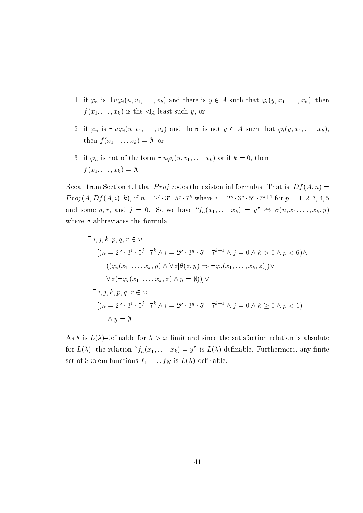- 1. if  $\varphi_n$  is  $\exists u \varphi_i(u, v_1, \ldots, v_k)$  and there is  $y \in A$  such that  $\varphi_i(y, x_1, \ldots, x_k)$ , then  $f(x_1,\ldots,x_k)$  is the  $\lhd_A$ -least such y, or
- 2. if  $\varphi_n$  is  $\exists u \varphi_i(u, v_1, \ldots, v_k)$  and there is not  $y \in A$  such that  $\varphi_i(y, x_1, \ldots, x_k)$ , then  $f(x_1,\ldots,x_k)=\emptyset$ , or
- 3. if  $\varphi_n$  is not of the form  $\exists u \varphi_i(u, v_1, \ldots, v_k)$  or if  $k = 0$ , then  $f(x_1,\ldots,x_k)=\emptyset.$

Recall from Section 4.1 that *Proj* codes the existential formulas. That is,  $Df(A, n) =$  $Proj(A, Df(A, i), k),$  if  $n = 2^5 \cdot 3^i \cdot 5^j \cdot 7^k$  where  $i = 2^p \cdot 3^q \cdot 5^r \cdot 7^{k+1}$  for  $p = 1, 2, 3, 4, 5$ and some q,r, and j = 0. So we have  ${}^{\alpha}f_n(x_1,\ldots,x_k) = y^{\gamma} \Leftrightarrow \sigma(n,x_1,\ldots,x_k,y)$ where  $\sigma$  abbreviates the formula

$$
\exists i, j, k, p, q, r \in \omega
$$
  
\n
$$
[(n = 2^5 \cdot 3^i \cdot 5^j \cdot 7^k \wedge i = 2^p \cdot 3^q \cdot 5^r \cdot 7^{k+1} \wedge j = 0 \wedge k > 0 \wedge p < 6) \wedge
$$
  
\n
$$
((\varphi_i(x_1, \ldots, x_k, y) \wedge \forall z[\theta(z, y) \Rightarrow \neg \varphi_i(x_1, \ldots, x_k, z)]) \vee
$$
  
\n
$$
\forall z(\neg \varphi_i(x_1, \ldots, x_k, z) \wedge y = \emptyset)) ] \vee
$$
  
\n
$$
\neg \exists i, j, k, p, q, r \in \omega
$$
  
\n
$$
[(n = 2^5 \cdot 3^i \cdot 5^j \cdot 7^k \wedge i = 2^p \cdot 3^q \cdot 5^r \cdot 7^{k+1} \wedge j = 0 \wedge k \ge 0 \wedge p < 6)
$$
  
\n
$$
\wedge y = \emptyset]
$$

As  $\theta$  is  $L(\lambda)$ -definable for  $\lambda > \omega$  limit and since the satisfaction relation is absolute for  $L(\lambda)$ , the relation " $f_n(x_1,\ldots,x_k)=y$ " is  $L(\lambda)$ -definable. Furthermore, any finite set of Skolem functions  $f_1, \ldots, f_N$  is  $L(\lambda)$ -definable.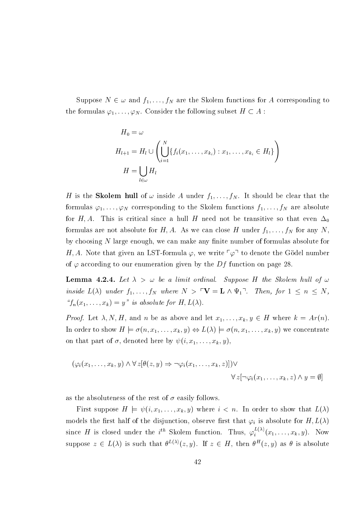Suppose  $N \in \omega$  and  $f_1, \ldots, f_N$  are the Skolem functions for A corresponding to the formulas  $\varphi_1, \ldots, \varphi_N$ . Consider the following subset  $H \subset A$ :

$$
H_0 = \omega
$$
  
\n
$$
H_{l+1} = H_l \cup \left( \bigcup_{i=1}^N \{ f_i(x_1, \dots, x_{k_i}) : x_1, \dots, x_{k_i} \in H_l \} \right)
$$
  
\n
$$
H = \bigcup_{l \in \omega} H_l
$$

H is the **Skolem hull** of  $\omega$  inside A under  $f_1, \ldots, f_N$ . It should be clear that the formulas  $\varphi_1, \ldots, \varphi_N$  corresponding to the Skolem functions  $f_1, \ldots, f_N$  are absolute for H, A. This is critical since a hull H need not be transitive so that even  $\Delta_0$ formulas are not absolute for H, A. As we can close H under  $f_1, \ldots, f_N$  for any N, by choosing  $N$  large enough, we can make any finite number of formulas absolute for H, A. Note that given an LST-formula  $\varphi$ , we write  $\lceil \varphi \rceil$  to denote the Gödel number of  $\varphi$  according to our enumeration given by the Df function on page 28.

**Lemma 4.2.4.** Let  $\lambda > \omega$  be a limit ordinal. Suppose H the Skolem hull of  $\omega$ inside  $L(\lambda)$  under  $f_1, \ldots, f_N$  where  $N > \ulcorner \mathbf{V} = \mathbf{L} \wedge \Psi_1 \urcorner$ . Then, for  $1 \leq n \leq N$ , " $f_n(x_1,\ldots,x_k)=y$ " is absolute for  $H,L(\lambda)$ .

*Proof.* Let  $\lambda, N, H$ , and n be as above and let  $x_1, \ldots, x_k, y \in H$  where  $k = Ar(n)$ . In order to show  $H \models \sigma(n, x_1, \ldots, x_k, y) \Leftrightarrow L(\lambda) \models \sigma(n, x_1, \ldots, x_k, y)$  we concentrate on that part of  $\sigma$ , denoted here by  $\psi(i, x_1, \ldots, x_k, y)$ 

$$
(\varphi_i(x_1,\ldots,x_k,y)\land \forall z[\theta(z,y)\Rightarrow \neg\varphi_i(x_1,\ldots,x_k,z)])\lor \forall z[\neg\varphi_i(x_1,\ldots,x_k,z)\land y=\emptyset]
$$

as the absoluteness of the rest of  $\sigma$  easily follows.

First suppose  $H \models \psi(i, x_1, \ldots, x_k, y)$  where  $i < n$ . In order to show that  $L(\lambda)$ models the first half of the disjunction, observe first that  $\varphi_i$  is absolute for  $H, L(\lambda)$ since H is closed under the i<sup>th</sup> Skolem function. Thus,  $\varphi_i^{L(\lambda)}(x_1,\ldots,x_k,y)$ . Now suppose  $z \in L(\lambda)$  is such that  $\theta^{L(\lambda)}(z, y)$ . If  $z \in H$ , then  $\theta^H(z, y)$  as  $\theta$  is absolute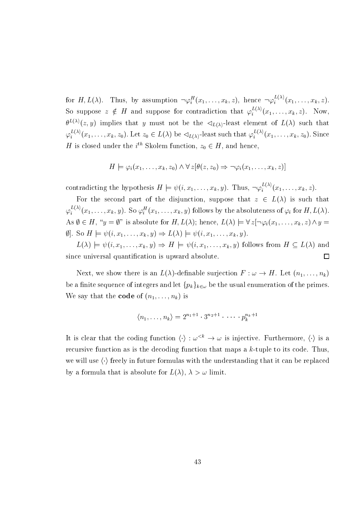for  $H, L(\lambda)$ . Thus, by assumption  $\neg \varphi_i^H(x_1,\ldots,x_k,z)$ , hence  $\neg \varphi_i^{L(\lambda)}(x_1,\ldots,x_k,z)$ . So suppose  $z \notin H$  and suppose for contradiction that  $\varphi_i^{L(\lambda)}(x_1,\ldots,x_k,z)$ . Now,  $\theta^{L(\lambda)}(z, y)$  implies that y must not be the  $\triangleleft_{L(\lambda)}$ -least element of  $L(\lambda)$  such that  $\varphi_i^{L(\lambda)}(x_1,\ldots,x_k,z_0)$ . Let  $z_0 \in L(\lambda)$  be  $\lhd_{L(\lambda)}$ -least such that  $\varphi_i^{L(\lambda)}(x_1,\ldots,x_k,z_0)$ . Since H is closed under the i<sup>th</sup> Skolem function,  $z_0 \in H$ , and hence,

$$
H \models \varphi_i(x_1,\ldots,x_k,z_0) \land \forall z[\theta(z,z_0) \Rightarrow \neg \varphi_i(x_1,\ldots,x_k,z)]
$$

contradicting the hypothesis  $H \models \psi(i, x_1, \ldots, x_k, y)$ . Thus,  $\neg \varphi_i^{L(\lambda)}(x_1, \ldots, x_k, z)$ .

For the second part of the disjunction, suppose that  $z \in L(\lambda)$  is such that  $\varphi_i^{L(\lambda)}(x_1,\ldots,x_k,y)$ . So  $\varphi_i^H(x_1,\ldots,x_k,y)$  follows by the absoluteness of  $\varphi_i$  for  $H,L(\lambda)$ . As  $\emptyset \in H$ , " $y = \emptyset$ " is absolute for  $H, L(\lambda)$ ; hence,  $L(\lambda) \models \forall z [\neg \varphi_i(x_1, \ldots, x_k, z) \land y =$  $\emptyset$ . So  $H \models \psi(i, x_1, \ldots, x_k, y) \Rightarrow L(\lambda) \models \psi(i, x_1, \ldots, x_k, y)$ .

 $L(\lambda) \models \psi(i, x_1, \ldots, x_k, y) \Rightarrow H \models \psi(i, x_1, \ldots, x_k, y)$  follows from  $H \subseteq L(\lambda)$  and since universal quantification is upward absolute.  $\Box$ 

Next, we show there is an  $L(\lambda)$ -definable surjection  $F : \omega \to H$ . Let  $(n_1, \ldots, n_k)$ be a finite sequence of integers and let  $\{p_k\}_{k\in\omega}$  be the usual enumeration of the primes. We say that the **code** of  $(n_1, \ldots, n_k)$  is

$$
\langle n_1, \ldots, n_k \rangle = 2^{n_1+1} \cdot 3^{n_2+1} \cdot \cdots \cdot p_k^{n_k+1}
$$

It is clear that the coding function  $\langle \cdot \rangle : \omega^{k} \to \omega$  is injective. Furthermore,  $\langle \cdot \rangle$  is a recursive function as is the decoding function that maps a  $k$ -tuple to its code. Thus, we will use  $\langle \cdot \rangle$  freely in future formulas with the understanding that it can be replaced by a formula that is absolute for  $L(\lambda)$ ,  $\lambda > \omega$  limit.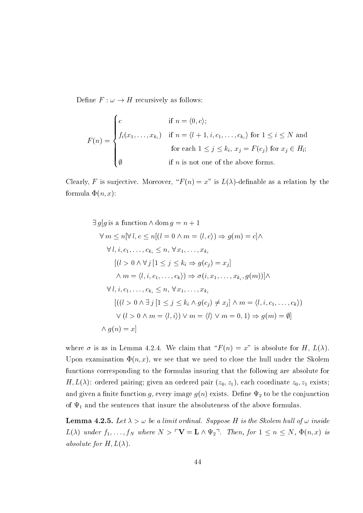Define  $F : \omega \to H$  recursively as follows:

$$
F(n) = \begin{cases} c & \text{if } n = \langle 0, c \rangle; \\ f_i(x_1, \dots, x_{k_i}) & \text{if } n = \langle l+1, i, c_1, \dots, c_{k_i} \rangle \text{ for } 1 \le i \le N \text{ and} \\ & \text{for each } 1 \le j \le k_i, x_j = F(c_j) \text{ for } x_j \in H_l; \\ \emptyset & \text{if } n \text{ is not one of the above forms.} \end{cases}
$$

Clearly, F is surjective. Moreover, " $F(n) = x$ " is  $L(\lambda)$ -definable as a relation by the formula  $\Phi(n, x)$ :

$$
\exists g[g \text{ is a function } \wedge \text{ dom } g = n + 1
$$
  
\n
$$
\forall m \le n[\forall l, c \le n[(l = 0 \land m = \langle l, c \rangle) \Rightarrow g(m) = c] \wedge
$$
  
\n
$$
\forall l, i, c_1, \dots, c_{k_i} \le n, \forall x_1, \dots, x_{k_i}
$$
  
\n
$$
[(l > 0 \land \forall j [1 \le j \le k_i \Rightarrow g(c_j) = x_j]
$$
  
\n
$$
\land m = \langle l, i, c_1, \dots, c_k \rangle) \Rightarrow \sigma(i, x_1, \dots, x_{k_i}, g(m))] \land
$$
  
\n
$$
\forall l, i, c_1, \dots, c_{k_i} \le n, \forall x_1, \dots, x_{k_i}
$$
  
\n
$$
[((l > 0 \land \exists j [1 \le j \le k_i \land g(c_j) \ne x_j] \land m = \langle l, i, c_1, \dots, c_k \rangle)
$$
  
\n
$$
\lor (l > 0 \land m = \langle l, i \rangle) \lor m = \langle l \rangle \lor m = 0, 1) \Rightarrow g(m) = \emptyset]
$$
  
\n
$$
\land g(n) = x]
$$

where  $\sigma$  is as in Lemma 4.2.4. We claim that " $F(n) = x$ " is absolute for H,  $L(\lambda)$ . Upon examination  $\Phi(n, x)$ , we see that we need to close the hull under the Skolem functions corresponding to the formulas insuring that the following are absolute for  $H, L(\lambda)$ : ordered pairing; given an ordered pair  $(z_0, z_1)$ , each coordinate  $z_0, z_1$  exists; and given a finite function g, every image  $g(n)$  exists. Define  $\Psi_2$  to be the conjunction of  $\Psi_1$  and the sentences that insure the absoluteness of the above formulas.

**Lemma 4.2.5.** Let  $\lambda > \omega$  be a limit ordinal. Suppose H is the Skolem hull of  $\omega$  inside  $L(\lambda)$  under  $f_1, \ldots, f_N$  where  $N > \ulcorner \mathbf{V} = \mathbf{L} \wedge \Psi_2 \urcorner$ . Then, for  $1 \leq n \leq N$ ,  $\Phi(n, x)$  is absolute for  $H, L(\lambda)$ .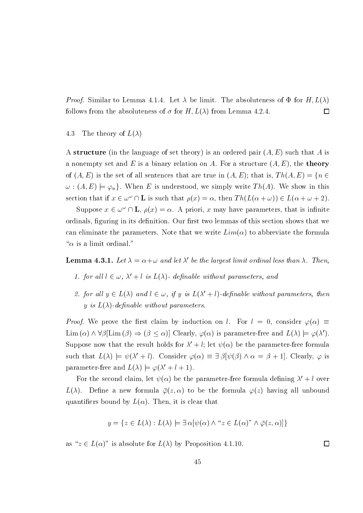*Proof.* Similar to Lemma 4.1.4. Let  $\lambda$  be limit. The absoluteness of  $\Phi$  for  $H, L(\lambda)$ follows from the absoluteness of  $\sigma$  for H,  $L(\lambda)$  from Lemma 4.2.4.  $\Box$ 

### 4.3 The theory of  $L(\lambda)$

A structure (in the language of set theory) is an ordered pair  $(A, E)$  such that A is a nonempty set and E is a binary relation on A. For a structure  $(A, E)$ , the **theory** of  $(A, E)$  is the set of all sentences that are true in  $(A, E)$ ; that is,  $Th(A, E) = \{n \in$  $\omega$ :  $(A, E) \models \varphi_n$ . When E is understood, we simply write Th(A). We show in this section that if  $x \in \omega^{\omega} \cap L$  is such that  $\rho(x) = \alpha$ , then  $Th(L(\alpha + \omega)) \in L(\alpha + \omega + 2)$ .

Suppose  $x \in \omega^{\omega} \cap L$ ,  $\rho(x) = \alpha$ . A priori, x may have parameters, that is infinite ordinals, figuring in its definition. Our first two lemmas of this section shows that we can eliminate the parameters. Note that we write  $Lim(\alpha)$  to abbreviate the formula " $\alpha$  is a limit ordinal."

**Lemma 4.3.1.** Let  $\lambda = \alpha + \omega$  and let  $\lambda'$  be the largest limit ordinal less than  $\lambda$ . Then,

- 1. for all  $l \in \omega$ ,  $\lambda' + l$  is  $L(\lambda)$  definable without parameters, and
- 2. for all  $y \in L(\lambda)$  and  $l \in \omega$ , if y is  $L(\lambda' + l)$ -definable without parameters, then y is  $L(\lambda)$ -definable without parameters.

*Proof.* We prove the first claim by induction on l. For  $l = 0$ , consider  $\varphi(\alpha) \equiv$  $\text{Lim}\,(\alpha) \wedge \forall \beta[\text{Lim}\,(\beta) \Rightarrow (\beta \leq \alpha)]$  Clearly,  $\varphi(\alpha)$  is parameter-free and  $L(\lambda) \models \varphi(\lambda')$ . Suppose now that the result holds for  $\lambda' + l$ ; let  $\psi(\alpha)$  be the parameter-free formula such that  $L(\lambda) \models \psi(\lambda' + l)$ . Consider  $\varphi(\alpha) \equiv \exists \beta[\psi(\beta) \land \alpha = \beta + 1]$ . Clearly,  $\varphi$  is parameter-free and  $L(\lambda) \models \varphi(\lambda' + l + 1)$ .

For the second claim, let  $\psi(\alpha)$  be the parameter-free formula defining  $\lambda' + l$  over  $L(\lambda)$ . Define a new formula  $\overline{\varphi}(z,\alpha)$  to be the formula  $\varphi(z)$  having all unbound quantifiers bound by  $L(\alpha)$ . Then, it is clear that

$$
y = \{ z \in L(\lambda) : L(\lambda) \models \exists \alpha [\psi(\alpha) \land "z \in L(\alpha)" \land \overline{\varphi}(z, \alpha)] \}
$$

as " $z \in L(\alpha)$ " is absolute for  $L(\lambda)$  by Proposition 4.1.10.

 $\Box$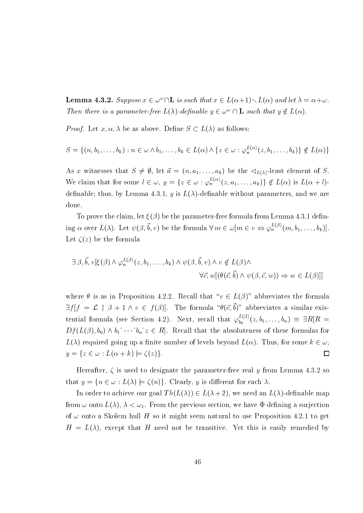**Lemma 4.3.2.** Suppose  $x \in \omega^{\omega} \cap L$  is such that  $x \in L(\alpha+1) \setminus L(\alpha)$  and let  $\lambda = \alpha + \omega$ . Then there is a parameter-free  $L(\lambda)$ -definable  $y \in \omega^{\omega} \cap L$  such that  $y \notin L(\alpha)$ .

*Proof.* Let  $x, \alpha, \lambda$  be as above. Define  $S \subset L(\lambda)$  as follows:

$$
S = \{(n, b_1, \ldots, b_k) : n \in \omega \wedge b_1, \ldots, b_k \in L(\alpha) \wedge \{z \in \omega : \varphi_n^{L(\alpha)}(z, b_1, \ldots, b_k)\} \notin L(\alpha)\}\
$$

As x witnesses that  $S \neq \emptyset$ , let  $\vec{a} = (n, a_1, \ldots, a_k)$  be the  $\triangleleft_{L(\lambda)}$ -least element of S. We claim that for some  $l \in \omega$ ,  $y = \{z \in \omega : \varphi_n^{L(\alpha)}(z, a_1, \ldots, a_k)\}\notin L(\alpha)$  is  $L(\alpha + l)$ definable; thus, by Lemma 4.3.1, y is  $L(\lambda)$ -definable without parameters, and we are done.

To prove the claim, let  $\xi(\beta)$  be the parameter-free formula from Lemma 4.3.1 defining  $\alpha$  over  $L(\lambda)$ . Let  $\psi(\beta, \vec{b}, v)$  be the formula  $\forall m \in \omega[m \in v \Leftrightarrow \varphi_n^{L(\beta)}(m, b_1, \ldots, b_k)]$ Let  $\zeta(z)$  be the formula

$$
\exists \beta, \vec{b}, v[\xi(\beta) \land \varphi_n^{L(\beta)}(z, b_1, \dots, b_k) \land \psi(\beta, \vec{b}, v) \land v \notin L(\beta) \land \forall \vec{c}, w[ (\theta(\vec{c}, \vec{b}) \land \psi(\beta, \vec{c}, w)) \Rightarrow w \in L(\beta) ] ]
$$

where  $\theta$  is as in Proposition 4.2.2. Recall that " $v \in L(\beta)$ " abbreviates the formula  $\exists f | f = \mathcal{L} \upharpoonright \beta + 1 \wedge v \in f(\beta)$ . The formula " $\theta(\vec{c}, \vec{b})$ " abbreviates a similar existential formula (see Section 4.2). Next, recall that  $\varphi_{b_0}^{L(\beta)}(z, b_1, \ldots, b_n) \equiv \exists R[R =$  $Df(L(\beta), b_0) \wedge b_1^{\wedge} \cdots \wedge b_n^{\wedge} z \in R$ . Recall that the absoluteness of these formulas for  $L(\lambda)$  required going up a finite number of levels beyond  $L(\alpha)$ . Thus, for some  $k \in \omega$ .  $y = \{z \in \omega : L(\alpha + k) \models \zeta(z)\}.$  $\Box$ 

Hereafter,  $\zeta$  is used to designate the parameter-free real y from Lemma 4.3.2 so that  $y = \{n \in \omega : L(\lambda) \models \zeta(n)\}\)$ . Clearly, y is different for each  $\lambda$ .

In order to achieve our goal  $Th(L(\lambda)) \in L(\lambda+2)$ , we need an  $L(\lambda)$ -definable map from  $\omega$  onto  $L(\lambda)$ ,  $\lambda < \omega_1$ . From the previous section, we have  $\Phi$  defining a surjection of  $\omega$  onto a Skolem hull H so it might seem natural to use Proposition 4.2.1 to get  $H = L(\lambda)$ , except that H need not be transitive. Yet this is easily remedied by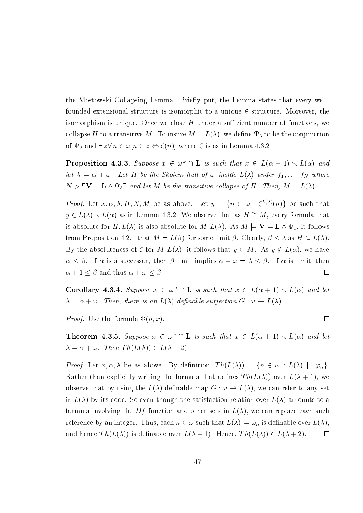the Mostowski Collapsing Lemma. Briefly put, the Lemma states that every wellfounded extensional structure is isomorphic to a unique  $\in$ -structure. Moreover, the isomorphism is unique. Once we close  $H$  under a sufficient number of functions, we collapse H to a transitive M. To insure  $M = L(\lambda)$ , we define  $\Psi_3$  to be the conjunction of  $\Psi_2$  and  $\exists z \forall n \in \omega [n \in z \Leftrightarrow \zeta(n)]$  where  $\zeta$  is as in Lemma 4.3.2.

**Proposition 4.3.3.** Suppose  $x \in \omega^{\omega} \cap L$  is such that  $x \in L(\alpha + 1) \setminus L(\alpha)$  and let  $\lambda = \alpha + \omega$ . Let H be the Skolem hull of  $\omega$  inside  $L(\lambda)$  under  $f_1, \ldots, f_N$  where  $N > \sqrt{\mathbf{V}} = \mathbf{L} \wedge \Psi_3$ <sup> $\top$ </sup> and let M be the transitive collapse of H. Then,  $M = L(\lambda)$ .

*Proof.* Let  $x, \alpha, \lambda, H, N, M$  be as above. Let  $y = \{n \in \omega : \zeta^{L(\lambda)}(n)\}\)$  be such that  $y \in L(\lambda) \setminus L(\alpha)$  as in Lemma 4.3.2. We observe that as  $H \cong M$ , every formula that is absolute for  $H, L(\lambda)$  is also absolute for  $M, L(\lambda)$ . As  $M \models \mathbf{V} = \mathbf{L} \wedge \Psi_1$ , it follows from Proposition 4.2.1 that  $M = L(\beta)$  for some limit  $\beta$ . Clearly,  $\beta \leq \lambda$  as  $H \subseteq L(\lambda)$ . By the absoluteness of  $\zeta$  for  $M, L(\lambda)$ , it follows that  $y \in M$ . As  $y \notin L(\alpha)$ , we have  $\alpha \leq \beta$ . If  $\alpha$  is a successor, then  $\beta$  limit implies  $\alpha + \omega = \lambda \leq \beta$ . If  $\alpha$  is limit, then  $\alpha + 1 \leq \beta$  and thus  $\alpha + \omega \leq \beta$ .  $\Box$ 

**Corollary 4.3.4.** Suppose  $x \in \omega^{\omega} \cap L$  is such that  $x \in L(\alpha + 1) \setminus L(\alpha)$  and let  $\lambda = \alpha + \omega$ . Then, there is an  $L(\lambda)$ -definable surjection  $G : \omega \to L(\lambda)$ .

 $\Box$ 

*Proof.* Use the formula  $\Phi(n, x)$ .

**Theorem 4.3.5.** Suppose  $x \in \omega^{\omega} \cap L$  is such that  $x \in L(\alpha + 1) \setminus L(\alpha)$  and let  $\lambda = \alpha + \omega$ . Then  $Th(L(\lambda)) \in L(\lambda + 2)$ .

*Proof.* Let  $x, \alpha, \lambda$  be as above. By definition,  $Th(L(\lambda)) = \{n \in \omega : L(\lambda) \models \varphi_n\}.$ Rather than explicitly writing the formula that defines  $Th(L(\lambda))$  over  $L(\lambda + 1)$ , we observe that by using the  $L(\lambda)$ -definable map  $G : \omega \to L(\lambda)$ , we can refer to any set in  $L(\lambda)$  by its code. So even though the satisfaction relation over  $L(\lambda)$  amounts to a formula involving the Df function and other sets in  $L(\lambda)$ , we can replace each such reference by an integer. Thus, each  $n \in \omega$  such that  $L(\lambda) \models \varphi_n$  is definable over  $L(\lambda)$ . and hence  $Th(L(\lambda))$  is definable over  $L(\lambda + 1)$ . Hence,  $Th(L(\lambda)) \in L(\lambda + 2)$ . 口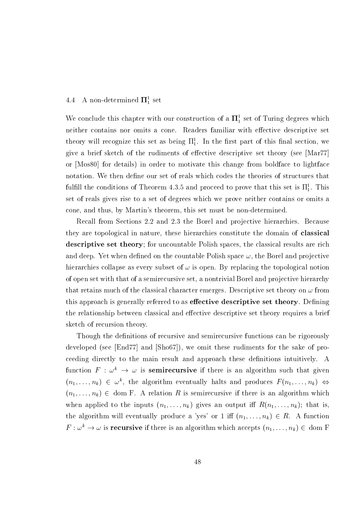## 4.4  $\,$  A non-determined  $\,$  II $_1^{\rm \tau}$  set  $\,$

We conclude this chapter with our construction of a  ${\rm II}_1^+$  set of Turing degrees which neither contains nor omits a cone. Readers familiar with effective descriptive set theory will recognize this set as being  $\Pi_1^1$ . In the first part of this final section, we give a brief sketch of the rudiments of effective descriptive set theory (see  $\left[\text{Mar}77\right]$ or [Mos80] for details) in order to motivate this change from boldface to lightface notation. We then define our set of reals which codes the theories of structures that  $10000$  the conditions of Theorem 4.5.5 and proceed to prove that this set is  $11\frac{1}{1}$ . This set of reals gives rise to a set of degrees which we prove neither contains or omits a cone, and thus, by Martin's theorem, this set must be non-determined.

Recall from Sections 2.2 and 2.3 the Borel and projective hierarchies. Because they are topological in nature, these hierarchies constitute the domain of **classical descriptive set theory**; for uncountable Polish spaces, the classical results are rich and deep. Yet when defined on the countable Polish space  $\omega$ , the Borel and projective hierarchies collapse as every subset of  $\omega$  is open. By replacing the topological notion of open set with that of a semirecursive set, a nontrivial Borel and projective hierarchy that retains much of the classical character emerges. Descriptive set theory on  $\omega$  from % 00 ,
" " 6 the relationship between classical and effective descriptive set theory requires a brief sketch of recursion theory.

Though the definitions of recursive and semirecursive functions can be rigorously developed (see  $\left[\text{End}77\right]$  and  $\left[\text{Sho}67\right]$ ), we omit these rudiments for the sake of proceeding directly to the main result and approach these definitions intuitively. A function  $F : \omega^+ \to \omega$  is semifiecursive if there is an algorithm such that given  $(n_1,\ldots,n_k)\ \in\ \omega$  , the algorithm eventually haits and produces  $r$   $(n_1,\ldots,n_k)\ \Leftrightarrow$  $(n_1, \ldots, n_k) \in \text{dom } F$ . A relation R is semirecursive if there is an algorithm which when applied to the inputs  $(n_1, \ldots, n_k)$  gives an output iff  $R(n_1, \ldots, n_k)$ ; that is, the algorithm will eventually produce a 'yes' or 1 iff  $(n_1, \ldots, n_k) \in R$ . A function  $r : \omega^* \to \omega$  is recursive if there is an algorithm which accepts  $(n_1, \ldots, n_k) \in$  dom r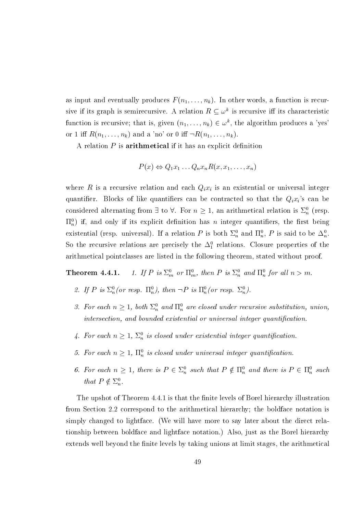as input and eventually produces  $F(n_1, \ldots, n_k)$ . In other words, a function is recursive if its graph is semirecursive. A relation  $R \n\subset \omega^k$  is recursive iff its characteristic function is recursive; that is, given  $(n_1, \ldots, n_k) \in \omega^k$ , the algorithm produces a 'yes' or 1 iff  $R(n_1,\ldots,n_k)$  and a 'no' or 0 iff  $\neg R(n_1,\ldots,n_k)$ .

A relation  $P$  is **arithmetical** if it has an explicit definition

$$
P(x) \Leftrightarrow Q_1 x_1 \ldots Q_n x_n R(x, x_1, \ldots, x_n)
$$

where R is a recursive relation and each  $Q_i x_i$  is an existential or universal integer quantifier. Blocks of like quantifiers can be contracted so that the  $Q_i x_i$ 's can be considered alternating from  $\exists$  to  $\forall$ . For  $n \geq 1$ , an arithmetical relation is  $\Sigma_n^0$  (resp.  $\Pi_n^0$ ) if, and only if its explicit definition has *n* integer quantifiers, the first being existential (resp. universal). If a relation P is both  $\Sigma_n^0$  and  $\Pi_n^0$ , P is said to be  $\Delta_n^0$ . So the recursive relations are precisely the  $\Delta_1^0$  relations. Closure properties of the arithmetical pointclasses are listed in the following theorem, stated without proof.

1. If P is  $\Sigma_m^0$  or  $\Pi_m^0$ , then P is  $\Sigma_n^0$  and  $\Pi_n^0$  for all  $n > m$ . Theorem 4.4.1.

- 2. If P is  $\Sigma_n^0$  (or resp.  $\Pi_n^0$ ), then  $\neg P$  is  $\Pi_n^0$  (or resp.  $\Sigma_n^0$ ).
- 3. For each  $n \geq 1$ , both  $\Sigma_n^0$  and  $\Pi_n^0$  are closed under recursive substitution, union, intersection, and bounded existential or universal integer quantification.
- 4. For each  $n \geq 1$ ,  $\Sigma_n^0$  is closed under existential integer quantification.
- 5. For each  $n \geq 1$ ,  $\Pi_n^0$  is closed under universal integer quantification.
- 6. For each  $n \geq 1$ , there is  $P \in \Sigma_n^0$  such that  $P \notin \Pi_n^0$  and there is  $P \in \Pi_n^0$  such that  $P \notin \Sigma_n^0$ .

The upshot of Theorem 4.4.1 is that the finite levels of Borel hierarchy illustration from Section 2.2 correspond to the arithmetical hierarchy; the boldface notation is simply changed to lightface. (We will have more to say later about the direct relationship between boldface and lightface notation.) Also, just as the Borel hierarchy extends well beyond the finite levels by taking unions at limit stages, the arithmetical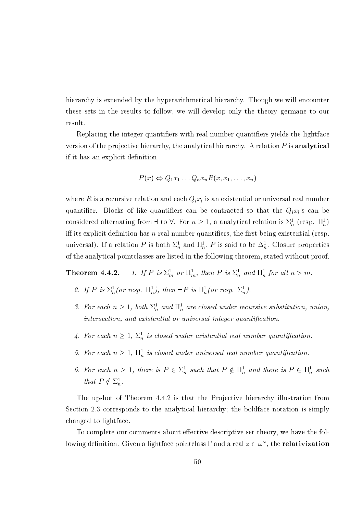hierarchy is extended by the hyperarithmetical hierarchy. Though we will encounter these sets in the results to follow, we will develop only the theory germane to our result.

Replacing the integer quantifiers with real number quantifiers yields the lightface version of the projective hierarchy, the analytical hierarchy. A relation  $P$  is analytical if it has an explicit definition

$$
P(x) \Leftrightarrow Q_1 x_1 \dots Q_n x_n R(x, x_1, \dots, x_n)
$$

where R is a recursive relation and each  $Q_i x_i$  is an existential or universal real number quantifier. Blocks of like quantifiers can be contracted so that the  $Q_i x_i$ 's can be considered alternating from  $\exists$  to  $\forall$ . For  $n \geq 1$ , a analytical relation is  $\Sigma_n^1$  (resp.  $\Pi_n^1$ ) iff its explicit definition has  $n$  real number quantifiers, the first being existential (resp. universal). If a relation P is both  $\Sigma_n^1$  and  $\Pi_n^1$ , P is said to be  $\Delta_n^1$ . Closure properties of the analytical pointclasses are listed in the following theorem, stated without proof.

1. If P is  $\Sigma_m^1$  or  $\Pi_m^1$ , then P is  $\Sigma_n^1$  and  $\Pi_n^1$  for all  $n > m$ . Theorem 4.4.2.

- 2. If P is  $\Sigma_n^1$  (or resp.  $\Pi_n^1$ ), then  $\neg P$  is  $\Pi_n^1$  (or resp.  $\Sigma_n^1$ ).
- 3. For each  $n \geq 1$ , both  $\Sigma_n^1$  and  $\Pi_n^1$  are closed under recursive substitution, union, intersection, and existential or universal integer quantification.
- 4. For each  $n \geq 1$ ,  $\Sigma_n^1$  is closed under existential real number quantification.
- 5. For each  $n \geq 1$ ,  $\Pi_n^1$  is closed under universal real number quantification.
- 6. For each  $n \geq 1$ , there is  $P \in \Sigma_n^1$  such that  $P \notin \Pi_n^1$  and there is  $P \in \Pi_n^1$  such that  $P \notin \Sigma_n^1$ .

The upshot of Theorem 4.4.2 is that the Projective hierarchy illustration from Section 2.3 corresponds to the analytical hierarchy; the boldface notation is simply changed to lightface.

To complete our comments about effective descriptive set theory, we have the following definition. Given a lightface pointclass  $\Gamma$  and a real  $z \in \omega^{\omega}$ , the **relativization**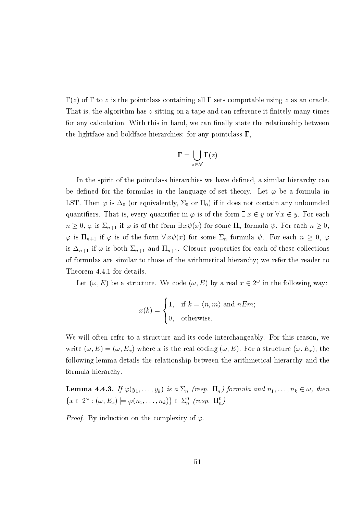$\Gamma(z)$  of  $\Gamma$  to z is the pointclass containing all  $\Gamma$  sets computable using z as an oracle. That is, the algorithm has z sitting on a tape and can reference it finitely many times for any calculation. With this in hand, we can finally state the relationship between the lightface and boldface hierarchies: for any pointclass  $\Gamma$ ,

$$
\Gamma = \bigcup_{z \in \mathcal{N}} \Gamma(z)
$$

In the spirit of the pointclass hierarchies we have defined, a similar hierarchy can be defined for the formulas in the language of set theory. Let  $\varphi$  be a formula in LST. Then  $\varphi$  is  $\Delta_0$  (or equivalently,  $\Sigma_0$  or  $\Pi_0$ ) if it does not contain any unbounded quantifiers. That is, every quantifier in  $\varphi$  is of the form  $\exists x \in y$  or  $\forall x \in y$ . For each  $n \geq 0$ ,  $\varphi$  is  $\Sigma_{n+1}$  if  $\varphi$  is of the form  $\exists x \psi(x)$  for some  $\Pi_n$  formula  $\psi$ . For each  $n \geq 0$ ,  $\varphi$  is  $\Pi_{n+1}$  if  $\varphi$  is of the form  $\forall x \psi(x)$  for some  $\Sigma_n$  formula  $\psi$ . For each  $n \geq 0$ ,  $\varphi$ is  $\Delta_{n+1}$  if  $\varphi$  is both  $\Sigma_{n+1}$  and  $\Pi_{n+1}$ . Closure properties for each of these collections of formulas are similar to those of the arithmetical hierarchy; we refer the reader to Theorem 4.4.1 for details.

Let  $(\omega, E)$  be a structure. We code  $(\omega, E)$  by a real  $x \in 2^{\omega}$  in the following way:

$$
x(k) = \begin{cases} 1, & \text{if } k = \langle n, m \rangle \text{ and } nE m; \\ 0, & \text{otherwise.} \end{cases}
$$

We will often refer to a structure and its code interchangeably. For this reason, we write  $(\omega, E) = (\omega, E_x)$  where x is the real coding  $(\omega, E)$ . For a structure  $(\omega, E_x)$ , the following lemma details the relationship between the arithmetical hierarchy and the formula hierarchy.

**Lemma 4.4.3.** If  $\varphi(y_1,\ldots,y_k)$  is a  $\Sigma_n$  (resp.  $\Pi_n$ ) formula and  $n_1,\ldots,n_k\in\omega$ , then  $\{x \in 2^{\omega} : (\omega, E_x) \models \varphi(n_1, \ldots, n_k)\} \in \Sigma_n^0$  (resp.  $\Pi_n^0$ )

*Proof.* By induction on the complexity of  $\varphi$ .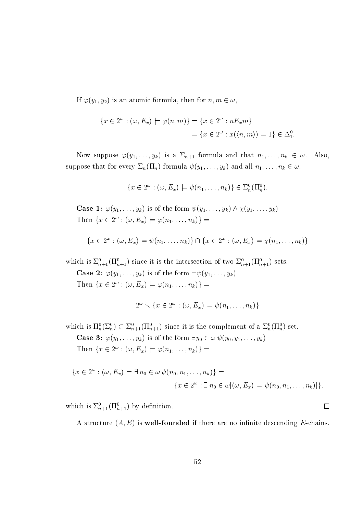If  $\varphi(y_1, y_2)$  is an atomic formula, then for  $n, m \in \omega$ ,

$$
\{x \in 2^{\omega} : (\omega, E_x) \models \varphi(n, m)\} = \{x \in 2^{\omega} : nE_x m\}
$$

$$
= \{x \in 2^{\omega} : x(\langle n, m \rangle) = 1\} \in \Delta_1^0.
$$

Now suppose  $\varphi(y_1,\ldots,y_k)$  is a  $\Sigma_{n+1}$  formula and that  $n_1,\ldots,n_k \in \omega$ . Also, suppose that for every  $\Sigma_n(\Pi_n)$  formula  $\psi(y_1,\ldots,y_k)$  and all  $n_1,\ldots,n_k\in\omega$ ,

$$
\{x \in 2^{\omega} : (\omega, E_x) \models \psi(n_1, \dots, n_k)\} \in \Sigma_n^0(\Pi_n^0)
$$

**Case 1:**  $\varphi(y_1, \ldots, y_k)$  is of the form  $\psi(y_1, \ldots, y_k) \wedge \chi(y_1, \ldots, y_k)$ Then  $\{x \in 2^{\omega} : (\omega, E_x) \models \varphi(n_1, \ldots, n_k)\}$  =

$$
\{x \in 2^{\omega} : (\omega, E_x) \models \psi(n_1, \ldots, n_k)\} \cap \{x \in 2^{\omega} : (\omega, E_x) \models \chi(n_1, \ldots, n_k)\}\
$$

which is  $\Sigma_{n+1}^0(\Pi_{n+1}^0)$  since it is the intersection of two  $\Sigma_{n+1}^0(\Pi_{n+1}^0)$  sets.

**Case 2:**  $\varphi(y_1,\ldots,y_k)$  is of the form  $\neg \psi(y_1,\ldots,y_k)$ Then  $\{x \in 2^{\omega} : (\omega, E_x) \models \varphi(n_1, \ldots, n_k)\}$  =

$$
2^{\omega} \setminus \{x \in 2^{\omega} : (\omega, E_x) \models \psi(n_1, \ldots, n_k)\}
$$

which is  $\Pi_n^0(\Sigma_n^0) \subset \Sigma_{n+1}^0(\Pi_{n+1}^0)$  since it is the complement of a  $\Sigma_n^0(\Pi_n^0)$  set.

**Case 3:**  $\varphi(y_1, \ldots, y_k)$  is of the form  $\exists y_0 \in \omega \psi(y_0, y_1, \ldots, y_k)$ 

Then  $\{x \in 2^{\omega} : (\omega, E_x) \models \varphi(n_1, \ldots, n_k)\}$  =

$$
\{x \in 2^{\omega} : (\omega, E_x) \models \exists n_0 \in \omega \, \psi(n_0, n_1, \dots, n_k)\} =
$$

$$
\{x \in 2^{\omega} : \exists n_0 \in \omega[(\omega, E_x) \models \psi(n_0, n_1, \dots, n_k)]\}.
$$

which is  $\Sigma_{n+1}^0(\Pi_{n+1}^0)$  by definition.

A structure  $(A, E)$  is well-founded if there are no infinite descending E-chains.

 $\Box$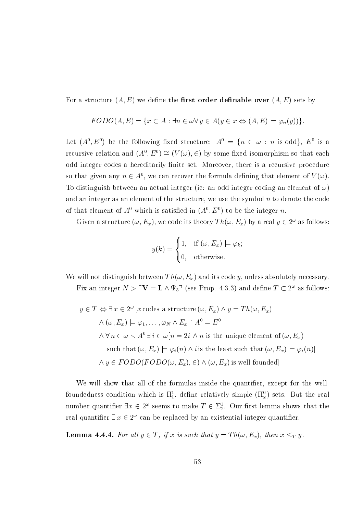For a structure  $(A, E)$  we define the **first order definable over**  $(A, E)$  sets by

$$
FODO(A, E) = \{x \subset A : \exists n \in \omega \forall y \in A(y \in x \Leftrightarrow (A, E) \models \varphi_n(y))\}.
$$

Let  $(A^0, E^0)$  be the following fixed structure:  $A^0 = \{n \in \omega : n \text{ is odd}\}, E^0$  is a recursive relation and  $(A^0, E^0) \cong (V(\omega), \in)$  by some fixed isomorphism so that each odd integer codes a hereditarily finite set. Moreover, there is a recursive procedure so that given any  $n \in A^0$ , we can recover the formula defining that element of  $V(\omega)$ . To distinguish between an actual integer (ie: an odd integer coding an element of  $\omega$ ) and an integer as an element of the structure, we use the symbol  $\bar{n}$  to denote the code of that element of  $A^0$  which is satisfied in  $(A^0, E^0)$  to be the integer n.

Given a structure  $(\omega, E_x)$ , we code its theory  $Th(\omega, E_x)$  by a real  $y \in 2^{\omega}$  as follows:

$$
y(k) = \begin{cases} 1, & \text{if } (\omega, E_x) \models \varphi_k; \\ 0, & \text{otherwise.} \end{cases}
$$

We will not distinguish between  $Th(\omega, E_x)$  and its code y, unless absolutely necessary. Fix an integer  $N > \sqrt{\ }V = L \wedge \Psi_3 \wedge$  (see Prop. 4.3.3) and define  $T \subset 2^{\omega}$  as follows:

$$
y \in T \Leftrightarrow \exists x \in 2^{\omega} \left[ x \text{ codes a structure } (\omega, E_x) \land y = Th(\omega, E_x) \right]
$$
  
\n
$$
\land (\omega, E_x) \models \varphi_1, \dots, \varphi_N \land E_x \upharpoonright A^0 = E^0
$$
  
\n
$$
\land \forall n \in \omega \smallsetminus A^0 \exists i \in \omega [n = 2i \land n \text{ is the unique element of } (\omega, E_x) \text{ such that } (\omega, E_x) \models \varphi_i(n) \land i \text{ is the least such that } (\omega, E_x) \models \varphi_i(n) \text{]} \land y \in FODO(FODO(\omega, E_x), \in) \land (\omega, E_x) \text{ is well-founded} \right]
$$

We will show that all of the formulas inside the quantifier, except for the wellfoundedness condition which is  $\Pi_1^1$ , define relatively simple  $(\Pi_\omega^0)$  sets. But the real number quantifier  $\exists x \in 2^{\omega}$  seems to make  $T \in \Sigma_2^1$ . Our first lemma shows that the real quantifier  $\exists x \in 2^{\omega}$  can be replaced by an existential integer quantifier.

**Lemma 4.4.4.** For all  $y \in T$ , if x is such that  $y = Th(\omega, E_x)$ , then  $x \leq_T y$ .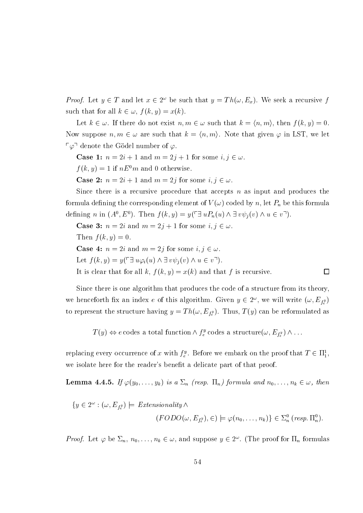*Proof.* Let  $y \in T$  and let  $x \in 2^{\omega}$  be such that  $y = Th(\omega, E_x)$ . We seek a recursive f such that for all  $k \in \omega$ ,  $f(k, y) = x(k)$ .

Let  $k \in \omega$ . If there do not exist  $n, m \in \omega$  such that  $k = \langle n, m \rangle$ , then  $f(k, y) = 0$ . Now suppose  $n, m \in \omega$  are such that  $k = \langle n, m \rangle$ . Note that given  $\varphi$  in LST, we let  $\lceil \varphi \rceil$  denote the Gödel number of  $\varphi$ .

**Case 1:**  $n = 2i + 1$  and  $m = 2j + 1$  for some  $i, j \in \omega$ .

 $f(k, y) = 1$  if  $nE^{0}m$  and 0 otherwise.

**Case 2:**  $n = 2i + 1$  and  $m = 2j$  for some  $i, j \in \omega$ .

Since there is a recursive procedure that accepts  $n$  as input and produces the formula defining the corresponding element of  $V(\omega)$  coded by n, let  $P_n$  be this formula defining *n* in  $(A^0, E^0)$ . Then  $f(k, y) = y(\ulcorner \exists u P_n(u) \land \exists v \psi_j(v) \land u \in v \urcorner).$ 

**Case 3:**  $n = 2i$  and  $m = 2j + 1$  for some  $i, j \in \omega$ . Then  $f(k, y) = 0$ .

**Case 4:**  $n = 2i$  and  $m = 2j$  for some  $i, j \in \omega$ .

Let  $f(k, y) = y(\ulcorner \exists u \varphi_i(u) \land \exists v \psi_i(v) \land u \in v \urcorner).$ 

It is clear that for all k,  $f(k, y) = x(k)$  and that f is recursive.  $\Box$ 

Since there is one algorithm that produces the code of a structure from its theory, we henceforth fix an index e of this algorithm. Given  $y \in 2^{\omega}$ , we will write  $(\omega, E_{f_s^y})$ to represent the structure having  $y = Th(\omega, E_{f_*^y})$ . Thus,  $T(y)$  can be reformulated as

 $T(y) \Leftrightarrow e$  codes a total function  $\wedge f_e^y$  codes a structure $(\omega, E_{f_e^y}) \wedge \dots$ 

replacing every occurrence of x with  $f_e^y$ . Before we embark on the proof that  $T \in \Pi_1^1$ , we isolate here for the reader's benefit a delicate part of that proof.

**Lemma 4.4.5.** If  $\varphi(y_0,\ldots,y_k)$  is a  $\Sigma_n$  (resp.  $\Pi_n$ ) formula and  $n_0,\ldots,n_k\in\omega$ , then

$$
\{y \in 2^{\omega} : (\omega, E_{f_e^y}) \models \text{Extensionality} \land
$$

$$
(FODO(\omega, E_{f_e^y}), \in) \models \varphi(n_0, \dots, n_k) \} \in \Sigma_n^0 \text{ (resp. } \Pi_n^0).
$$

*Proof.* Let  $\varphi$  be  $\Sigma_n$ ,  $n_0, \ldots, n_k \in \omega$ , and suppose  $y \in 2^{\omega}$ . (The proof for  $\Pi_n$  formulas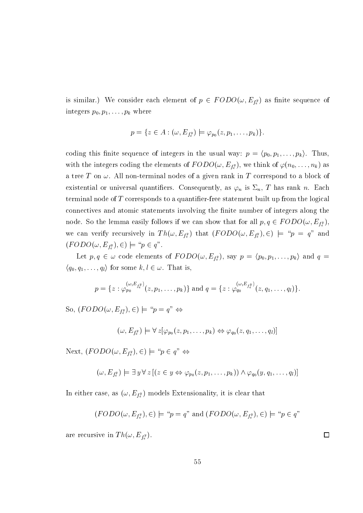is similar.) We consider each element of  $p \in FODO(\omega, E_{f_e^y})$  as finite sequence of integers  $p_0, p_1, \ldots, p_k$  where

$$
p = \{ z \in A : (\omega, E_{f_e^y}) \models \varphi_{p_0}(z, p_1, \ldots, p_k) \}.
$$

coding this finite sequence of integers in the usual way:  $p = \langle p_0, p_1, \ldots, p_k \rangle$ . Thus, with the integers coding the elements of  $FODO(\omega, E_{f_e^y})$ , we think of  $\varphi(n_0, \ldots, n_k)$  as a tree T on  $\omega$ . All non-terminal nodes of a given rank in T correspond to a block of existential or universal quantifiers. Consequently, as  $\varphi_n$  is  $\Sigma_n$ , T has rank n. Each terminal node of  $T$  corresponds to a quantifier-free statement built up from the logical connectives and atomic statements involving the finite number of integers along the node. So the lemma easily follows if we can show that for all  $p, q \in FODO(\omega, E_{f_s^y})$ , we can verify recursively in  $Th(\omega, E_{f_e^y})$  that  $(FODO(\omega, E_{f_e^y}), \epsilon) \models "p = q"$  and  $(FODO(\omega, E_{f_e^y}), \in) \models "p \in q".$ 

Let  $p, q \in \omega$  code elements of  $FODO(\omega, E_{f_e^y})$ , say  $p = \langle p_0, p_1, \ldots, p_k \rangle$  and  $q =$  $\langle q_0, q_1, \ldots, q_l \rangle$  for some  $k, l \in \omega$ . That is,

$$
p = \{z : \varphi_{p_0}^{(\omega, E_{f_\epsilon^y})}(z, p_1, \ldots, p_k)\}\
$$
and  $q = \{z : \varphi_{q_0}^{(\omega, E_{f_\epsilon^y})}(z, q_1, \ldots, q_l)\}.$ 

So,  $(FODO(\omega, E_{f^y}), \epsilon) \models "p = q" \Leftrightarrow$ 

$$
(\omega,E_{f_e^y})\models\forall\,z[\varphi_{p_0}(z,p_1,\ldots,p_k)\Leftrightarrow\varphi_{q_0}(z,q_1,\ldots,q_l)]
$$

Next,  $(FODO(w, E_{t^y}), \in) \models "p \in q" \Leftrightarrow$ 

$$
(\omega, E_{f_e^y}) \models \exists y \forall z [(z \in y \Leftrightarrow \varphi_{p_0}(z, p_1, \ldots, p_k)) \land \varphi_{q_0}(y, q_1, \ldots, q_l)]
$$

In either case, as  $(\omega, E_{f_e^y})$  models Extensionality, it is clear that

$$
(FODO(\omega, E_{f_e^y}), \epsilon) \models "p = q"
$$
 and  $(FODO(\omega, E_{f_e^y}), \epsilon) \models "p \in q"$ 

are recursive in  $Th(\omega, E_{f_e^y})$ .

55

 $\Box$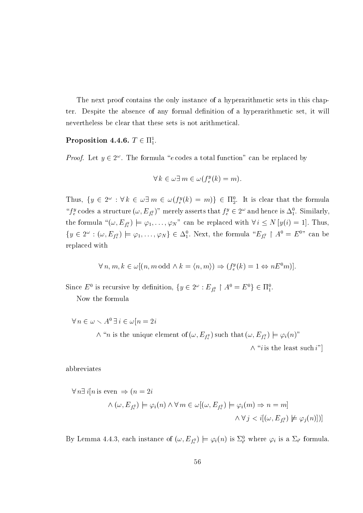The next proof contains the only instance of a hyperarithmetic sets in this chapter. Despite the absence of any formal definition of a hyperarithmetic set, it will nevertheless be clear that these sets is not arithmetical.

## Proposition 4.4.6.  $T \in \Pi_1^1$ .

*Proof.* Let  $y \in 2^{\omega}$ . The formula "e codes a total function" can be replaced by

$$
\forall k \in \omega \exists m \in \omega (f_e^y(k) = m).
$$

Thus,  $\{y \in 2^{\omega} : \forall k \in \omega \exists m \in \omega (f_e^y(k) = m)\}\in \Pi_2^0$ . It is clear that the formula " $f_e^y$  codes a structure  $(\omega, E_{f_e^y})$ " merely asserts that  $f_e^y \in 2^\omega$  and hence is  $\Delta_1^0$ . Similarly, the formula " $(\omega, E_{f_e^y}) \models \varphi_1, \ldots, \varphi_N$ " can be replaced with  $\forall i \le N \, [y(i) = 1]$ . Thus,  $\{y \in 2^{\omega} : (\omega, E_{f_e^y}) \models \varphi_1, \ldots, \varphi_N\} \in \Delta_1^0$ . Next, the formula " $E_{f_e^y} \restriction A^0 = E^{0}$ " can be replaced with

$$
\forall n, m, k \in \omega[(n, m \text{ odd } \wedge k = \langle n, m \rangle) \Rightarrow (f_e^y(k) = 1 \Leftrightarrow nE^0 m)].
$$

Since  $E^0$  is recursive by definition,  $\{y \in 2^\omega : E_{f_e^y} \upharpoonright A^0 = E^0\} \in \Pi_1^0$ .

Now the formula

 $\forall n \in \omega \setminus A^0 \,\exists \, i \in \omega \, | n = 2i$  $\wedge$  "*n* is the unique element of  $(\omega, E_{f_\epsilon^y})$  such that  $(\omega, E_{f_\epsilon^y}) \models \varphi_i(n)$ "

 $\wedge$  "*i* is the least such *i*"

abbreviates

$$
\forall n \exists i [n \text{ is even } \Rightarrow (n = 2i
$$
  

$$
\land (\omega, E_{f_e^y}) \models \varphi_i(n) \land \forall m \in \omega[(\omega, E_{f_e^y}) \models \varphi_i(m) \Rightarrow n = m]
$$
  

$$
\land \forall j < i[(\omega, E_{f_e^y}) \not\models \varphi_j(n)])]
$$

By Lemma 4.4.3, each instance of  $(\omega, E_{f_e^y}) \models \varphi_i(n)$  is  $\Sigma_{i'}^0$  where  $\varphi_i$  is a  $\Sigma_{i'}$  formula.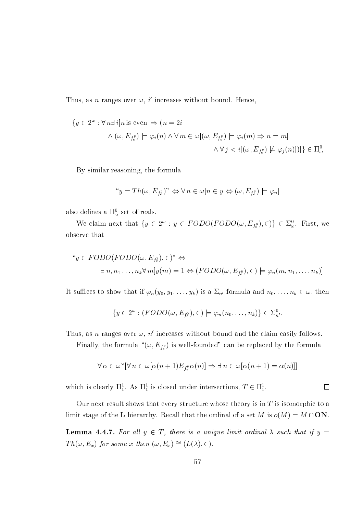Thus, as *n* ranges over  $\omega$ , *i'* increases without bound. Hence,

$$
\{y \in 2^{\omega} : \forall n \exists i [n \text{ is even } \Rightarrow (n = 2i
$$

$$
\land (\omega, E_{f^y}) \models \varphi_i(n) \land \forall m \in \omega[(\omega, E_{f^y}) \models \varphi_i(m) \Rightarrow n = m]
$$

$$
\land \forall j < i[(\omega, E_{f^y}) \not\models \varphi_j(n)])] \in \Pi^0_{\omega}
$$

By similar reasoning, the formula

$$
``y = Th(\omega, E_{f_e^y})" \Leftrightarrow \forall n \in \omega[n \in y \Leftrightarrow (\omega, E_{f_e^y}) \models \varphi_n]
$$

also defines a  $\Pi_\omega^0$  set of reals.

We claim next that  $\{y \in 2^{\omega}: y \in FODO(FODO(\omega, E_{f_{\epsilon}^y}), \epsilon)\}\in \Sigma_{\omega}^0$ . First, we observe that

$$
``y \in FODO(FODO(\omega, E_{f_e^y}), \in)" \Leftrightarrow
$$
  

$$
\exists n, n_1, \dots, n_k \forall m[y(m) = 1 \Leftrightarrow (FODO(\omega, E_{f_e^y}), \in) \models \varphi_n(m, n_1, \dots, n_k)]
$$

It suffices to show that if  $\varphi_n(y_0, y_1, \ldots, y_k)$  is a  $\Sigma_{n'}$  formula and  $n_0, \ldots, n_k \in \omega$ , then

$$
\{y \in 2^{\omega} : (FODO(\omega, E_{f_e^y}), \in) \models \varphi_n(n_0, \ldots, n_k)\} \in \Sigma^0_{n'}.
$$

Thus, as *n* ranges over  $\omega$ , *n'* increases without bound and the claim easily follows.

Finally, the formula " $(\omega, E_{f_e^y})$  is well-founded" can be replaced by the formula

$$
\forall \, \alpha \in \omega^\omega [\forall \, n \in \omega [\alpha (n+1) E_{f_\epsilon^\varrho} \alpha(n)] \Rightarrow \exists \, n \in \omega [\alpha (n+1) = \alpha(n)]]
$$

which is clearly  $\Pi_1^1$ . As  $\Pi_1^1$  is closed under intersections,  $T \in \Pi_1^1$ .

Our next result shows that every structure whose theory is in  $T$  is isomorphic to a limit stage of the L hierarchy. Recall that the ordinal of a set M is  $o(M) = M \cap ON$ .

**Lemma 4.4.7.** For all  $y \in T$ , there is a unique limit ordinal  $\lambda$  such that if  $y =$  $Th(\omega, E_x)$  for some x then  $(\omega, E_x) \cong (L(\lambda), \in)$ .

 $\Box$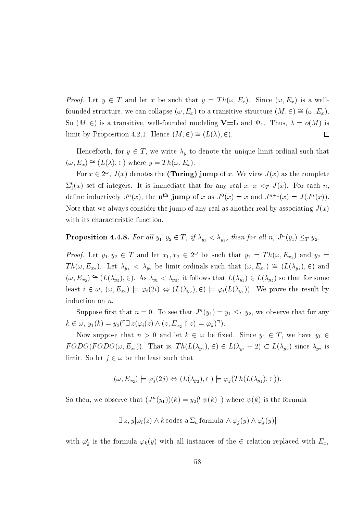*Proof.* Let  $y \in T$  and let x be such that  $y = Th(\omega, E_x)$ . Since  $(\omega, E_x)$  is a wellfounded structure, we can collapse  $(\omega, E_x)$  to a transitive structure  $(M, \in) \cong (\omega, E_x)$ . So  $(M, \in)$  is a transitive, well-founded modeling **V**=**L** and  $\Psi_1$ . Thus,  $\lambda = o(M)$  is limit by Proposition 4.2.1. Hence  $(M, \in) \cong (L(\lambda), \in)$ .  $\Box$ 

Henceforth, for  $y \in T$ , we write  $\lambda_y$  to denote the unique limit ordinal such that  $(\omega, E_x) \cong (L(\lambda), \in)$  where  $y = Th(\omega, E_x)$ .

For  $x \in 2^{\omega}$ ,  $J(x)$  denotes the (Turing) jump of x. We view  $J(x)$  as the complete  $\Sigma_1^0(x)$  set of integers. It is immediate that for any real x,  $x <_T J(x)$ . For each n. define inductively  $J^n(x)$ , the n<sup>th</sup> jump of x as  $J^0(x) = x$  and  $J^{n+1}(x) = J(J^n(x))$ . Note that we always consider the jump of any real as another real by associating  $J(x)$ with its characteristic function.

# **Proposition 4.4.8.** For all  $y_1, y_2 \in T$ , if  $\lambda_{y_1} < \lambda_{y_2}$ , then for all  $n$ ,  $J^n(y_1) \leq_T y_2$ .

*Proof.* Let  $y_1, y_2 \in T$  and let  $x_1, x_2 \in 2^{\omega}$  be such that  $y_1 = Th(\omega, E_{x_1})$  and  $y_2 =$  $Th(\omega, E_{x_2})$ . Let  $\lambda_{y_1} < \lambda_{y_2}$  be limit ordinals such that  $(\omega, E_{x_1}) \cong (L(\lambda_{y_1}), \in)$  and  $(\omega, E_{x_2}) \cong (L(\lambda_{y_2}), \in)$ . As  $\lambda_{y_1} < \lambda_{y_2}$ , it follows that  $L(\lambda_{y_1}) \in L(\lambda_{y_2})$  so that for some least  $i \in \omega$ ,  $(\omega, E_{x_2}) \models \varphi_i(2i) \Leftrightarrow (L(\lambda_{y_2}), \in) \models \varphi_i(L(\lambda_{y_1}))$ . We prove the result by induction on  $n$ .

Suppose first that  $n = 0$ . To see that  $J^n(y_1) = y_1 \leq_T y_2$ , we observe that for any  $k \in \omega, y_1(k) = y_2(\ulcorner \exists z (\varphi_i(z) \land (z, E_{x_2} \restriction z) \models \varphi_k) \urcorner).$ 

Now suppose that  $n > 0$  and let  $k \in \omega$  be fixed. Since  $y_1 \in T$ , we have  $y_1 \in$  $FODO(FODO(\omega, E_{x_1}))$ . That is,  $Th(L(\lambda_{y_1}), \epsilon) \in L(\lambda_{y_1} + 2) \subset L(\lambda_{y_2})$  since  $\lambda_{y_2}$  is limit. So let  $j \in \omega$  be the least such that

$$
(\omega, E_{x_2}) \models \varphi_j(2j) \Leftrightarrow (L(\lambda_{y_2}), \in) \models \varphi_j(Th(L(\lambda_{y_1}), \in)).
$$

So then, we observe that  $(J^n(y_1))(k) = y_2(\lceil \psi(k) \rceil)$  where  $\psi(k)$  is the formula

 $\exists z, y[\varphi_i(z) \wedge k \text{ codes a } \Sigma_n \text{ formula } \wedge \varphi_i(y) \wedge \varphi'_k(y)]$ 

with  $\varphi'_k$  is the formula  $\varphi_k(y)$  with all instances of the  $\in$  relation replaced with  $E_{x_1}$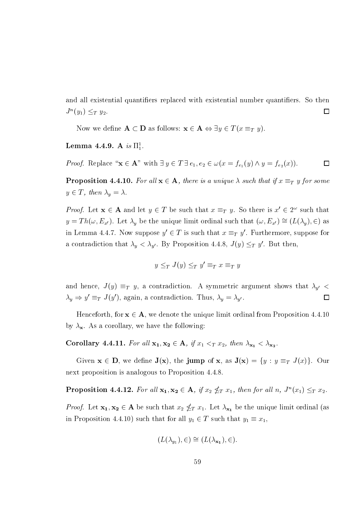and all existential quantifiers replaced with existential number quantifiers. So then  $J^{n}(y_1) \leq_T y_2.$  $\Box$ 

Now we define  $\mathbf{A} \subset \mathbf{D}$  as follows:  $\mathbf{x} \in \mathbf{A} \Leftrightarrow \exists y \in T(x \equiv_T y)$ .

## **Lemma 4.4.9.** A is  $\Pi_1^1$ .

*Proof.* Replace " $\mathbf{x} \in \mathbf{A}$ " with  $\exists y \in T \exists e_1, e_2 \in \omega(x = f_{e_1}(y) \wedge y = f_{e_2}(x)).$  $\Box$ 

**Proposition 4.4.10.** For all  $x \in A$ , there is a unique  $\lambda$  such that if  $x \equiv_T y$  for some  $y \in T$ , then  $\lambda_y = \lambda$ .

*Proof.* Let  $x \in A$  and let  $y \in T$  be such that  $x \equiv_T y$ . So there is  $x' \in 2^{\omega}$  such that  $y = Th(\omega, E_{x'})$ . Let  $\lambda_y$  be the unique limit ordinal such that  $(\omega, E_{x'}) \cong (L(\lambda_y), \in)$  as in Lemma 4.4.7. Now suppose  $y' \in T$  is such that  $x \equiv_T y'$ . Furthermore, suppose for a contradiction that  $\lambda_y < \lambda_{y'}$ . By Proposition 4.4.8,  $J(y) \leq_T y'$ . But then,

$$
y \leq_T J(y) \leq_T y' \equiv_T x \equiv_T y
$$

and hence,  $J(y) \equiv_T y$ , a contradiction. A symmetric argument shows that  $\lambda_{y'}$  $\prec$  $\lambda_y \Rightarrow y' \equiv_T J(y')$ , again, a contradiction. Thus,  $\lambda_y = \lambda_{y'}$ .  $\Box$ 

Henceforth, for  $x \in A$ , we denote the unique limit ordinal from Proposition 4.4.10 by  $\lambda_{\mathbf{x}}$ . As a corollary, we have the following:

**Corollary 4.4.11.** For all  $x_1, x_2 \in A$ , if  $x_1 \leq_T x_2$ , then  $\lambda_{x_1} \leq \lambda_{x_2}$ .

Given  $\mathbf{x} \in \mathbf{D}$ , we define  $\mathbf{J}(\mathbf{x})$ , the jump of  $\mathbf{x}$ , as  $\mathbf{J}(\mathbf{x}) = \{y : y \equiv_T J(x)\}$ . Our next proposition is analogous to Proposition 4.4.8.

**Proposition 4.4.12.** For all  $x_1, x_2 \in A$ , if  $x_2 \nleq_T x_1$ , then for all  $n$ ,  $J^n(x_1) \leq_T x_2$ .

*Proof.* Let  $x_1, x_2 \in A$  be such that  $x_2 \nleq_T x_1$ . Let  $\lambda_{x_1}$  be the unique limit ordinal (as in Proposition 4.4.10) such that for all  $y_1 \in T$  such that  $y_1 \equiv x_1$ ,

$$
(L(\lambda_{y_1}), \in) \cong (L(\lambda_{x_1}), \in).
$$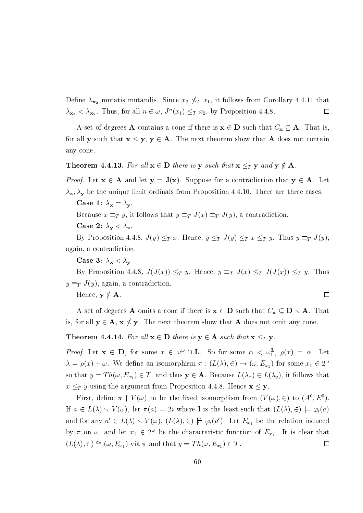Define  $\lambda_{\mathbf{x_2}}$  mutatis mutandis. Since  $x_2 \nleq_T x_1$ , it follows from Corollary 4.4.11 that  $\lambda_{x_1} < \lambda_{x_2}$ . Thus, for all  $n \in \omega$ ,  $J^n(x_1) \leq_T x_2$ , by Proposition 4.4.8.  $\Box$ 

A set of degrees **A** contains a cone if there is  $x \in D$  such that  $C_x \subseteq A$ . That is, for all y such that  $x \leq y$ ,  $y \in A$ . The next theorem show that A does not contain any cone.

## **Theorem 4.4.13.** For all  $x \in D$  there is y such that  $x \leq_T y$  and  $y \notin A$ .

*Proof.* Let  $x \in A$  and let  $y = J(x)$ . Suppose for a contradiction that  $y \in A$ . Let  $\lambda_{\mathbf{x}}, \lambda_{\mathbf{y}}$  be the unique limit ordinals from Proposition 4.4.10. There are three cases.

Case 1:  $\lambda_{\mathbf{x}} = \lambda_{\mathbf{y}}$ .

Because  $x \equiv_T y$ , it follows that  $y \equiv_T J(x) \equiv_T J(y)$ , a contradiction.

Case 2:  $\lambda_{\mathbf{v}} < \lambda_{\mathbf{x}}$ .

By Proposition 4.4.8,  $J(y) \leq_T x$ . Hence,  $y \leq_T J(y) \leq_T x \leq_T y$ . Thus  $y \equiv_T J(y)$ . again, a contradiction.

Case 3:  $\lambda_x < \lambda_y$ 

By Proposition 4.4.8,  $J(J(x)) \leq_T y$ . Hence,  $y \equiv_T J(x) \leq_T J(J(x)) \leq_T y$ . Thus  $y \equiv_T J(y)$ , again, a contradiction.

 $\Box$ 

Hence,  $y \notin A$ .

A set of degrees **A** omits a cone if there is  $x \in D$  such that  $C_x \subseteq D \setminus A$ . That is, for all  $y \in A$ ,  $x \nleq y$ . The next theorem show that A does not omit any cone.

**Theorem 4.4.14.** For all  $x \in D$  there is  $y \in A$  such that  $x \leq_T y$ .

*Proof.* Let  $\mathbf{x} \in \mathbf{D}$ , for some  $x \in \omega^{\omega} \cap \mathbf{L}$ . So for some  $\alpha < \omega_1^{\mathbf{L}}$ ,  $\rho(x) = \alpha$ . Let  $\lambda = \rho(x) + \omega$ . We define an isomorphism  $\pi : (L(\lambda), \in) \to (\omega, E_{x_1})$  for some  $x_1 \in 2^{\omega}$ so that  $y = Th(\omega, E_{x_1}) \in T$ , and thus  $y \in A$ . Because  $L(\lambda_x) \in L(\lambda_y)$ , it follows that  $x \leq_T y$  using the argument from Proposition 4.4.8. Hence  $\mathbf{x} \leq \mathbf{y}$ .

First, define  $\pi \restriction V(\omega)$  to be the fixed isomorphism from  $(V(\omega), \in)$  to  $(A^0, E^0)$ . If  $a \in L(\lambda) \setminus V(\omega)$ , let  $\pi(a) = 2i$  where I is the least such that  $(L(\lambda), \in) \models \varphi_i(a)$ and for any  $a' \in L(\lambda) \setminus V(\omega)$ ,  $(L(\lambda), \in) \not\models \varphi_i(a')$ . Let  $E_{x_1}$  be the relation induced by  $\pi$  on  $\omega$ , and let  $x_1 \in 2^{\omega}$  be the characteristic function of  $E_{x_1}$ . It is clear that  $(L(\lambda), \in) \cong (\omega, E_{x_1})$  via  $\pi$  and that  $y = Th(\omega, E_{x_1}) \in T$ .  $\Box$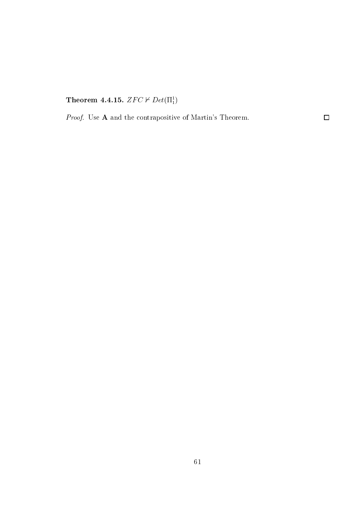Theorem 4.4.15.  $ZFC \nvdash Det(\Pi_1^1)$ 

*Proof.* Use  $A$  and the contrapositive of Martin's Theorem.

 $\Box$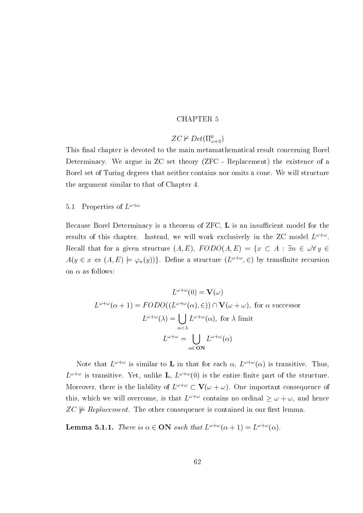## **CHAPTER 5**

## $ZC \nvdash Det(\Pi^0_{\omega+2})$

This final chapter is devoted to the main metamathematical result concerning Borel Determinacy. We argue in ZC set theory (ZFC - Replacement) the existence of a Borel set of Turing degrees that neither contains nor omits a cone. We will structure the argument similar to that of Chapter 4.

### Properties of  $L^{\omega+\omega}$  $5.1$

Because Borel Determinacy is a theorem of ZFC, L is an insufficient model for the results of this chapter. Instead, we will work exclusively in the ZC model  $L^{\omega+\omega}$ . Recall that for a given structure  $(A, E)$ ,  $FODO(A, E) = \{x \subset A : \exists n \in \omega \forall y \in A\}$  $A(y \in x \Leftrightarrow (A, E) \models \varphi_n(y))\}.$  Define a structure  $(L^{\omega+\omega}, \in)$  by transfinite recursion on  $\alpha$  as follows:

$$
L^{\omega+\omega}(0) = \mathbf{V}(\omega)
$$
  
\n
$$
L^{\omega+\omega}(\alpha+1) = FODO((L^{\omega+\omega}(\alpha), \in)) \cap \mathbf{V}(\omega+\omega), \text{ for } \alpha \text{ successor}
$$
  
\n
$$
L^{\omega+\omega}(\lambda) = \bigcup_{\alpha < \lambda} L^{\omega+\omega}(\alpha), \text{ for } \lambda \text{ limit}
$$
  
\n
$$
L^{\omega+\omega} = \bigcup_{\alpha \in \mathbf{ON}} L^{\omega+\omega}(\alpha)
$$

Note that  $L^{\omega+\omega}$  is similar to **L** in that for each  $\alpha$ ,  $L^{\omega+\omega}(\alpha)$  is transitive. Thus,  $L^{\omega+\omega}$  is transitive. Yet, unlike **L**,  $L^{\omega+\omega}(0)$  is the entire finite part of the structure. Moreover, there is the liability of  $L^{\omega+\omega} \subset \mathbf{V}(\omega+\omega)$ . One important consequence of this, which we will overcome, is that  $L^{\omega+\omega}$  contains no ordinal  $\geq \omega+\omega$ , and hence  $ZC \not\models Replacement.$  The other consequence is contained in our first lemma.

**Lemma 5.1.1.** There is  $\alpha \in \mathbf{ON}$  such that  $L^{\omega+\omega}(\alpha+1) = L^{\omega+\omega}(\alpha)$ .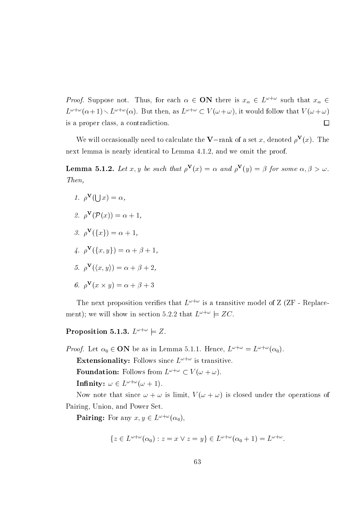*Proof.* Suppose not. Thus, for each  $\alpha \in \mathbf{ON}$  there is  $x_{\alpha} \in L^{\omega+\omega}$  such that  $x_{\alpha} \in L^{\omega+\omega}$  $L^{\omega+\omega}(\alpha+1) \setminus L^{\omega+\omega}(\alpha)$ . But then, as  $L^{\omega+\omega} \subset V(\omega+\omega)$ , it would follow that  $V(\omega+\omega)$ is a proper class, a contradiction.  $\Box$ 

We will occasionally need to calculate the **V**-rank of a set x, denoted  $\rho^{\mathbf{V}}(x)$ . The next lemma is nearly identical to Lemma 4.1.2, and we omit the proof.

**Lemma 5.1.2.** Let x, y be such that  $\rho^V(x) = \alpha$  and  $\rho^V(y) = \beta$  for some  $\alpha, \beta > \omega$ .  $Then,$ 

1.  $\rho^{\mathbf{V}}(l \mid x) = \alpha$ , 2.  $\rho^{\mathbf{V}}(\mathcal{P}(x)) = \alpha + 1$ . 3.  $\rho^{\mathbf{V}}(\{x\}) = \alpha + 1$ , 4.  $\rho^{\mathbf{V}}(\{x,y\}) = \alpha + \beta + 1$ , 5.  $\rho^{\mathbf{V}}(\langle x,y\rangle) = \alpha + \beta + 2$ ,

$$
\mathbf{6.} \ \rho^{\mathbf{V}}(x \times y) = \alpha + \beta + 3
$$

The next proposition verifies that  $L^{\omega+\omega}$  is a transitive model of Z (ZF - Replacement); we will show in section 5.2.2 that  $L^{\omega+\omega} \models ZC$ .

# Proposition 5.1.3.  $L^{\omega+\omega} \models Z$ .

*Proof.* Let  $\alpha_0 \in \mathbf{ON}$  be as in Lemma 5.1.1. Hence,  $L^{\omega+\omega} = L^{\omega+\omega}(\alpha_0)$ 

**Extensionality:** Follows since  $L^{\omega+\omega}$  is transitive.

**Foundation:** Follows from  $L^{\omega+\omega} \subset V(\omega+\omega)$ .

Infinity:  $\omega \in L^{\omega + \omega}(\omega + 1)$ .

Now note that since  $\omega + \omega$  is limit,  $V(\omega + \omega)$  is closed under the operations of Pairing, Union, and Power Set.

**Pairing:** For any  $x, y \in L^{\omega + \omega}(\alpha_0)$ ,

$$
\{z \in L^{\omega+\omega}(\alpha_0) : z = x \vee z = y\} \in L^{\omega+\omega}(\alpha_0+1) = L^{\omega+\omega}.
$$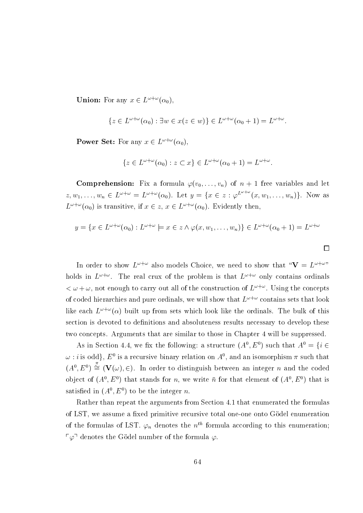**Union:** For any  $x \in L^{\omega + \omega}(\alpha_0)$ .

$$
\{z \in L^{\omega+\omega}(\alpha_0) : \exists w \in x(z \in w)\} \in L^{\omega+\omega}(\alpha_0+1) = L^{\omega+\omega}.
$$

**Power Set:** For any  $x \in L^{\omega + \omega}(\alpha_0)$ ,

$$
\{z \in L^{\omega+\omega}(\alpha_0) : z \subset x\} \in L^{\omega+\omega}(\alpha_0+1) = L^{\omega+\omega}.
$$

**Comprehension:** Fix a formula  $\varphi(v_0,\ldots,v_n)$  of  $n+1$  free variables and let  $z, w_1, \ldots, w_n \in L^{\omega + \omega} = L^{\omega + \omega}(\alpha_0)$ . Let  $y = \{x \in z : \varphi^{L^{\omega + \omega}}(x, w_1, \ldots, w_n)\}\.$  Now as  $L^{\omega+\omega}(\alpha_0)$  is transitive, if  $x \in z$ ,  $x \in L^{\omega+\omega}(\alpha_0)$ . Evidently then,

$$
y = \{x \in L^{\omega + \omega}(\alpha_0) : L^{\omega + \omega} \models x \in z \land \varphi(x, w_1, \dots, w_n)\} \in L^{\omega + \omega}(\alpha_0 + 1) = L^{\omega + \omega}
$$

In order to show  $L^{\omega+\omega}$  also models Choice, we need to show that " $V = L^{\omega+\omega}$ " holds in  $L^{\omega+\omega}$ . The real crux of the problem is that  $L^{\omega+\omega}$  only contains ordinals  $\langle \omega + \omega$ , not enough to carry out all of the construction of  $L^{\omega+\omega}$ . Using the concepts of coded hierarchies and pure ordinals, we will show that  $L^{\omega+\omega}$  contains sets that look like each  $L^{\omega+\omega}(\alpha)$  built up from sets which look like the ordinals. The bulk of this section is devoted to definitions and absoluteness results necessary to develop these two concepts. Arguments that are similar to those in Chapter 4 will be suppressed.

As in Section 4.4, we fix the following: a structure  $(A^0, E^0)$  such that  $A^0 = \{i \in$  $\omega$ : *i* is odd},  $E^0$  is a recursive binary relation on  $A^0$ , and an isomorphism  $\pi$  such that  $(A^0, E^0) \stackrel{\pi}{\cong} (\mathbf{V}(\omega), \in)$ . In order to distinguish between an integer *n* and the coded object of  $(A^0, E^0)$  that stands for *n*, we write  $\bar{n}$  for that element of  $(A^0, E^0)$  that is satisfied in  $(A^0, E^0)$  to be the integer n.

Rather than repeat the arguments from Section 4.1 that enumerated the formulas of LST, we assume a fixed primitive recursive total one-one onto Gödel enumeration of the formulas of LST.  $\varphi_n$  denotes the  $n^{th}$  formula according to this enumeration;  $\lceil \varphi \rceil$  denotes the Gödel number of the formula  $\varphi$ .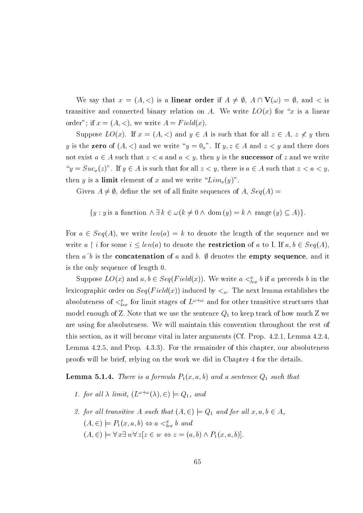We say that  $x = (A, \langle)$  is a **linear order** if  $A \neq \emptyset$ ,  $A \cap V(\omega) = \emptyset$ , and  $\langle$  is transitive and connected binary relation on A. We write  $LO(x)$  for "x is a linear order"; if  $x = (A, <)$ , we write  $A = Field(x)$ .

Suppose  $LO(x)$ . If  $x = (A, <)$  and  $y \in A$  is such that for all  $z \in A$ ,  $z \nless y$  then y is the **zero** of  $(A, \leq)$  and we write " $y = 0$ <sub>x</sub>". If  $y, z \in A$  and  $z \leq y$  and there does not exist  $a \in A$  such that  $z < a$  and  $a < y$ , then y is the **successor** of z and we write " $y = Suc_x(z)$ ". If  $y \in A$  is such that for all  $z < y$ , there is  $a \in A$  such that  $z < a < y$ , then y is a **limit** element of x and we write " $Lim_x(y)$ ".

Given  $A \neq \emptyset$ , define the set of all finite sequences of A,  $Seq(A)$ 

$$
\{y : y \text{ is a function } \land \exists k \in \omega (k \neq 0 \land \text{dom}(y) = k \land \text{range}(y) \subseteq A) \}
$$

For  $a \in Seq(A)$ , we write  $len(a) = k$  to denote the length of the sequence and we write  $a \restriction i$  for some  $i \leq len(a)$  to denote the **restriction** of a to I. If  $a, b \in Seq(A)$ . then  $a^{\dagger}b$  is the **concatenation** of a and b.  $\emptyset$  denotes the **empty sequence**, and it is the only sequence of length 0.

Suppose  $LO(x)$  and  $a, b \in Seq(Field(x))$ . We write  $a <_{lex}^x b$  if a preceeds b in the lexicographic order on  $Seq(Field(x))$  induced by  $\lt_x$ . The next lemma establishes the absoluteness of  $\langle \xi_{lex}^x$  for limit stages of  $L^{\omega+\omega}$  and for other transitive structures that model enough of Z. Note that we use the sentence  $Q_1$  to keep track of how much Z we are using for absoluteness. We will maintain this convention throughout the rest of this section, as it will become vital in later arguments (Cf. Prop. 4.2.1, Lemma 4.2.4. Lemma 4.2.5, and Prop. 4.3.3). For the remainder of this chapter, our absoluteness proofs will be brief, relying on the work we did in Chapter 4 for the details.

**Lemma 5.1.4.** There is a formula  $P_1(x, a, b)$  and a sentence  $Q_1$  such that

- 1. for all  $\lambda$  limit,  $(L^{\omega+\omega}(\lambda), \in) \models Q_1$ , and
- 2. for all transitive A such that  $(A, \in) \models Q_1$  and for all  $x, a, b \in A$ ,  $(A, \in) \models P_1(x, a, b) \Leftrightarrow a <_{lex}^x b$  and  $(A, \in) \models \forall x \exists w \forall z [z \in w \Leftrightarrow z = (a, b) \land P_1(x, a, b)].$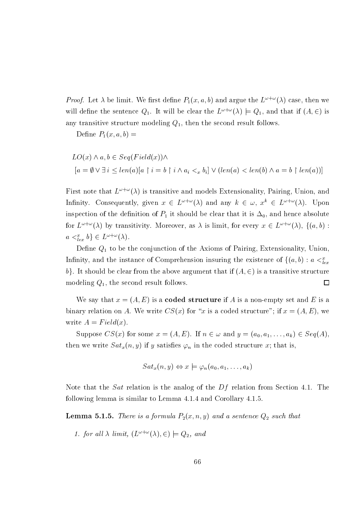*Proof.* Let  $\lambda$  be limit. We first define  $P_1(x, a, b)$  and argue the  $L^{\omega + \omega}(\lambda)$  case, then we will define the sentence  $Q_1$ . It will be clear the  $L^{\omega+\omega}(\lambda) \models Q_1$ , and that if  $(A, \in)$  is any transitive structure modeling  $Q_1$ , then the second result follows.

Define  $P_1(x,a,b) =$ 

$$
LO(x) \land a, b \in Seq(Field(x)) \land
$$
  
\n
$$
[a = \emptyset \lor \exists i \le len(a)[a \restriction i = b \restriction i \land a_i <_x b_i] \lor (len(a) < len(b) \land a = b \restriction len(a))]
$$

First note that  $L^{\omega+\omega}(\lambda)$  is transitive and models Extensionality, Pairing, Union, and Infinity. Consequently, given  $x \in L^{\omega + \omega}(\lambda)$  and any  $k \in \omega$ ,  $x^k \in L^{\omega + \omega}(\lambda)$ . Upon inspection of the definition of  $P_1$  it should be clear that it is  $\Delta_0$ , and hence absolute for  $L^{\omega+\omega}(\lambda)$  by transitivity. Moreover, as  $\lambda$  is limit, for every  $x \in L^{\omega+\omega}(\lambda)$ ,  $\{(a, b) :$  $a \lt_{lex}^x b$   $\in L^{\omega + \omega}(\lambda)$ .

Define  $Q_1$  to be the conjunction of the Axioms of Pairing, Extensionality, Union, Infinity, and the instance of Comprehension insuring the existence of  $\{(a,b): a <_{lex}^x$ b}. It should be clear from the above argument that if  $(A, \in)$  is a transitive structure modeling  $Q_1$ , the second result follows.  $\Box$ 

We say that  $x = (A, E)$  is a **coded structure** if A is a non-empty set and E is a binary relation on A. We write  $CS(x)$  for "x is a coded structure"; if  $x = (A, E)$ , we write  $A = Field(x)$ .

Suppose  $CS(x)$  for some  $x = (A, E)$ . If  $n \in \omega$  and  $y = (a_0, a_1, \ldots, a_k) \in Seq(A)$ . then we write  $Sat_x(n, y)$  if y satisfies  $\varphi_n$  in the coded structure x; that is,

$$
Sat_x(n,y) \Leftrightarrow x \models \varphi_n(a_0,a_1,\ldots,a_k)
$$

Note that the *Sat* relation is the analog of the  $Df$  relation from Section 4.1. The following lemma is similar to Lemma 4.1.4 and Corollary 4.1.5.

**Lemma 5.1.5.** There is a formula  $P_2(x, n, y)$  and a sentence  $Q_2$  such that

1. for all  $\lambda$  limit,  $(L^{\omega+\omega}(\lambda), \in) \models Q_2$ , and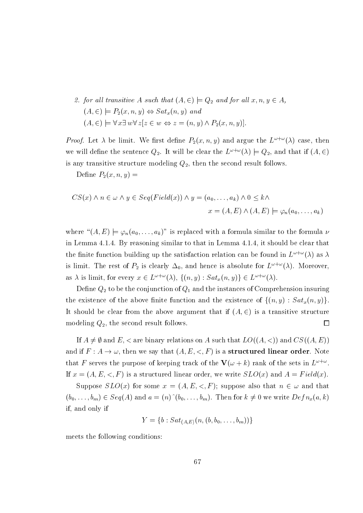2. for all transitive A such that  $(A, \in) \models Q_2$  and for all  $x, n, y \in A$ ,  $(A, \in) \models P_2(x, n, y) \Leftrightarrow Sat_x(n, y)$  and  $(A, \in) \models \forall x \exists w \forall z [z \in w \Leftrightarrow z = (n, y) \land P_2(x, n, y)].$ 

*Proof.* Let  $\lambda$  be limit. We first define  $P_2(x, n, y)$  and argue the  $L^{\omega + \omega}(\lambda)$  case, then we will define the sentence  $Q_2$ . It will be clear the  $L^{\omega+\omega}(\lambda) \models Q_2$ , and that if  $(A, \in)$ is any transitive structure modeling  $Q_2$ , then the second result follows.

Define  $P_2(x,n,y) =$ 

$$
CS(x) \land n \in \omega \land y \in Seq(Field(x)) \land y = (a_0, \dots, a_k) \land 0 \le k \land
$$

$$
x = (A, E) \land (A, E) \models \varphi_n(a_0, \dots, a_k)
$$

where " $(A, E) \models \varphi_n(a_0, \ldots, a_k)$ " is replaced with a formula similar to the formula  $\nu$ in Lemma 4.1.4. By reasoning similar to that in Lemma 4.1.4, it should be clear that the finite function building up the satisfaction relation can be found in  $L^{\omega+\omega}(\lambda)$  as  $\lambda$ is limit. The rest of  $P_2$  is clearly  $\Delta_0$ , and hence is absolute for  $L^{\omega+\omega}(\lambda)$ . Moreover, as  $\lambda$  is limit, for every  $x \in L^{\omega + \omega}(\lambda)$ ,  $\{(n, y) : Sat_x(n, y)\}\in L^{\omega + \omega}(\lambda)$ .

Define  $Q_2$  to be the conjunction of  $Q_1$  and the instances of Comprehension insuring the existence of the above finite function and the existence of  $\{(n, y) : Sat_x(n, y)\}.$ It should be clear from the above argument that if  $(A, \in)$  is a transitive structure modeling  $Q_2$ , the second result follows.  $\Box$ 

If  $A \neq \emptyset$  and E, < are binary relations on A such that  $LO((A, \leq))$  and  $CS((A, E))$ and if  $F: A \to \omega$ , then we say that  $(A, E, \langle , F \rangle)$  is a **structured linear order**. Note that F serves the purpose of keeping track of the  $\mathbf{V}(\omega + k)$  rank of the sets in  $L^{\omega + \omega}$ . If  $x = (A, E, \langle , F \rangle)$  is a structured linear order, we write  $SLO(x)$  and  $A = Field(x)$ .

Suppose  $SLO(x)$  for some  $x = (A, E, \langle , F \rangle)$ ; suppose also that  $n \in \omega$  and that  $(b_0,\ldots,b_m)\in Seq(A)$  and  $a=(n) (b_0,\ldots,b_m)$ . Then for  $k\neq 0$  we write  $Defn_x(a,k)$ if, and only if

$$
Y = \{b : Sat_{(A,E)}(n, (b, b_0, \ldots, b_m))\}
$$

meets the following conditions: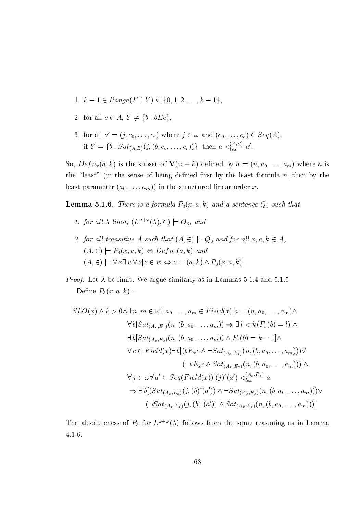- 1.  $k-1 \in Range(F \upharpoonright Y) \subseteq \{0, 1, 2, ..., k-1\},\$
- 2. for all  $c \in A$ ,  $Y \neq \{b : bEc\}$ ,
- 3. for all  $a' = (j, c_0, \ldots, c_r)$  where  $j \in \omega$  and  $(c_0, \ldots, c_r) \in Seq(A)$ , if  $Y = \{b : Sat_{(A,E)}(j, (b, c_o, \ldots, c_r))\}$ , then  $a <_{lex}^{(A, <)} a'$ .

So,  $Defn_x(a, k)$  is the subset of  $\mathbf{V}(\omega + k)$  defined by  $a = (n, a_0, \dots, a_m)$  where a is the "least" (in the sense of being defined first by the least formula  $n$ , then by the least parameter  $(a_0, \ldots, a_m)$  in the structured linear order x.

**Lemma 5.1.6.** There is a formula  $P_3(x, a, k)$  and a sentence  $Q_3$  such that

- 1. for all  $\lambda$  limit,  $(L^{\omega+\omega}(\lambda), \epsilon) \models Q_3$ , and
- 2. for all transitive A such that  $(A, \in) \models Q_3$  and for all  $x, a, k \in A$ ,  $(A, \in) \models P_3(x, a, k) \Leftrightarrow Defn_x(a, k)$  and  $(A, \in) \models \forall x \exists w \forall z [z \in w \Leftrightarrow z = (a, k) \land P_3(x, a, k)].$
- *Proof.* Let  $\lambda$  be limit. We argue similarly as in Lemmas 5.1.4 and 5.1.5. Define  $P_3(x,a,k) =$

$$
SLO(x) \wedge k > 0 \wedge \exists n, m \in \omega \exists a_0, \dots, a_m \in Field(x)[a = (n, a_0, \dots, a_m) \wedge
$$
  
\n
$$
\forall b[Sat_{(A_x, E_x)}(n, (b, a_0, \dots, a_m)) \Rightarrow \exists l < k(F_x(b) = l)] \wedge
$$
  
\n
$$
\exists b[Sat_{(A_x, E_x)}(n, (b, a_0, \dots, a_m)) \wedge F_x(b) = k - 1] \wedge
$$
  
\n
$$
\forall c \in Field(x) \exists b[(bE_xc \wedge \neg Sat_{(A_x, E_x)}(n, (b, a_0, \dots, a_m))) \vee
$$
  
\n
$$
(\neg bE_xc \wedge Sat_{(A_x, E_x)}(n, (b, a_0, \dots, a_m)))] \wedge
$$
  
\n
$$
\forall j \in \omega \forall a' \in Seq(Field(x))[(j)^(a') <_{lex}^{\langle A_x, E_x \rangle} a
$$
  
\n
$$
\Rightarrow \exists b[(Sat_{(A_x, E_x)}(j, (b)^(a')) \wedge \neg Sat_{(A_x, E_x)}(n, (b, a_0, \dots, a_m))) \vee
$$
  
\n
$$
(\neg Sat_{(A_x, E_x)}(j, (b)^(a')) \wedge Sat_{(A_x, E_x)}(n, (b, a_0, \dots, a_m)))]]
$$

The absoluteness of  $P_3$  for  $L^{\omega+\omega}(\lambda)$  follows from the same reasoning as in Lemma  $4.1.6.$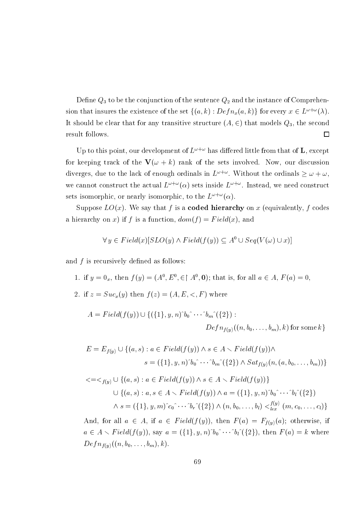Define  $Q_3$  to be the conjunction of the sentence  $Q_2$  and the instance of Comprehension that insures the existence of the set  $\{(a,k): Defn_x(a,k)\}\$ for every  $x \in L^{\omega+\omega}(\lambda)$ . It should be clear that for any transitive structure  $(A, \in)$  that models  $Q_3$ , the second result follows.  $\Box$ 

Up to this point, our development of  $L^{\omega+\omega}$  has differed little from that of **L**, except for keeping track of the  $\mathbf{V}(\omega + k)$  rank of the sets involved. Now, our discussion diverges, due to the lack of enough ordinals in  $L^{\omega+\omega}$ . Without the ordinals  $\geq \omega + \omega$ . we cannot construct the actual  $L^{\omega+\omega}(\alpha)$  sets inside  $L^{\omega+\omega}$ . Instead, we need construct sets isomorphic, or nearly isomorphic, to the  $L^{\omega+\omega}(\alpha)$ .

Suppose  $LO(x)$ . We say that f is a **coded hierarchy** on x (equivalently, f codes a hierarchy on x) if f is a function,  $dom(f) = Field(x)$ , and

$$
\forall y \in Field(x)[SLO(y) \land Field(f(y)) \subseteq A^{0} \cup Seq(V(\omega) \cup x)]
$$

and  $f$  is recursively defined as follows:

- 1. if  $y = 0_x$ , then  $f(y) = (A^0, E^0, \in [A^0, \mathbf{0})$ ; that is, for all  $a \in A$ ,  $F(a) = 0$ ,
- 2. if  $z = Suc_x(y)$  then  $f(z) = (A, E, \langle , F \rangle)$  where

$$
A = Field(f(y)) \cup \{ (\{1\}, y, n)^{\hat{b}_0} \cdots \hat{b}_m^{\hat{c}}(\{2\}) :
$$
  

$$
Defn_{f(y)}((n, b_0, \ldots, b_m), k) \text{ for some } k \}
$$

$$
E = E_{f(y)} \cup \{(a, s) : a \in Field(f(y)) \land s \in A \setminus Field(f(y)) \land s = (\{1\}, y, n)^b_0 \hat{\cdot} \cdots \hat{\cdot} b_m \hat{\cdot} (\{2\}) \land Sat_{f(y)}(n, (a, b_0, \ldots, b_m))\}
$$

$$
\langle = \langle f(y) \cup \{ (a, s) : a \in Field(f(y)) \land s \in A \setminus Field(f(y)) \} \rangle
$$
  

$$
\cup \{ (a, s) : a, s \in A \setminus Field(f(y)) \land a = (\{1\}, y, n)^b_0 \hat{\cdot} \cdots \hat{\cdot} b_l \hat{\cdot} (\{2\})
$$
  

$$
\land s = (\{1\}, y, m) \hat{c}_0 \hat{\cdot} \cdots \hat{b}_r \hat{\cdot} (\{2\}) \land (n, b_0, \ldots, b_l) \langle \{g, (m, c_0, \ldots, c_l) \} \rangle
$$

And, for all  $a \in A$ , if  $a \in Field(f(y))$ , then  $F(a) = F_{f(y)}(a)$ ; otherwise, if  $a \in A \setminus Field(f(y)),$  say  $a = (\{1\}, y, n)^b_0 \hat{\ } \cdots \hat{\ } b_l \hat{\ } (\{2\}),$  then  $F(a) = k$  where  $Defn_{f(y)}((n, b_0, \ldots, b_m), k).$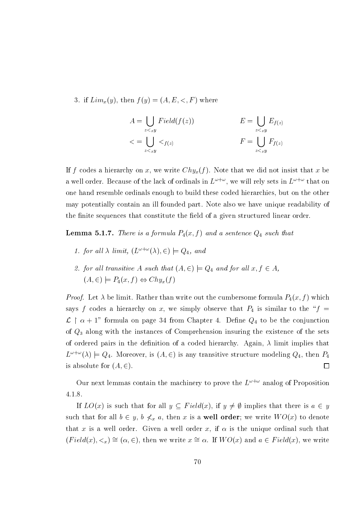3. if  $Lim_x(y)$ , then  $f(y)=(A, E, \langle , F \rangle)$  where

$$
A = \bigcup_{z <_xy} Field(f(z)) \qquad \qquad E = \bigcup_{z <_xy} E_{f(z)} \\
\langle \xi \rangle = \bigcup_{z <_xy} \langle \xi \rangle = \bigcup_{z <_xy} F_{f(z)} \qquad \qquad F = \bigcup_{z <_xy} F_{f(z)} \qquad \qquad F = \bigcup_{z <_xy} F_{f(z)} \qquad \qquad F = \bigcup_{z <_xy} F_{f(z)} \qquad \qquad F = \bigcup_{z <_xy} F_{f(z)} \qquad \qquad F = \bigcup_{z <_xy} F_{f(z)} \qquad \qquad F = \bigcup_{z <_xy} F_{f(z)} \qquad \qquad F = \bigcup_{z <_xy} F_{f(z)} \qquad \qquad F = \bigcup_{z <_xy} F_{f(z)} \qquad \qquad F = \bigcup_{z <_xy} F_{f(z)} \qquad \qquad F = \bigcup_{z <_xy} F_{f(z)} \qquad \qquad F = \bigcup_{z <_xy} F_{f(z)} \qquad \qquad F = \bigcup_{z <_xy} F_{f(z)} \qquad \qquad F = \bigcup_{z <_xy} F_{f(z)} \qquad \qquad F = \bigcup_{z <_xy} F_{f(z)} \qquad \qquad F = \bigcup_{z <_xy} F_{f(z)} \qquad \qquad F = \bigcup_{z <_xy} F_{f(z)} \qquad \qquad F = \bigcup_{z <_xy} F_{f(z)} \qquad \qquad F = \bigcup_{z <_xy} F_{f(z)} \qquad \qquad F = \bigcup_{z <_xy} F_{f(z)} \qquad \qquad F = \bigcup_{z <_xy} F_{f(z)} \qquad \qquad F = \bigcup_{z <_xy} F_{f(z)} \qquad \qquad F = \bigcup_{z <_xy} F_{f(z)} \qquad \qquad F = \bigcup_{z <_xy} F_{f(z)} \qquad \qquad F = \bigcup_{z <_xy} F_{f(z)} \qquad \qquad F = \bigcup_{z <_xy} F_{f(z)} \qquad \qquad F = \bigcup_{z <_xy} F_{f(z)} \qquad \qquad F = \bigcup_{z <_xy} F_{f(z)} \qquad \qquad F = \bigcup_{z <_xy} F_{f(z)} \qquad \
$$

If f codes a hierarchy on x, we write  $Chy_x(f)$ . Note that we did not insist that x be a well order. Because of the lack of ordinals in  $L^{\omega+\omega}$ , we will rely sets in  $L^{\omega+\omega}$  that on one hand resemble ordinals enough to build these coded hierarchies, but on the other may potentially contain an ill founded part. Note also we have unique readability of the finite sequences that constitute the field of a given structured linear order.

**Lemma 5.1.7.** There is a formula  $P_4(x, f)$  and a sentence  $Q_4$  such that

- 1. for all  $\lambda$  limit,  $(L^{\omega+\omega}(\lambda), \epsilon) \models Q_4$ , and
- 2. for all transitive A such that  $(A, \in) \models Q_4$  and for all  $x, f \in A$ ,  $(A, \in) \models P_4(x, f) \Leftrightarrow Chy_x(f)$

*Proof.* Let  $\lambda$  be limit. Rather than write out the cumbersome formula  $P_4(x, f)$  which says f codes a hierarchy on x, we simply observe that  $P_4$  is similar to the "f =  $\mathcal{L} \restriction \alpha + 1$ " formula on page 34 from Chapter 4. Define  $Q_4$  to be the conjunction of  $Q_3$  along with the instances of Comprehension insuring the existence of the sets of ordered pairs in the definition of a coded hierarchy. Again,  $\lambda$  limit implies that  $L^{\omega+\omega}(\lambda) \models Q_4$ . Moreover, is  $(A, \in)$  is any transitive structure modeling  $Q_4$ , then  $P_4$ is absolute for  $(A, \in)$ .  $\Box$ 

Our next lemmas contain the machinery to prove the  $L^{\omega+\omega}$  analog of Proposition  $4.1.8$ 

If  $LO(x)$  is such that for all  $y \subseteq Field(x)$ , if  $y \neq \emptyset$  implies that there is  $a \in y$ such that for all  $b \in y$ ,  $b \nless x a$ , then x is a **well order**; we write  $WO(x)$  to denote that x is a well order. Given a well order x, if  $\alpha$  is the unique ordinal such that  $(Field(x), \leq_x) \cong (\alpha, \in),$  then we write  $x \cong \alpha$ . If  $WO(x)$  and  $a \in Field(x)$ , we write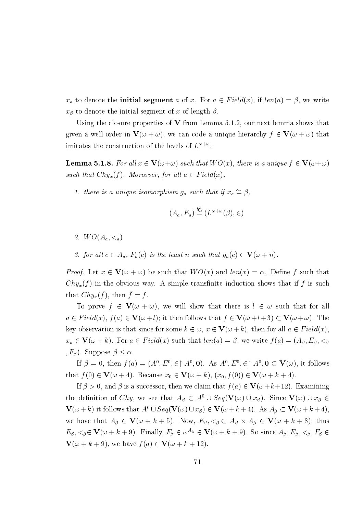$x_a$  to denote the **initial segment** a of x. For  $a \in Field(x)$ , if  $len(a) = \beta$ , we write  $x_{\beta}$  to denote the initial segment of x of length  $\beta$ .

Using the closure properties of  $V$  from Lemma 5.1.2, our next lemma shows that given a well order in  $\mathbf{V}(\omega + \omega)$ , we can code a unique hierarchy  $f \in \mathbf{V}(\omega + \omega)$  that imitates the construction of the levels of  $L^{\omega+\omega}$ .

**Lemma 5.1.8.** For all  $x \in V(\omega + \omega)$  such that  $WO(x)$ , there is a unique  $f \in V(\omega + \omega)$ such that  $Chy_x(f)$ . Moreover, for all  $a \in Field(x)$ ,

1. there is a unique isomorphism  $g_a$  such that if  $x_a \cong \beta$ ,

$$
(A_a, E_a) \stackrel{y_a}{\cong} (L^{\omega + \omega}(\beta), \in)
$$

- 2.  $WO(A_{a}, \leq_{a})$
- 3. for all  $c \in A_a$ ,  $F_a(c)$  is the least n such that  $g_a(c) \in V(\omega + n)$ .

*Proof.* Let  $x \in V(\omega + \omega)$  be such that  $WO(x)$  and  $len(x) = \alpha$ . Define f such that  $Chy_x(f)$  in the obvious way. A simple transfinite induction shows that if  $\bar{f}$  is such that  $Chy_x(\bar{f})$ , then  $\bar{f} = f$ .

To prove  $f \in V(\omega + \omega)$ , we will show that there is  $l \in \omega$  such that for all  $a \in Field(x), f(a) \in V(\omega+l);$  it then follows that  $f \in V(\omega+l+3) \subset V(\omega+\omega)$ . The key observation is that since for some  $k \in \omega$ ,  $x \in V(\omega + k)$ , then for all  $a \in Field(x)$ ,  $x_a \in \mathbf{V}(\omega + k)$ . For  $a \in Field(x)$  such that  $len(a) = \beta$ , we write  $f(a) = (A_{\beta}, E_{\beta}, <_{\beta})$  $(F_{\beta})$ . Suppose  $\beta < \alpha$ .

If  $\beta = 0$ , then  $f(a) = (A^0, E^0, \in \mathcal{A}^0, \mathbf{0})$ . As  $A^0, E^0, \in \mathcal{A}^0, \mathbf{0} \subset \mathbf{V}(\omega)$ , it follows that  $f(0) \in \mathbf{V}(\omega + 4)$ . Because  $x_0 \in \mathbf{V}(\omega + k)$ ,  $(x_0, f(0)) \in \mathbf{V}(\omega + k + 4)$ .

If  $\beta > 0$ , and  $\beta$  is a successor, then we claim that  $f(a) \in V(\omega + k + 12)$ . Examining the definition of Chy, we see that  $A_{\beta} \subset A^0 \cup Seq(V(\omega) \cup x_{\beta})$ . Since  $V(\omega) \cup x_{\beta} \in$  $\mathbf{V}(\omega + k)$  it follows that  $A^0 \cup Seq(\mathbf{V}(\omega) \cup x_\beta) \in \mathbf{V}(\omega + k + 4)$ . As  $A_\beta \subset \mathbf{V}(\omega + k + 4)$ . we have that  $A_{\beta} \in V(\omega + k + 5)$ . Now,  $E_{\beta} \leq \beta \leq A_{\beta} \times A_{\beta} \in V(\omega + k + 8)$ , thus  $E_{\beta}, \langle \beta \in \mathbf{V}(\omega + k + 9) \rangle$ . Finally,  $F_{\beta} \in \omega^{A_{\beta}} \in \mathbf{V}(\omega + k + 9)$ . So since  $A_{\beta}, E_{\beta}, \langle \beta, F_{\beta} \rangle \in$  $\mathbf{V}(\omega + k + 9)$ , we have  $f(a) \in \mathbf{V}(\omega + k + 12)$ .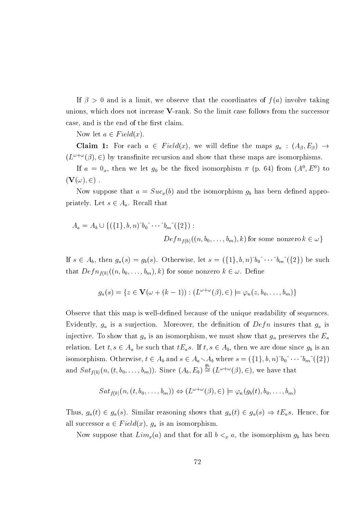If  $\beta > 0$  and is a limit, we observe that the coordinates of  $f(a)$  involve taking unions, which does not increase V-rank. So the limit case follows from the successor case, and is the end of the first claim.

Now let  $a \in Field(x)$ .

**Claim 1:** For each  $a \in Field(x)$ , we will define the maps  $g_a : (A_\beta, E_\beta) \to$  $(L^{\omega+\omega}(\beta), \in)$  by transfinite recursion and show that these maps are isomorphisms.

If  $a = 0_x$ , then we let  $g_0$  be the fixed isomorphism  $\pi$  (p. 64) from  $(A^0, E^0)$  to  $(\mathbf{V}(\omega), \in)$ .

Now suppose that  $a = Suc_x(b)$  and the isomorphism  $g_b$  has been defined appropriately. Let  $s \in A_a$ . Recall that

$$
A_a = A_b \cup \{ (\{1\}, b, n)^b \_0 \cap \cdots \cap \_n \cap (\{2\}) :
$$
  

$$
Def_{n_{f(b)}}((n, b_0, \ldots, b_m), k) \text{ for some nonzero } k \in \omega \}
$$

If  $s \in A_b$ , then  $g_a(s) = g_b(s)$ . Otherwise, let  $s = (\{1\}, b, n)^b_0 \hat{b} \cdots \hat{b} m^c(\{2\})$  be such that  $Defn_{f(b)}((n, b_0, \ldots, b_m), k)$  for some nonzero  $k \in \omega$ . Define

$$
g_a(s) = \{ z \in \mathbf{V}(\omega + (k-1)) : (L^{\omega + \omega}(\beta), \in) \models \varphi_n(z, b_0, \dots, b_m) \}
$$

Observe that this map is well-defined because of the unique readability of sequences. Evidently,  $g_a$  is a surjection. Moreover, the definition of  $Defn$  insures that  $g_a$  is injective. To show that  $g_a$  is an isomorphism, we must show that  $g_a$  preserves the  $E_a$ relation. Let  $t, s \in A_a$  be such that  $tE_a s$ . If  $t, s \in A_b$ , then we are done since  $g_b$  is an isomorphism. Otherwise,  $t \in A_b$  and  $s \in A_a \setminus A_b$  where  $s = (\{1\}, b, n)^b_0 \hat{b}_0 \cdots \hat{b}_m (\{2\})$ and  $Sat_{f(b)}(n,(t,b_0,\ldots,b_m))$ . Since  $(A_b, E_b) \stackrel{g_b}{\cong} (L^{\omega+\omega}(\beta), \in)$ , we have that

$$
Sat_{f(b)}(n,(t,b_0,\ldots,b_m)) \Leftrightarrow (L^{\omega+\omega}(\beta),\in) \models \varphi_n(g_b(t),b_0,\ldots,b_m)
$$

Thus,  $g_a(t) \in g_a(s)$ . Similar reasoning shows that  $g_a(t) \in g_a(s) \Rightarrow tE_a s$ . Hence, for all successor  $a \in Field(x)$ ,  $g_a$  is an isomorphism.

Now suppose that  $Lim_x(a)$  and that for all  $b <_x a,$  the isomorphism  $g_b$  has been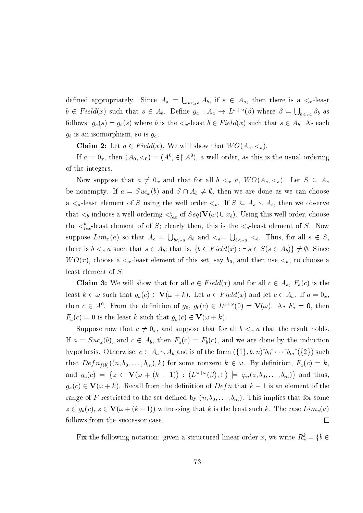defined appropriately. Since  $A_a = \bigcup_{b \leq x_a} A_b$ , if  $s \in A_a$ , then there is a  $\leq x$ -least  $b \in Field(x)$  such that  $s \in A_b$ . Define  $g_a: A_a \to L^{\omega+\omega}(\beta)$  where  $\beta = \bigcup_{b \leq x} \beta_b$  as follows:  $g_a(s) = g_b(s)$  where b is the  $\lt_x$ -least  $b \in Field(x)$  such that  $s \in A_b$ . As each  $g_b$  is an isomorphism, so is  $g_a$ .

**Claim 2:** Let  $a \in Field(x)$ . We will show that  $WO(A_a, <_a)$ .

If  $a = 0_x$ , then  $(A_0, <_0) = (A^0, \in \upharpoonright A^0)$ , a well order, as this is the usual ordering of the integers.

Now suppose that  $a \neq 0_x$  and that for all  $b <_x a$ ,  $WO(A_a, <_a)$ . Let  $S \subseteq A_a$ be nonempty. If  $a = Suc_x(b)$  and  $S \cap A_b \neq \emptyset$ , then we are done as we can choose a  $\lt_{a}$ -least element of S using the well order  $\lt_{b}$ . If  $S \subseteq A_a \lt A_b$ , then we observe that  $\lt_b$  induces a well ordering  $\lt_{lex}^b$  of  $Seq(\mathbf{V}(\omega) \cup x_b)$ . Using this well order, choose the  $\langle \xi_{lex}^b$ -least element of of S; clearly then, this is the  $\langle \xi_a$ -least element of S. Now suppose  $Lim_x(a)$  so that  $A_a = \bigcup_{b \leq x_a} A_b$  and  $\lt_a = \bigcup_{b \leq x_a} \lt_b$ . Thus, for all  $s \in S$ . there is  $b \leq_x a$  such that  $s \in A_b$ ; that is,  $\{b \in Field(x) : \exists s \in S(s \in A_b)\}\neq \emptyset$ . Since  $WO(x)$ , choose a  $\lt_x$ -least element of this set, say  $b_0$ , and then use  $\lt_{b_0}$  to choose a least element of  $S$ .

**Claim 3:** We will show that for all  $a \in Field(x)$  and for all  $c \in A_a$ ,  $F_a(c)$  is the least  $k \in \omega$  such that  $g_a(c) \in \mathbf{V}(\omega + k)$ . Let  $a \in Field(x)$  and let  $c \in A_a$ . If  $a = 0_x$ . then  $c \in A^0$ . From the definition of  $g_0, g_0(c) \in L^{\omega+\omega}(0) = \mathbf{V}(\omega)$ . As  $F_a = \mathbf{0}$ , then  $F_a(c) = 0$  is the least k such that  $g_a(c) \in \mathbf{V}(\omega + k)$ .

Suppose now that  $a \neq 0_x$ , and suppose that for all  $b <_x a$  that the result holds. If  $a = Suc_x(b)$ , and  $c \in A_b$ , then  $F_a(c) = F_b(c)$ , and we are done by the induction hypothesis. Otherwise,  $c \in A_a \setminus A_b$  and is of the form  $({1}, b, n)$ <sup>'</sup> $b_0$ <sup>'</sup> $\cdots$ <sup>'</sup> $b_m$ <sup>'</sup> $({2})$  such that  $Defn_{f(b)}((n, b_0, \ldots, b_m), k)$  for some nonzero  $k \in \omega$ . By definition,  $F_a(c) = k$ , and  $g_a(c) = \{ z \in V(\omega + (k-1)) : (L^{\omega + \omega}(\beta), \in) \models \varphi_n(z, b_0, \dots, b_m) \}$  and thus,  $g_a(c) \in \mathbf{V}(\omega + k)$ . Recall from the definition of  $Defn$  that  $k-1$  is an element of the range of F restricted to the set defined by  $(n, b_0, \ldots, b_m)$ . This implies that for some  $z \in g_a(c)$ ,  $z \in V(\omega + (k-1))$  witnessing that k is the least such k. The case  $Lim_x(a)$ follows from the successor case.  $\Box$ 

Fix the following notation: given a structured linear order x, we write  $R_x^k = \{b \in$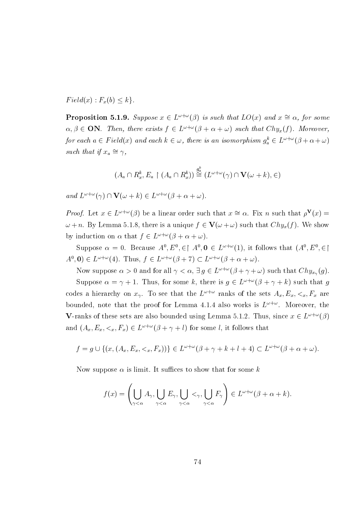$Field(x): F_x(b) \leq k$ .

**Proposition 5.1.9.** Suppose  $x \in L^{\omega + \omega}(\beta)$  is such that  $LO(x)$  and  $x \cong \alpha$ , for some  $\alpha, \beta \in \mathbf{ON}$ . Then, there exists  $f \in L^{\omega + \omega}(\beta + \alpha + \omega)$  such that  $Chy_x(f)$ . Moreover, for each  $a \in Field(x)$  and each  $k \in \omega$ , there is an isomorphism  $g_a^k \in L^{\omega + \omega}(\beta + \alpha + \omega)$ such that if  $x_a \cong \gamma$ ,

$$
(A_a \cap R_x^k, E_a \restriction (A_a \cap R_x^k)) \stackrel{g_a^k}{\cong} (L^{\omega + \omega}(\gamma) \cap \mathbf{V}(\omega + k), \in)
$$

and  $L^{\omega+\omega}(\gamma) \cap \mathbf{V}(\omega+k) \in L^{\omega+\omega}(\beta+\alpha+\omega).$ 

*Proof.* Let  $x \in L^{\omega+\omega}(\beta)$  be a linear order such that  $x \cong \alpha$ . Fix n such that  $\rho^{\mathbf{V}}(x) =$  $\omega + n$ . By Lemma 5.1.8, there is a unique  $f \in V(\omega + \omega)$  such that  $Chy_x(f)$ . We show by induction on  $\alpha$  that  $f \in L^{\omega + \omega}(\beta + \alpha + \omega)$ .

Suppose  $\alpha = 0$ . Because  $A^0, E^0, \in \upharpoonright A^0, \mathbf{0} \in L^{\omega + \omega}(1)$ , it follows that  $(A^0, E^0, \in \upharpoonright A^0)$  $A^0$ , **0**)  $\in L^{\omega+\omega}(4)$ . Thus,  $f \in L^{\omega+\omega}(\beta+7) \subset L^{\omega+\omega}(\beta+\alpha+\omega)$ .

Now suppose  $\alpha > 0$  and for all  $\gamma < \alpha$ ,  $\exists g \in L^{\omega + \omega}(\beta + \gamma + \omega)$  such that  $Chy_{x_{\gamma}}(g)$ . Suppose  $\alpha = \gamma + 1$ . Thus, for some k, there is  $g \in L^{\omega + \omega}(\beta + \gamma + k)$  such that g codes a hierarchy on  $x_{\gamma}$ . To see that the  $L^{\omega+\omega}$  ranks of the sets  $A_x, E_x, \leq_x, F_x$  are bounded, note that the proof for Lemma 4.1.4 also works is  $L^{\omega+\omega}$ . Moreover, the **V**-ranks of these sets are also bounded using Lemma 5.1.2. Thus, since  $x \in L^{\omega+\omega}(\beta)$ and  $(A_x, E_x, \langle x, F_x \rangle) \in L^{\omega + \omega}(\beta + \gamma + l)$  for some l, it follows that

$$
f = g \cup \{(x, (A_x, E_x, \langle x, F_x))\} \in L^{\omega + \omega}(\beta + \gamma + k + l + 4) \subset L^{\omega + \omega}(\beta + \alpha + \omega).
$$

Now suppose  $\alpha$  is limit. It suffices to show that for some k

$$
f(x) = \left(\bigcup_{\gamma < \alpha} A_{\gamma}, \bigcup_{\gamma < \alpha} E_{\gamma}, \bigcup_{\gamma < \alpha} <_{\gamma}, \bigcup_{\gamma < \alpha} F_{\gamma}\right) \in L^{\omega + \omega}(\beta + \alpha + k).
$$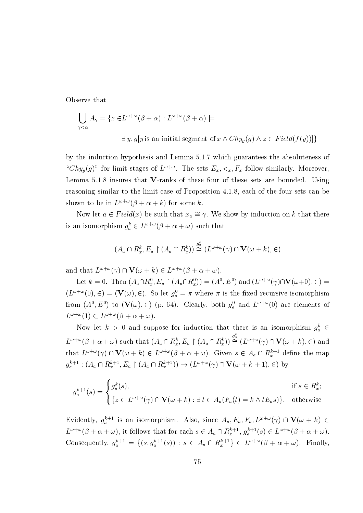Observe that

$$
\bigcup_{\gamma < \alpha} A_{\gamma} = \{ z \in L^{\omega + \omega}(\beta + \alpha) : L^{\omega + \omega}(\beta + \alpha) \models
$$
  

$$
\exists y, g[y \text{ is an initial segment of } x \land Chy_y(g) \land z \in Field(f(y)) ] \}
$$

by the induction hypothesis and Lemma 5.1.7 which guarantees the absoluteness of " $Chy_y(g)$ " for limit stages of  $L^{\omega+\omega}$ . The sets  $E_x, \langle x, F_x \rangle$  follow similarly. Moreover, Lemma 5.1.8 insures that V-ranks of these four of these sets are bounded. Using reasoning similar to the limit case of Proposition 4.1.8, each of the four sets can be shown to be in  $L^{\omega+\omega}(\beta+\alpha+k)$  for some k.

Now let  $a \in Field(x)$  be such that  $x_a \cong \gamma$ . We show by induction on k that there is an isomorphism  $g_a^k \in L^{\omega + \omega}(\beta + \alpha + \omega)$  such that

$$
(A_a \cap R_x^k, E_a \restriction (A_a \cap R_x^k)) \stackrel{g_a^k}{\cong} (L^{\omega + \omega}(\gamma) \cap \mathbf{V}(\omega + k), \in)
$$

and that  $L^{\omega+\omega}(\gamma) \cap \mathbf{V}(\omega+k) \in L^{\omega+\omega}(\beta+\alpha+\omega)$ .

Let  $k = 0$ . Then  $(A_a \cap R_x^0, E_a \upharpoonright (A_a \cap R_x^0)) = (A^0, E^0)$  and  $(L^{\omega + \omega}(\gamma) \cap \mathbf{V}(\omega + 0), \in)$  $(L^{\omega+\omega}(0), \in) = (\mathbf{V}(\omega), \in)$ . So let  $g_a^0 = \pi$  where  $\pi$  is the fixed recursive isomorphism from  $(A^0, E^0)$  to  $(\mathbf{V}(\omega), \in)$  (p. 64). Clearly, both  $g_a^0$  and  $L^{\omega+\omega}(0)$  are elements of  $L^{\omega+\omega}(1) \subset L^{\omega+\omega}(\beta+\alpha+\omega)$ 

Now let  $k > 0$  and suppose for induction that there is an isomorphism  $g_a^k \in$  $L^{\omega+\omega}(\beta+\alpha+\omega)$  such that  $(A_a \cap R_x^k, E_a \restriction (A_a \cap R_x^k)) \stackrel{g_a^k}{\cong} (L^{\omega+\omega}(\gamma) \cap \mathbf{V}(\omega+k), \in)$  and that  $L^{\omega+\omega}(\gamma) \cap \mathbf{V}(\omega+k) \in L^{\omega+\omega}(\beta+\alpha+\omega)$ . Given  $s \in A_a \cap R_x^{k+1}$  define the map  $g_a^{k+1}$ :  $(A_a \cap R_x^{k+1}, E_a \upharpoonright (A_a \cap R_x^{k+1})) \rightarrow (L^{\omega+\omega}(\gamma) \cap \mathbf{V}(\omega+k+1), \in)$  by

$$
g_a^{k+1}(s) = \begin{cases} g_a^k(s), & \text{if } s \in R_x^k; \\ \{ z \in L^{\omega + \omega}(\gamma) \cap \mathbf{V}(\omega + k) : \exists t \in A_a(F_a(t) = k \wedge tE_a s) \}, & \text{otherwise} \end{cases}
$$

Evidently,  $g_a^{k+1}$  is an isomorphism. Also, since  $A_a, E_a, F_a, L^{\omega+\omega}(\gamma) \cap \mathbf{V}(\omega+k) \in$  $L^{\omega+\omega}(\beta+\alpha+\omega)$ , it follows that for each  $s \in A_a \cap R_x^{k+1}$ ,  $g_a^{k+1}(s) \in L^{\omega+\omega}(\beta+\alpha+\omega)$ . Consequently,  $g_a^{k+1} = \{(s, g_a^{k+1}(s)) : s \in A_a \cap R_x^{k+1}\}\in L^{\omega+\omega}(\beta+\alpha+\omega)$ . Finally,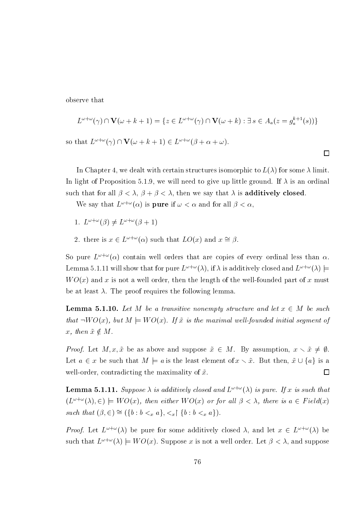observe that

<sub>SO</sub>

$$
L^{\omega+\omega}(\gamma) \cap \mathbf{V}(\omega+k+1) = \{ z \in L^{\omega+\omega}(\gamma) \cap \mathbf{V}(\omega+k) : \exists s \in A_a(z = g_a^{k+1}(s)) \}
$$
  
that  $L^{\omega+\omega}(\gamma) \cap \mathbf{V}(\omega+k+1) \in L^{\omega+\omega}(\beta+\alpha+\omega).$ 

 $\Box$ 

In Chapter 4, we dealt with certain structures isomorphic to  $L(\lambda)$  for some  $\lambda$  limit. In light of Proposition 5.1.9, we will need to give up little ground. If  $\lambda$  is an ordinal such that for all  $\beta < \lambda$ ,  $\beta + \beta < \lambda$ , then we say that  $\lambda$  is **additively closed**.

We say that  $L^{\omega+\omega}(\alpha)$  is **pure** if  $\omega < \alpha$  and for all  $\beta < \alpha$ ,

- 1.  $L^{\omega+\omega}(\beta) \neq L^{\omega+\omega}(\beta+1)$
- 2. there is  $x \in L^{\omega + \omega}(\alpha)$  such that  $LO(x)$  and  $x \approx \beta$ .

So pure  $L^{\omega+\omega}(\alpha)$  contain well orders that are copies of every ordinal less than  $\alpha$ . Lemma 5.1.11 will show that for pure  $L^{\omega+\omega}(\lambda)$ , if  $\lambda$  is additively closed and  $L^{\omega+\omega}(\lambda)$   $\models$  $WO(x)$  and x is not a well order, then the length of the well-founded part of x must be at least  $\lambda$ . The proof requires the following lemma.

**Lemma 5.1.10.** Let M be a transitive nonempty structure and let  $x \in M$  be such that  $\neg WO(x)$ , but  $M \models WO(x)$ . If  $\tilde{x}$  is the maximal well-founded initial segment of x, then  $\tilde{x} \notin M$ .

*Proof.* Let  $M, x, \tilde{x}$  be as above and suppose  $\tilde{x} \in M$ . By assumption,  $x \times \tilde{x} \neq \emptyset$ . Let  $a \in x$  be such that  $M \models a$  is the least element of  $x \setminus \tilde{x}$ . But then,  $\tilde{x} \cup \{a\}$  is a well-order, contradicting the maximality of  $\tilde{x}$ .  $\Box$ 

**Lemma 5.1.11.** Suppose  $\lambda$  is additively closed and  $L^{\omega+\omega}(\lambda)$  is pure. If x is such that  $(L^{\omega+\omega}(\lambda), \in) \models WO(x)$ , then either  $WO(x)$  or for all  $\beta < \lambda$ , there is  $a \in Field(x)$ such that  $(\beta, \in) \cong (\{b : b <_x a\}, <_x \upharpoonright \{b : b <_x a\}).$ 

*Proof.* Let  $L^{\omega+\omega}(\lambda)$  be pure for some additively closed  $\lambda$ , and let  $x \in L^{\omega+\omega}(\lambda)$  be such that  $L^{\omega+\omega}(\lambda) \models WO(x)$ . Suppose x is not a well order. Let  $\beta < \lambda$ , and suppose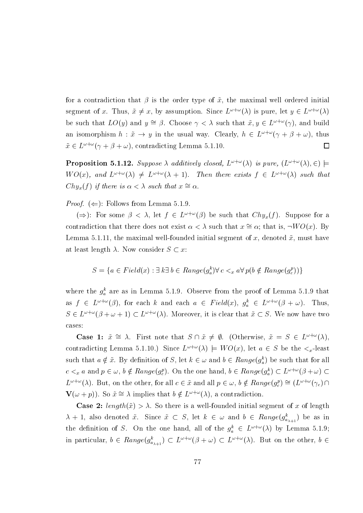for a contradiction that  $\beta$  is the order type of  $\tilde{x}$ , the maximal well ordered initial segment of x. Thus,  $\tilde{x} \neq x$ , by assumption. Since  $L^{\omega+\omega}(\lambda)$  is pure, let  $y \in L^{\omega+\omega}(\lambda)$ be such that  $LO(y)$  and  $y \cong \beta$ . Choose  $\gamma < \lambda$  such that  $\tilde{x}, y \in L^{\omega + \omega}(\gamma)$ , and build an isomorphism  $h: \tilde{x} \to y$  in the usual way. Clearly,  $h \in L^{\omega + \omega}(\gamma + \beta + \omega)$ , thus  $\tilde{x} \in L^{\omega+\omega}(\gamma+\beta+\omega)$ , contradicting Lemma 5.1.10.  $\Box$ 

**Proposition 5.1.12.** Suppose  $\lambda$  additively closed,  $L^{\omega+\omega}(\lambda)$  is pure,  $(L^{\omega+\omega}(\lambda), \in)$   $\models$  $WO(x)$ , and  $L^{\omega+\omega}(\lambda) \neq L^{\omega+\omega}(\lambda+1)$ . Then there exists  $f \in L^{\omega+\omega}(\lambda)$  such that  $Chy_x(f)$  if there is  $\alpha < \lambda$  such that  $x \cong \alpha$ .

*Proof.* ( $\Leftarrow$ ): Follows from Lemma 5.1.9.

 $(\Rightarrow)$ : For some  $\beta < \lambda$ , let  $f \in L^{\omega+\omega}(\beta)$  be such that  $Chy_x(f)$ . Suppose for a contradiction that there does not exist  $\alpha < \lambda$  such that  $x \cong \alpha$ ; that is,  $\neg WO(x)$ . By Lemma 5.1.11, the maximal well-founded initial segment of x, denoted  $\tilde{x}$ , must have at least length  $\lambda$ . Now consider  $S \subset x$ :

$$
S = \{ a \in Field(x) : \exists k \exists b \in Range(g_a^k) \forall c <_x a \forall p(b \notin Range(g_c^p)) \}
$$

where the  $g_a^k$  are as in Lemma 5.1.9. Observe from the proof of Lemma 5.1.9 that as  $f \in L^{\omega+\omega}(\beta)$ , for each k and each  $a \in Field(x)$ ,  $g_a^k \in L^{\omega+\omega}(\beta+\omega)$ . Thus,  $S \in L^{\omega+\omega}(\beta+\omega+1) \subset L^{\omega+\omega}(\lambda)$ . Moreover, it is clear that  $\tilde{x} \subset S$ . We now have two cases:

**Case 1:**  $\tilde{x} \cong \lambda$ . First note that  $S \cap \tilde{x} \neq \emptyset$ . (Otherwise,  $\tilde{x} = S \in L^{\omega + \omega}(\lambda)$ . contradicting Lemma 5.1.10.) Since  $L^{\omega+\omega}(\lambda) \models WO(x)$ , let  $a \in S$  be the  $\lt_x$ -least such that  $a \notin \tilde{x}$ . By definition of S, let  $k \in \omega$  and  $b \in Range(g_{a}^{k})$  be such that for all  $c <_x a$  and  $p \in \omega$ ,  $b \notin Range(g_c^p)$ . On the one hand,  $b \in Range(g_a^k) \subset L^{\omega + \omega}(\beta + \omega)$  $L^{\omega+\omega}(\lambda)$ . But, on the other, for all  $c \in \tilde{x}$  and all  $p \in \omega$ ,  $b \notin Range(g_e^p) \cong (L^{\omega+\omega}(\gamma_c) \cap$  $\mathbf{V}(\omega + p)$ ). So  $\tilde{x} \cong \lambda$  implies that  $b \notin L^{\omega + \omega}(\lambda)$ , a contradiction.

**Case 2:** length( $\tilde{x}$ ) >  $\lambda$ . So there is a well-founded initial segment of x of length  $\lambda + 1$ , also denoted  $\tilde{x}$ . Since  $\tilde{x} \subset S$ , let  $k \in \omega$  and  $b \in Range(g_{a_{\lambda+1}}^k)$  be as in the definition of S. On the one hand, all of the  $g_a^k \in L^{\omega+\omega}(\lambda)$  by Lemma 5.1.9; in particular,  $b \in Range(g_{a_{\lambda+1}}^k) \subset L^{\omega+\omega}(\beta+\omega) \subset L^{\omega+\omega}(\lambda)$ . But on the other,  $b \in$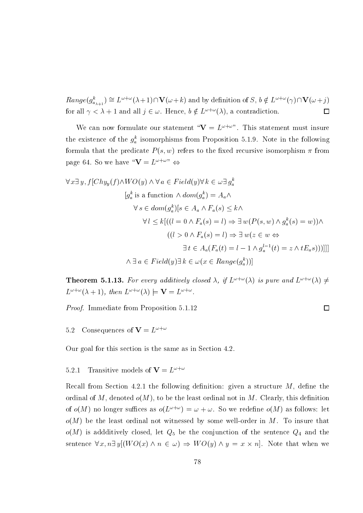$Range(g_{a_{\lambda+1}}^k) \cong L^{\omega+\omega}(\lambda+1) \cap \mathbf{V}(\omega+k)$  and by definition of S,  $b \notin L^{\omega+\omega}(\gamma) \cap \mathbf{V}(\omega+j)$ for all  $\gamma < \lambda + 1$  and all  $j \in \omega$ . Hence,  $b \notin L^{\omega + \omega}(\lambda)$ , a contradiction.  $\Box$ 

We can now formulate our statement " $V = L^{\omega + \omega}$ ". This statement must insure the existence of the  $g_a^k$  isomorphisms from Proposition 5.1.9. Note in the following formula that the predicate  $P(s, w)$  refers to the fixed recursive isomorphism  $\pi$  from page 64. So we have " $V = L^{\omega + \omega}$ "

$$
\forall x \exists y, f[Chy_y(f) \land WO(y) \land \forall a \in Field(y) \forall k \in \omega \exists g_a^k
$$
  
\n
$$
[g_a^k \text{ is a function } \land dom(g_a^k) = A_a \land
$$
  
\n
$$
\forall s \in dom(g_a^k)[s \in A_a \land F_a(s) \le k \land
$$
  
\n
$$
\forall l \le k[((l = 0 \land F_a(s) = l) \Rightarrow \exists w (P(s, w) \land g_a^k(s) = w)) \land
$$
  
\n
$$
((l > 0 \land F_a(s) = l) \Rightarrow \exists w (z \in w \Leftrightarrow
$$
  
\n
$$
\exists t \in A_a(F_a(t) = l - 1 \land g_a^{l-1}(t) = z \land tE_a s)))]]
$$
  
\n
$$
\land \exists a \in Field(y) \exists k \in \omega (x \in Range(g_a^k))]
$$

**Theorem 5.1.13.** For every additively closed  $\lambda$ , if  $L^{\omega+\omega}(\lambda)$  is pure and  $L^{\omega+\omega}(\lambda) \neq$  $L^{\omega+\omega}(\lambda+1)$ , then  $L^{\omega+\omega}(\lambda) \models \mathbf{V} = L^{\omega+\omega}$ .

 $\Box$ 

*Proof.* Immediate from Proposition 5.1.12

Consequences of  $\mathbf{V} = L^{\omega + \omega}$ 5.2

Our goal for this section is the same as in Section 4.2.

Transitive models of  $V = L^{\omega + \omega}$  $5.2.1$ 

Recall from Section 4.2.1 the following definition: given a structure  $M$ , define the ordinal of M, denoted  $o(M)$ , to be the least ordinal not in M. Clearly, this definition of  $o(M)$  no longer suffices as  $o(L^{\omega+\omega}) = \omega + \omega$ . So we redefine  $o(M)$  as follows: let  $o(M)$  be the least ordinal not witnessed by some well-order in M. To insure that  $o(M)$  is addditively closed, let  $Q_5$  be the conjunction of the sentence  $Q_4$  and the sentence  $\forall x, n \exists y [(WO(x) \land n \in \omega) \Rightarrow WO(y) \land y = x \times n].$  Note that when we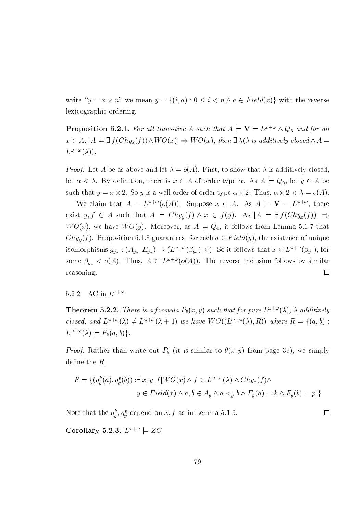write " $y = x \times n$ " we mean  $y = \{(i, a) : 0 \le i < n \land a \in Field(x)\}\)$  with the reverse lexicographic ordering.

**Proposition 5.2.1.** For all transitive A such that  $A \models V = L^{\omega + \omega} \wedge Q_5$  and for all  $x \in A$ ,  $[A \models \exists f(Chy_x(f)) \land WO(x)] \Rightarrow WO(x)$ , then  $\exists \lambda(\lambda \text{ is additively closed } \land A =$  $L^{\omega+\omega}(\lambda)$ .

*Proof.* Let A be as above and let  $\lambda = o(A)$ . First, to show that  $\lambda$  is additively closed. let  $\alpha < \lambda$ . By definition, there is  $x \in A$  of order type  $\alpha$ . As  $A \models Q_5$ , let  $y \in A$  be such that  $y = x \times 2$ . So y is a well order of order type  $\alpha \times 2$ . Thus,  $\alpha \times 2 < \lambda = o(A)$ .

We claim that  $A = L^{\omega + \omega}(o(A))$ . Suppose  $x \in A$ . As  $A \models \mathbf{V} = L^{\omega + \omega}$ , there exist  $y, f \in A$  such that  $A \models Chy_y(f) \land x \in f(y)$ . As  $[A \models \exists f(Chy_x(f))] \Rightarrow$  $WO(x)$ , we have  $WO(y)$ . Moreover, as  $A \models Q_4$ , it follows from Lemma 5.1.7 that  $Chy<sub>u</sub>(f)$ . Proposition 5.1.8 guarantees, for each  $a \in Field(y)$ , the existence of unique isomorphisms  $g_{y_a}$ :  $(A_{y_a}, E_{y_a}) \to (L^{\omega+\omega}(\beta_{y_a}), \epsilon)$ . So it follows that  $x \in L^{\omega+\omega}(\beta_{y_a})$ , for some  $\beta_{y_a} < o(A)$ . Thus,  $A \subset L^{\omega+\omega}(o(A))$ . The reverse inclusion follows by similar reasoning.  $\Box$ 

### AC in  $L^{\omega+\omega}$ 5.2.2

**Theorem 5.2.2.** There is a formula  $P_5(x, y)$  such that for pure  $L^{\omega + \omega}(\lambda)$ ,  $\lambda$  additively closed, and  $L^{\omega+\omega}(\lambda) \neq L^{\omega+\omega}(\lambda+1)$  we have  $WO((L^{\omega+\omega}(\lambda), R))$  where  $R = \{(a, b) :$  $L^{\omega+\omega}(\lambda) \models P_5(a,b).$ 

*Proof.* Rather than write out  $P_5$  (it is similar to  $\theta(x, y)$  from page 39), we simply define the  $R$ .

$$
R = \{ (g_y^k(a), g_y^p(b)) : \exists x, y, f[WO(x) \land f \in L^{\omega + \omega}(\lambda) \land Chy_x(f) \land
$$

$$
y \in Field(x) \land a, b \in A_y \land a <_y b \land F_y(a) = k \land F_y(b) = p \}
$$

 $\Box$ 

Note that the  $g_y^k$ ,  $g_y^p$  depend on  $x, f$  as in Lemma 5.1.9.

Corollary 5.2.3.  $L^{\omega+\omega} \models ZC$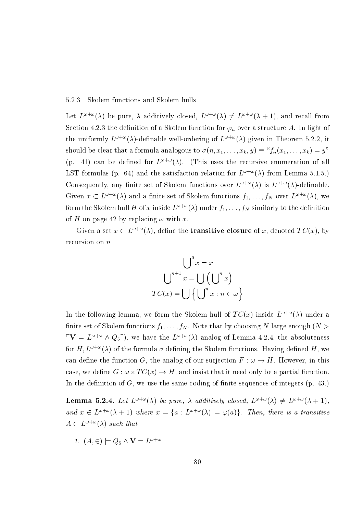#### 5.2.3 Skolem functions and Skolem hulls

Let  $L^{\omega+\omega}(\lambda)$  be pure,  $\lambda$  additively closed,  $L^{\omega+\omega}(\lambda) \neq L^{\omega+\omega}(\lambda+1)$ , and recall from Section 4.2.3 the definition of a Skolem function for  $\varphi_n$  over a structure A. In light of the uniformly  $L^{\omega+\omega}(\lambda)$ -definable well-ordering of  $L^{\omega+\omega}(\lambda)$  given in Theorem 5.2.2, it should be clear that a formula analogous to  $\sigma(n, x_1, \ldots, x_k, y) \equiv \frac{x}{n}(x_1, \ldots, x_k) = y$ (p. 41) can be defined for  $L^{\omega+\omega}(\lambda)$ . (This uses the recursive enumeration of all LST formulas (p. 64) and the satisfaction relation for  $L^{\omega+\omega}(\lambda)$  from Lemma 5.1.5.) Consequently, any finite set of Skolem functions over  $L^{\omega+\omega}(\lambda)$  is  $L^{\omega+\omega}(\lambda)$ -definable. Given  $x \text{ }\subset L^{\omega+\omega}(\lambda)$  and a finite set of Skolem functions  $f_1,\ldots,f_N$  over  $L^{\omega+\omega}(\lambda)$ , we form the Skolem hull H of x inside  $L^{\omega+\omega}(\lambda)$  under  $f_1, \ldots, f_N$  similarly to the definition of H on page 42 by replacing  $\omega$  with x.

Given a set  $x \text{ }\subset L^{\omega+\omega}(\lambda)$ , define the **transitive closure** of x, denoted  $TC(x)$ , by recursion on  $n$ 

$$
\bigcup^{0} x = x
$$

$$
\bigcup^{n+1} x = \bigcup \left(\bigcup^{n} x\right)
$$

$$
TC(x) = \bigcup \left\{\bigcup^{n} x : n \in \omega\right\}
$$

In the following lemma, we form the Skolem hull of  $TC(x)$  inside  $L^{\omega+\omega}(\lambda)$  under a finite set of Skolem functions  $f_1, \ldots, f_N$ . Note that by choosing N large enough  $(N >$  $\Gamma \mathbf{V} = L^{\omega + \omega} \wedge Q_5$ <sup>-1</sup>), we have the  $L^{\omega + \omega}(\lambda)$  analog of Lemma 4.2.4, the absoluteness for H,  $L^{\omega+\omega}(\lambda)$  of the formula  $\sigma$  defining the Skolem functions. Having defined H, we can define the function G, the analog of our surjection  $F : \omega \to H$ . However, in this case, we define  $G: \omega \times TC(x) \to H$ , and insist that it need only be a partial function. In the definition of  $G$ , we use the same coding of finite sequences of integers (p. 43.)

**Lemma 5.2.4.** Let  $L^{\omega+\omega}(\lambda)$  be pure,  $\lambda$  additively closed,  $L^{\omega+\omega}(\lambda) \neq L^{\omega+\omega}(\lambda+1)$ , and  $x \in L^{\omega+\omega}(\lambda+1)$  where  $x = \{a : L^{\omega+\omega}(\lambda) \models \varphi(a)\}\)$ . Then, there is a transitive  $A \subset L^{\omega + \omega}(\lambda)$  such that

1. 
$$
(A, \in) \models Q_5 \land \mathbf{V} = L^{\omega + \omega}
$$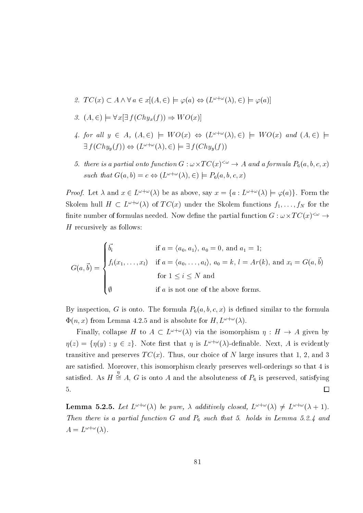- 2.  $TC(x) \subset A \wedge \forall a \in x[(A, \infty) \models \varphi(a) \Leftrightarrow (L^{\omega + \omega}(\lambda), \infty) \models \varphi(a)]$
- 3.  $(A, \in) \models \forall x \exists f(Chy_x(f)) \Rightarrow WO(x)$
- 4. for all  $y \in A$ ,  $(A, \in) \models WO(x) \Leftrightarrow (L^{\omega + \omega}(\lambda), \in) \models WO(x)$  and  $(A, \in) \models$  $\exists f(Chy_u(f)) \Leftrightarrow (L^{\omega+\omega}(\lambda), \in) \models \exists f(Chy_u(f))$
- 5. there is a partial onto function  $G: \omega \times TC(x)^{<\omega} \to A$  and a formula  $P_6(a, b, c, x)$ such that  $G(a, b) = c \Leftrightarrow (L^{\omega + \omega}(\lambda), \in) \models P_6(a, b, c, x)$

*Proof.* Let  $\lambda$  and  $x \in L^{\omega + \omega}(\lambda)$  be as above, say  $x = \{a : L^{\omega + \omega}(\lambda) \models \varphi(a)\}\)$ . Form the Skolem hull  $H \subset L^{\omega+\omega}(\lambda)$  of  $TC(x)$  under the Skolem functions  $f_1, \ldots, f_N$  for the finite number of formulas needed. Now define the partial function  $G : \omega \times TC(x)^{<\omega} \rightarrow$ H recursively as follows:

$$
G(a, \vec{b}) = \begin{cases} \vec{b_i} & \text{if } a = \langle a_0, a_1 \rangle, a_0 = 0, \text{ and } a_1 = 1; \\ f_i(x_1, \dots, x_l) & \text{if } a = \langle a_0, \dots, a_l \rangle, a_0 = k, l = Ar(k), \text{ and } x_i = G(a, \vec{b}) \\ & \text{for } 1 \leq i \leq N \text{ and} \\ \emptyset & \text{if } a \text{ is not one of the above forms.} \end{cases}
$$

By inspection, G is onto. The formula  $P_6(a, b, c, x)$  is defined similar to the formula  $\Phi(n, x)$  from Lemma 4.2.5 and is absolute for  $H, L^{\omega + \omega}(\lambda)$ .

Finally, collapse H to  $A \subset L^{\omega+\omega}(\lambda)$  via the isomorphism  $\eta : H \to A$  given by  $\eta(z) = \{\eta(y) : y \in z\}.$  Note first that  $\eta$  is  $L^{\omega+\omega}(\lambda)$ -definable. Next, A is evidently transitive and preserves  $TC(x)$ . Thus, our choice of N large insures that 1, 2, and 3 are satisfied. Moreover, this isomorphism clearly preserves well-orderings so that 4 is satisfied. As  $H \stackrel{\eta}{\cong} A$ , G is onto A and the absoluteness of  $P_6$  is preserved, satisfying 5.  $\Box$ 

**Lemma 5.2.5.** Let  $L^{\omega+\omega}(\lambda)$  be pure,  $\lambda$  additively closed,  $L^{\omega+\omega}(\lambda) \neq L^{\omega+\omega}(\lambda+1)$ . Then there is a partial function G and  $P_6$  such that 5. holds in Lemma 5.2.4 and  $A=L^{\omega+\omega}(\lambda).$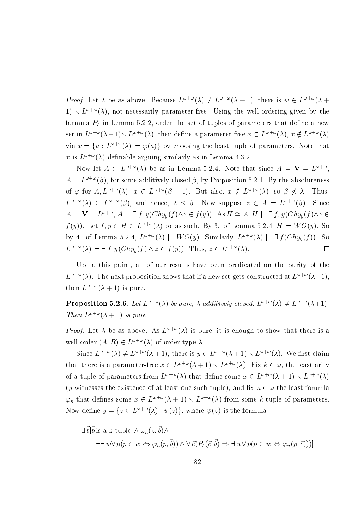*Proof.* Let  $\lambda$  be as above. Because  $L^{\omega+\omega}(\lambda) \neq L^{\omega+\omega}(\lambda+1)$ , there is  $w \in L^{\omega+\omega}(\lambda+1)$  $1) \setminus L^{\omega+\omega}(\lambda)$ , not necessarily parameter-free. Using the well-ordering given by the formula  $P_5$  in Lemma 5.2.2, order the set of tuples of parameters that define a new set in  $L^{\omega+\omega}(\lambda+1) \setminus L^{\omega+\omega}(\lambda)$ , then define a parameter-free  $x \subset L^{\omega+\omega}(\lambda)$ ,  $x \notin L^{\omega+\omega}(\lambda)$ via  $x = \{a : L^{\omega + \omega}(\lambda) \models \varphi(a)\}\$  by choosing the least tuple of parameters. Note that x is  $L^{\omega+\omega}(\lambda)$ -definable arguing similarly as in Lemma 4.3.2.

Now let  $A \subset L^{\omega+\omega}(\lambda)$  be as in Lemma 5.2.4. Note that since  $A \models \mathbf{V} = L^{\omega+\omega}$ .  $A = L^{\omega + \omega}(\beta)$ , for some additively closed  $\beta$ , by Proposition 5.2.1. By the absoluteness of  $\varphi$  for  $A, L^{\omega + \omega}(\lambda)$ ,  $x \in L^{\omega + \omega}(\beta + 1)$ . But also,  $x \notin L^{\omega + \omega}(\lambda)$ , so  $\beta \nless \lambda$ . Thus,  $L^{\omega+\omega}(\lambda) \subseteq L^{\omega+\omega}(\beta)$ , and hence,  $\lambda \leq \beta$ . Now suppose  $z \in A = L^{\omega+\omega}(\beta)$ . Since  $A \models \mathbf{V} = L^{\omega + \omega}, A \models \exists f, y (Chy_y(f) \land z \in f(y)).$  As  $H \cong A, H \models \exists f, y (Chy_y(f) \land z \in f(y)))$  $f(y)$ ). Let  $f, y \in H \subset L^{\omega + \omega}(\lambda)$  be as such. By 3. of Lemma 5.2.4,  $H \models WO(y)$ . So by 4. of Lemma 5.2.4,  $L^{\omega+\omega}(\lambda) \models WO(y)$ . Similarly,  $L^{\omega+\omega}(\lambda) \models \exists f(Chy_y(f))$ . So  $L^{\omega+\omega}(\lambda) \models \exists f, y(Chy_y(f) \land z \in f(y)).$  Thus,  $z \in L^{\omega+\omega}(\lambda)$ .  $\Box$ 

Up to this point, all of our results have been predicated on the purity of the  $L^{\omega+\omega}(\lambda)$ . The next proposition shows that if a new set gets constructed at  $L^{\omega+\omega}(\lambda+1)$ . then  $L^{\omega+\omega}(\lambda+1)$  is pure.

**Proposition 5.2.6.** Let  $L^{\omega+\omega}(\lambda)$  be pure,  $\lambda$  additively closed,  $L^{\omega+\omega}(\lambda) \neq L^{\omega+\omega}(\lambda+1)$ . Then  $L^{\omega+\omega}(\lambda+1)$  is pure.

*Proof.* Let  $\lambda$  be as above. As  $L^{\omega+\omega}(\lambda)$  is pure, it is enough to show that there is a well order  $(A, R) \in L^{\omega + \omega}(\lambda)$  of order type  $\lambda$ .

Since  $L^{\omega+\omega}(\lambda) \neq L^{\omega+\omega}(\lambda+1)$ , there is  $y \in L^{\omega+\omega}(\lambda+1) \setminus L^{\omega+\omega}(\lambda)$ . We first claim that there is a parameter-free  $x \in L^{\omega+\omega}(\lambda+1) \setminus L^{\omega+\omega}(\lambda)$ . Fix  $k \in \omega$ , the least arity of a tuple of parameters from  $L^{\omega+\omega}(\lambda)$  that define some  $x \in L^{\omega+\omega}(\lambda+1) \setminus L^{\omega+\omega}(\lambda)$ (y witnesses the existence of at least one such tuple), and fix  $n \in \omega$  the least forumla  $\varphi_n$  that defines some  $x \in L^{\omega+\omega}(\lambda+1) \setminus L^{\omega+\omega}(\lambda)$  from some k-tuple of parameters. Now define  $y = \{z \in L^{\omega + \omega}(\lambda) : \psi(z)\}\)$ , where  $\psi(z)$  is the formula

$$
\exists \vec{b}[\vec{b} \text{ is a k-tuple } \land \varphi_n(z, \vec{b}) \land \n\neg \exists w \forall p (p \in w \Leftrightarrow \varphi_n(p, \vec{b})) \land \forall \vec{c} (P_5(\vec{c}, \vec{b}) \Rightarrow \exists w \forall p (p \in w \Leftrightarrow \varphi_n(p, \vec{c})))
$$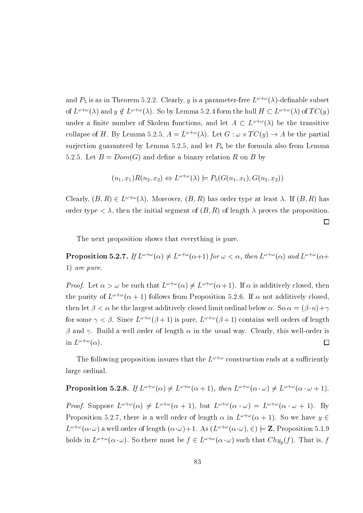and  $P_5$  is as in Theorem 5.2.2. Clearly, y is a parameter-free  $L^{\omega+\omega}(\lambda)$ -definable subset of  $L^{\omega+\omega}(\lambda)$  and  $y \notin L^{\omega+\omega}(\lambda)$ . So by Lemma 5.2.4 form the hull  $H \subset L^{\omega+\omega}(\lambda)$  of  $TC(y)$ under a finite number of Skolem functions, and let  $A \subset L^{\omega+\omega}(\lambda)$  be the transitive collapse of H. By Lemma 5.2.5,  $A = L^{\omega + \omega}(\lambda)$ . Let  $G : \omega \times TC(y) \to A$  be the partial surjection guaranteed by Lemma 5.2.5, and let  $P_6$  be the formula also from Lemma 5.2.5. Let  $B = Dom(G)$  and define a binary relation R on B by

$$
(n_1, x_1)R(n_2, x_2) \Leftrightarrow L^{\omega + \omega}(\lambda) \models P_5(G(n_1, x_1), G(n_2, x_2))
$$

Clearly,  $(B, R) \in L^{\omega + \omega}(\lambda)$ . Moreover,  $(B, R)$  has order type at least  $\lambda$ . If  $(B, R)$  has order type  $\langle \lambda \rangle$ , then the initial segment of  $(B, R)$  of length  $\lambda$  proves the proposition.

 $\Box$ 

The next proposition shows that everything is pure.

**Proposition 5.2.7.** If  $L^{\omega+\omega}(\alpha) \neq L^{\omega+\omega}(\alpha+1)$  for  $\omega < \alpha$ , then  $L^{\omega+\omega}(\alpha)$  and  $L^{\omega+\omega}(\alpha+1)$ 1) are pure.

*Proof.* Let  $\alpha > \omega$  be such that  $L^{\omega+\omega}(\alpha) \neq L^{\omega+\omega}(\alpha+1)$ . If  $\alpha$  is additively closed, then the purity of  $L^{\omega+\omega}(\alpha+1)$  follows from Proposition 5.2.6. If  $\alpha$  not additively closed. then let  $\beta < \alpha$  be the largest additively closed limit ordinal below  $\alpha$ . So  $\alpha = (\beta \cdot n) + \gamma$ for some  $\gamma < \beta$ . Since  $L^{\omega+\omega}(\beta+1)$  is pure,  $L^{\omega+\omega}(\beta+1)$  contains well orders of length  $\beta$  and  $\gamma$ . Build a well order of length  $\alpha$  in the usual way. Clearly, this well-order is in  $L^{\omega+\omega}(\alpha)$ .  $\Box$ 

The following proposition insures that the  $L^{\omega+\omega}$  construction ends at a sufficiently large ordinal.

**Proposition 5.2.8.** If 
$$
L^{\omega+\omega}(\alpha) \neq L^{\omega+\omega}(\alpha+1)
$$
, then  $L^{\omega+\omega}(\alpha \cdot \omega) \neq L^{\omega+\omega}(\alpha \cdot \omega+1)$ .

*Proof.* Suppose  $L^{\omega+\omega}(\alpha) \neq L^{\omega+\omega}(\alpha+1)$ , but  $L^{\omega+\omega}(\alpha \cdot \omega) = L^{\omega+\omega}(\alpha \cdot \omega+1)$ . By Proposition 5.2.7, there is a well order of length  $\alpha$  in  $L^{\omega+\omega}(\alpha+1)$ . So we have  $y \in$  $L^{\omega+\omega}(\alpha \cdot \omega)$  a well order of length  $(\alpha \cdot \omega)+1$ . As  $(L^{\omega+\omega}(\alpha \cdot \omega), \in) \models \mathbf{Z}$ , Proposition 5.1.9 holds in  $L^{\omega+\omega}(\alpha \cdot \omega)$ . So there must be  $f \in L^{\omega+\omega}(\alpha \cdot \omega)$  such that  $Chy_y(f)$ . That is, f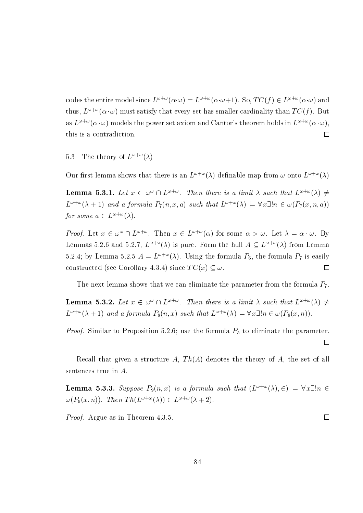codes the entire model since  $L^{\omega+\omega}(\alpha \cdot \omega) = L^{\omega+\omega}(\alpha \cdot \omega+1)$ . So,  $TC(f) \in L^{\omega+\omega}(\alpha \cdot \omega)$  and thus,  $L^{\omega+\omega}(\alpha \cdot \omega)$  must satisfy that every set has smaller cardinality than  $TC(f)$ . But as  $L^{\omega+\omega}(\alpha \cdot \omega)$  models the power set axiom and Cantor's theorem holds in  $L^{\omega+\omega}(\alpha \cdot \omega)$ .  $\Box$ this is a contradiction.

The theory of  $L^{\omega+\omega}(\lambda)$ 5.3

Our first lemma shows that there is an  $L^{\omega+\omega}(\lambda)$ -definable map from  $\omega$  onto  $L^{\omega+\omega}(\lambda)$ 

**Lemma 5.3.1.** Let  $x \in \omega^{\omega} \cap L^{\omega+\omega}$ . Then there is a limit  $\lambda$  such that  $L^{\omega+\omega}(\lambda) \neq$  $L^{\omega+\omega}(\lambda+1)$  and a formula  $P_7(n,x,a)$  such that  $L^{\omega+\omega}(\lambda) \models \forall x \exists! n \in \omega(P_7(x,n,a))$ for some  $a \in L^{\omega + \omega}(\lambda)$ .

*Proof.* Let  $x \in \omega^{\omega} \cap L^{\omega+\omega}$ . Then  $x \in L^{\omega+\omega}(\alpha)$  for some  $\alpha > \omega$ . Let  $\lambda = \alpha \cdot \omega$ . By Lemmas 5.2.6 and 5.2.7,  $L^{\omega+\omega}(\lambda)$  is pure. Form the hull  $A \subseteq L^{\omega+\omega}(\lambda)$  from Lemma 5.2.4; by Lemma 5.2.5  $A = L^{\omega + \omega}(\lambda)$ . Using the formula  $P_6$ , the formula  $P_7$  is easily constructed (see Corollary 4.3.4) since  $TC(x) \subseteq \omega$ . □

The next lemma shows that we can eliminate the parameter from the formula  $P_7$ .

**Lemma 5.3.2.** Let  $x \in \omega^{\omega} \cap L^{\omega+\omega}$ . Then there is a limit  $\lambda$  such that  $L^{\omega+\omega}(\lambda) \neq$  $L^{\omega+\omega}(\lambda+1)$  and a formula  $P_8(n,x)$  such that  $L^{\omega+\omega}(\lambda) \models \forall x \exists! n \in \omega (P_8(x,n)).$ 

*Proof.* Similar to Proposition 5.2.6; use the formula  $P_5$  to eliminate the parameter.  $\Box$ 

Recall that given a structure A,  $Th(A)$  denotes the theory of A, the set of all sentences true in  $A$ .

**Lemma 5.3.3.** Suppose  $P_9(n,x)$  is a formula such that  $(L^{\omega+\omega}(\lambda), \in) \models \forall x \exists! n \in$  $\omega(P_9(x,n))$ . Then  $Th(L^{\omega+\omega}(\lambda)) \in L^{\omega+\omega}(\lambda+2)$ .

*Proof.* Argue as in Theorem 4.3.5.

84

 $\Box$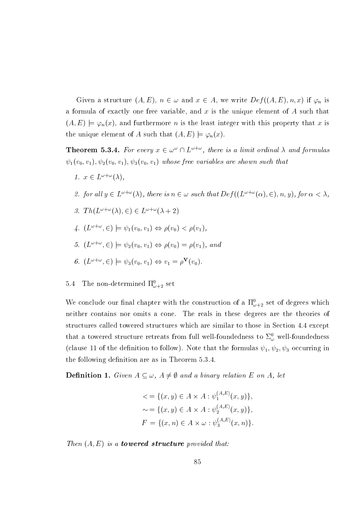Given a structure  $(A, E)$ ,  $n \in \omega$  and  $x \in A$ , we write  $Def((A, E), n, x)$  if  $\varphi_n$  is a formula of exactly one free variable, and  $x$  is the unique element of  $A$  such that  $(A, E) \models \varphi_n(x)$ , and furthermore *n* is the least integer with this property that *x* is the unique element of A such that  $(A, E) \models \varphi_n(x)$ .

**Theorem 5.3.4.** For every  $x \in \omega^{\omega} \cap L^{\omega+\omega}$ , there is a limit ordinal  $\lambda$  and formulas  $\psi_1(v_0, v_1), \psi_2(v_0, v_1), \psi_3(v_0, v_1)$  whose free variables are shown such that

- 1.  $x \in L^{\omega + \omega}(\lambda)$ ,
- 2. for all  $y \in L^{\omega+\omega}(\lambda)$ , there is  $n \in \omega$  such that  $Def((L^{\omega+\omega}(\alpha), \in), n, y)$ , for  $\alpha < \lambda$ ,
- 3.  $Th(L^{\omega+\omega}(\lambda), \in) \in L^{\omega+\omega}(\lambda+2)$
- 4.  $(L^{\omega+\omega}, \in) \models \psi_1(v_0, v_1) \Leftrightarrow \rho(v_0) < \rho(v_1)$ ,
- 5.  $(L^{\omega+\omega}, \in) \models \psi_2(v_0, v_1) \Leftrightarrow \rho(v_0) = \rho(v_1)$ , and
- 6.  $(L^{\omega+\omega}, \in) \models \psi_3(v_0, v_1) \Leftrightarrow v_1 = \rho^{\mathbf{V}}(v_0)$ .

### The non-determined  $\Pi_{\omega+2}^0$  set  $5.4$

We conclude our final chapter with the construction of a  $\Pi_{\omega+2}^0$  set of degrees which neither contains nor omits a cone. The reals in these degrees are the theories of structures called towered structures which are similar to those in Section 4.4 except that a towered structure retreats from full well-foundedness to  $\Sigma^0_\omega$  well-foundedness (clause 11 of the definition to follow). Note that the formulas  $\psi_1, \psi_2, \psi_3$  occurring in the following definition are as in Theorem 5.3.4.

**Definition 1.** Given  $A \subseteq \omega$ ,  $A \neq \emptyset$  and a binary relation E on A, let

$$
\langle x \rangle = \{ (x, y) \in A \times A : \psi_1^{(A, E)}(x, y) \},
$$
  

$$
\sim = \{ (x, y) \in A \times A : \psi_2^{(A, E)}(x, y) \},
$$
  

$$
F = \{ (x, n) \in A \times \omega : \psi_3^{(A, E)}(x, n) \}.
$$

Then  $(A, E)$  is a **towered structure** provided that: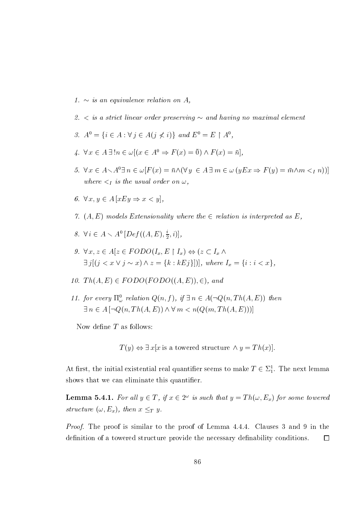- 1.  $\sim$  is an equivalence relation on A,
- 2.  $\lt$  is a strict linear order preserving  $\sim$  and having no maximal element
- 3.  $A^0 = \{i \in A : \forall j \in A(j \nless i)\}\$ and  $E^0 = E \restriction A^0$ ,
- 4.  $\forall x \in A \exists! n \in \omega[(x \in A^0 \Rightarrow F(x) = 0) \wedge F(x) = \overline{n}].$
- 5.  $\forall x \in A \setminus A^0 \exists n \in \omega [F(x) = \bar{n} \wedge (\forall y \in A \exists m \in \omega (yEx \Rightarrow F(y) = \bar{m} \wedge m \leq I n))]$ where  $\lt_I$  is the usual order on  $\omega$ ,
- 6.  $\forall x, y \in A$  [xEy  $\Rightarrow x < y$ ],
- 7.  $(A, E)$  models Extensionality where the  $\in$  relation is interpreted as E,
- 8.  $\forall i \in A \setminus A^0$   $[Def((A, E), \frac{i}{2}, i)],$
- 9.  $\forall x. z \in A[z \in FODO(I_x, E \restriction I_x] \Leftrightarrow (z \subset I_x \land$  $\exists j[(j < x \lor j \sim x) \land z = \{k : kEj\}])$ , where  $I_x = \{i : i < x\}$ ,
- 10.  $Th(A, E) \in FODO(FODO((A, E)), \in)$ , and
- 11. for every  $\Pi^0_{\omega}$  relation  $Q(n, f)$ , if  $\exists n \in A(\neg Q(n, Th(A, E))$  then  $\exists n \in A \left[ \neg Q(n, Th(A, E)) \wedge \forall m < n(Q(m, Th(A, E))) \right]$

Now define  $T$  as follows:

 $T(y) \Leftrightarrow \exists x [x \text{ is a towered structure } \wedge y = Th(x)].$ 

At first, the initial existential real quantifier seems to make  $T \in \Sigma_1^1$ . The next lemma shows that we can eliminate this quantifier.

**Lemma 5.4.1.** For all  $y \in T$ , if  $x \in 2^{\omega}$  is such that  $y = Th(\omega, E_x)$  for some towered structure  $(\omega, E_x)$ , then  $x \leq_T y$ .

*Proof.* The proof is similar to the proof of Lemma 4.4.4. Clauses 3 and 9 in the definition of a towered structure provide the necessary definability conditions.  $\Box$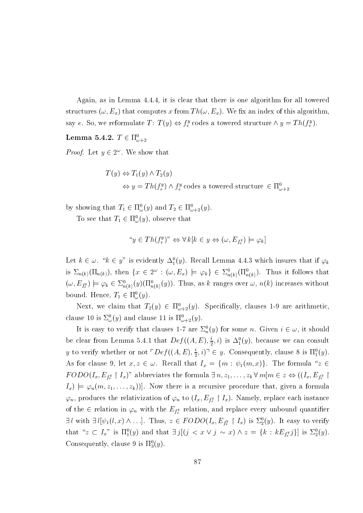Again, as in Lemma 4.4.4, it is clear that there is one algorithm for all towered structures  $(\omega, E_x)$  that computes x from  $Th(\omega, E_x)$ . We fix an index of this algorithm. say e. So, we reformulate T:  $T(y) \Leftrightarrow f_e^y$  codes a towered structure  $\wedge y = Th(f_e^y)$ .

## Lemma 5.4.2.  $T \in \Pi_{\omega+2}^0$

*Proof.* Let  $y \in 2^{\omega}$ . We show that

 $T(u) \Leftrightarrow T_1(y) \wedge T_2(y)$  $\Leftrightarrow y = Th(f_e^y) \wedge f_e^y$  codes a towered structure  $\in \Pi_{\omega+2}^0$ 

by showing that  $T_1 \in \Pi_{\omega}^0(y)$  and  $T_2 \in \Pi_{\omega+2}^0(y)$ .

To see that  $T_1 \in \Pi_{\omega}^0(y)$ , observe that

$$
^{\omega}y \in Th(f_e^y)^{\omega} \Leftrightarrow \forall k[k \in y \Leftrightarrow (\omega, E_{f_e^y}) \models \varphi_k]
$$

Let  $k \in \omega$ . " $k \in y$ " is evidently  $\Delta_1^0(y)$ . Recall Lemma 4.4.3 which insures that if  $\varphi_k$ is  $\Sigma_{n(k)}(\Pi_{n(k)})$ , then  $\{x \in 2^{\omega} : (\omega, E_x) \models \varphi_k\} \in \Sigma^0_{n(k)}(\Pi^0_{n(k)})$ . Thus it follows that  $(\omega, E_{f_e^y}) \models \varphi_k \in \Sigma^0_{n(k)}(y) (\Pi^0_{n(k)}(y)).$  Thus, as k ranges over  $\omega, n(k)$  increases without bound. Hence,  $T_1 \in \Pi_{\omega}^0(y)$ .

Next, we claim that  $T_2(y) \in \Pi_{\omega+2}^0(y)$ . Specifically, clauses 1-9 are arithmetic, clause 10 is  $\Sigma_{\omega}^{0}(y)$  and clause 11 is  $\Pi_{\omega+2}^{0}(y)$ .

It is easy to verify that clauses 1-7 are  $\Sigma_n^0(y)$  for some n. Given  $i \in \omega$ , it should be clear from Lemma 5.4.1 that  $Def((A, E), \frac{i}{2}, i)$  is  $\Delta_1^0(y)$ , because we can consult y to verify whether or not  $\bigcap$   $ef((A, E), \frac{i}{2}, i) \bigcap$   $\in$  y. Consequently, clause 8 is  $\Pi_1^0(y)$ . As for clause 9, let  $x, z \in \omega$ . Recall that  $I_x = \{m : \psi_1(m, x)\}$ . The formula "z  $\in$  $FODO(I_x, E_{f_e^y} \upharpoonright I_x)$ " abbreviates the formula  $\exists n, z_1, \ldots, z_k \forall m[m \in z \Leftrightarrow ((I_x, E_{f_e^y} \upharpoonright I_x))$  $I_x$   $\models \varphi_n(m, z_1, \ldots, z_k)]$ . Now there is a recursive procedure that, given a formula  $\varphi_n$ , produces the relativization of  $\varphi_n$  to  $(I_x, E_{f^y_e} \restriction I_x)$ . Namely, replace each instance of the  $\in$  relation in  $\varphi_n$  with the  $E_{f^y_e}$  relation, and replace every unbound quantifier  $\exists l$  with  $\exists l[\psi_1(l,x) \wedge \ldots]$ . Thus,  $z \in FODO(I_x, E_{f_e^y} \upharpoonright I_x)$  is  $\Sigma_2^0(y)$ . It easy to verify that " $z \subset I_x$ " is  $\Pi_1^0(y)$  and that  $\exists j[(j \langle x \vee j \rangle \sim x) \wedge z = \{k : kE_{f_{\epsilon}^y}j\}]$  is  $\Sigma_2^0(y)$ . Consequently, clause 9 is  $\Pi_3^0(y)$ .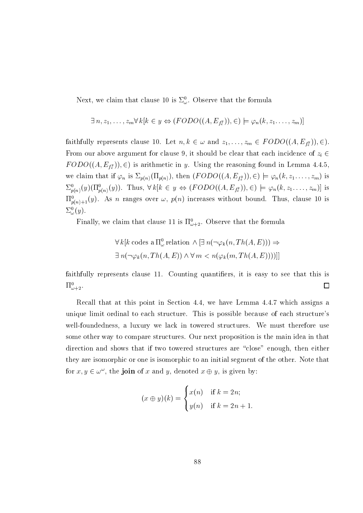Next, we claim that clause 10 is  $\Sigma^0_\omega$ . Observe that the formula

$$
\exists n, z_1, \ldots, z_m \forall k[k \in y \Leftrightarrow (FODO((A, E_{f_e^y})), \in) \models \varphi_n(k, z_1, \ldots, z_m)]
$$

faithfully represents clause 10. Let  $n, k \in \omega$  and  $z_1, \ldots, z_m \in FODO((A, E_{f_*^y}))$ ,  $\in$ ). From our above argument for clause 9, it should be clear that each incidence of  $z_i \in$  $FODO((A, E_{f_{\epsilon}})), \epsilon)$  is arithmetic in y. Using the reasoning found in Lemma 4.4.5, we claim that if  $\varphi_n$  is  $\Sigma_{p(n)}(\Pi_{p(n)})$ , then  $(FODO((A, E_{f^y}))$ ,  $\in) \models \varphi_n(k, z_1, \ldots, z_m)$  is  $\Sigma_{p(n)}^0(y)(\Pi_{p(n)}^0(y))$ . Thus,  $\forall k[k \in y \Leftrightarrow (FODO((A, E_{f^y_k})), \in) \models \varphi_n(k, z_1, \ldots, z_m)]$  is  $\Pi_{p(n)+1}^{0}(y)$ . As *n* ranges over  $\omega$ ,  $p(n)$  increases without bound. Thus, clause 10 is  $\Sigma^0_\omega(y).$ 

Finally, we claim that clause 11 is  $\Pi_{\omega+2}^0$ . Observe that the formula

$$
\forall k[k \text{ codes a } \Pi_{\omega}^{0} \text{ relation } \land [\exists n(\neg \varphi_k(n, Th(A, E))) \Rightarrow
$$
  

$$
\exists n(\neg \varphi_k(n, Th(A, E)) \land \forall m < n(\varphi_k(m, Th(A, E))))]]
$$

faithfully represents clause 11. Counting quantifiers, it is easy to see that this is  $\Pi^0_{\omega+2}$  $\Box$ 

Recall that at this point in Section 4.4, we have Lemma 4.4.7 which assigns a unique limit ordinal to each structure. This is possible because of each structure's well-foundedness, a luxury we lack in towered structures. We must therefore use some other way to compare structures. Our next proposition is the main idea in that direction and shows that if two towered structures are "close" enough, then either they are isomorphic or one is isomorphic to an initial segment of the other. Note that for  $x, y \in \omega^{\omega}$ , the **join** of x and y, denoted  $x \oplus y$ , is given by:

$$
(x \oplus y)(k) = \begin{cases} x(n) & \text{if } k = 2n; \\ y(n) & \text{if } k = 2n + 1. \end{cases}
$$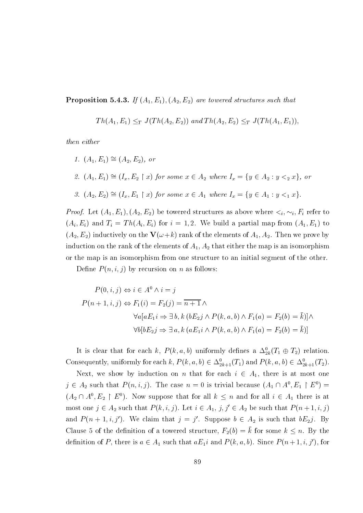**Proposition 5.4.3.** If  $(A_1, E_1), (A_2, E_2)$  are towered structures such that

$$
Th(A_1, E_1) \leq_T J(Th(A_2, E_2)) \text{ and } Th(A_2, E_2) \leq_T J(Th(A_1, E_1)),
$$

then either

1.  $(A_1, E_1) \cong (A_2, E_2)$ , or 2.  $(A_1, E_1) \cong (I_x, E_2 \upharpoonright x)$  for some  $x \in A_2$  where  $I_x = \{y \in A_2 : y <_2 x\}$ , or 3.  $(A_2, E_2) \cong (I_x, E_1 \upharpoonright x)$  for some  $x \in A_1$  where  $I_x = \{y \in A_1 : y <_1 x\}.$ 

*Proof.* Let  $(A_1, E_1), (A_2, E_2)$  be towered structures as above where  $\lt_i, \sim_i, F_i$  refer to  $(A_i, E_i)$  and  $T_i = Th(A_i, E_i)$  for  $i = 1, 2$ . We build a partial map from  $(A_1, E_1)$  to  $(A_2, E_2)$  inductively on the  $\mathbf{V}(\omega + k)$  rank of the elements of  $A_1, A_2$ . Then we prove by induction on the rank of the elements of  $A_1, A_2$  that either the map is an isomorphism or the map is an isomorphism from one structure to an initial segment of the other.

Define  $P(n, i, j)$  by recursion on *n* as follows:

$$
P(0, i, j) \Leftrightarrow i \in A^{0} \wedge i = j
$$
  
\n
$$
P(n + 1, i, j) \Leftrightarrow F_1(i) = F_2(j) = \overline{n + 1} \wedge
$$
  
\n
$$
\forall a[aE_1 i \Rightarrow \exists b, k (bE_2 j \wedge P(k, a, b) \wedge F_1(a) = F_2(b) = \overline{k})] \wedge
$$
  
\n
$$
\forall b[bE_2 j \Rightarrow \exists a, k (aE_1 i \wedge P(k, a, b) \wedge F_1(a) = F_2(b) = \overline{k})]
$$

It is clear that for each k,  $P(k, a, b)$  uniformly defines a  $\Delta_{2k}^0(T_1 \oplus T_2)$  relation. Consequently, uniformly for each k,  $P(k, a, b) \in \Delta^0_{2k+1}(T_1)$  and  $P(k, a, b) \in \Delta^0_{2k+1}(T_2)$ .

Next, we show by induction on *n* that for each  $i \in A_1$ , there is at most one  $j \in A_2$  such that  $P(n, i, j)$ . The case  $n = 0$  is trivial because  $(A_1 \cap A^0, E_1 \upharpoonright E^0)$  $(A_2 \cap A^0, E_2 \restriction E^0)$ . Now suppose that for all  $k \leq n$  and for all  $i \in A_1$  there is at most one  $j \in A_2$  such that  $P(k, i, j)$ . Let  $i \in A_1, j, j' \in A_2$  be such that  $P(n+1, i, j)$ and  $P(n + 1, i, j')$ . We claim that  $j = j'$ . Suppose  $b \in A_2$  is such that  $bE_2j$ . By Clause 5 of the definition of a towered structure,  $F_2(b) = \overline{k}$  for some  $k \leq n$ . By the definition of P, there is  $a \in A_1$  such that  $aE_1i$  and  $P(k, a, b)$ . Since  $P(n+1, i, j')$ , for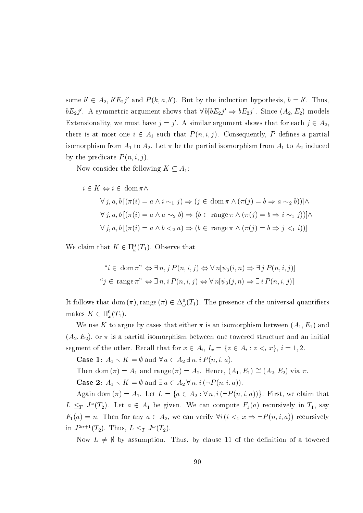some  $b' \in A_2$ ,  $b'E_2j'$  and  $P(k, a, b')$ . But by the induction hypothesis,  $b = b'$ . Thus,  $bE_2j'$ . A symmetric argument shows that  $\forall b[bE_2j' \Rightarrow bE_2j]$ . Since  $(A_2, E_2)$  models Extensionality, we must have  $j = j'$ . A similar argument shows that for each  $j \in A_2$ . there is at most one  $i \in A_1$  such that  $P(n, i, j)$ . Consequently, P defines a partial isomorphism from  $A_1$  to  $A_2$ . Let  $\pi$  be the partial isomorphism from  $A_1$  to  $A_2$  induced by the predicate  $P(n, i, j)$ .

Now consider the following  $K \subseteq A_1$ :

$$
i \in K \Leftrightarrow i \in \text{dom}\,\pi \wedge
$$
  

$$
\forall j, a, b \left[ (\pi(i) = a \wedge i \sim_1 j) \Rightarrow (j \in \text{dom}\,\pi \wedge (\pi(j) = b \Rightarrow a \sim_2 b)) \right] \wedge
$$
  

$$
\forall j, a, b \left[ (\pi(i) = a \wedge a \sim_2 b) \Rightarrow (b \in \text{range}\,\pi \wedge (\pi(j) = b \Rightarrow i \sim_1 j)) \right] \wedge
$$
  

$$
\forall j, a, b \left[ (\pi(i) = a \wedge b \prec_2 a) \Rightarrow (b \in \text{range}\,\pi \wedge (\pi(j) = b \Rightarrow j \prec_1 i)) \right]
$$

We claim that  $K \in \Pi_{\omega}^{0}(T_{1})$ . Observe that

$$
"i \in \text{dom}\,\pi" \Leftrightarrow \exists n, j \, P(n, i, j) \Leftrightarrow \forall \, n[\psi_3(i, n) \Rightarrow \exists \, j \, P(n, i, j)]
$$

$$
"j \in \text{range}\,\pi" \Leftrightarrow \exists \, n, i \, P(n, i, j) \Leftrightarrow \forall \, n[\psi_3(j, n) \Rightarrow \exists \, i \, P(n, i, j)]
$$

It follows that dom  $(\pi)$ , range  $(\pi) \in \Delta^0_\omega(T_1)$ . The presence of the universal quantifiers makes  $K \in \Pi^0_\omega(T_1)$ .

We use K to argue by cases that either  $\pi$  is an isomorphism between  $(A_1, E_1)$  and  $(A_2, E_2)$ , or  $\pi$  is a partial isomorphism between one towered structure and an initial segment of the other. Recall that for  $x \in A_i$ ,  $I_x = \{z \in A_i : z <_i x\}$ ,  $i = 1, 2$ .

**Case 1:**  $A_1 \setminus K = \emptyset$  and  $\forall a \in A_2 \exists n, i \, P(n, i, a)$ .

Then dom  $(\pi) = A_1$  and range  $(\pi) = A_2$ . Hence,  $(A_1, E_1) \cong (A_2, E_2)$  via  $\pi$ . **Case 2:**  $A_1 \setminus K = \emptyset$  and  $\exists a \in A_2 \forall n, i (\neg P(n, i, a)).$ 

Again dom  $(\pi) = A_1$ . Let  $L = \{a \in A_2 : \forall n, i (\neg P(n, i, a))\}$ . First, we claim that  $L \leq_T J^{\omega}(T_2)$ . Let  $a \in A_1$  be given. We can compute  $F_1(a)$  recursively in  $T_1$ , say  $F_1(a) = n$ . Then for any  $a \in A_2$ , we can verify  $\forall i (i \leq_1 x \Rightarrow \neg P(n, i, a))$  recursively in  $J^{2n+1}(T_2)$ . Thus,  $L \leq_T J^{\omega}(T_2)$ .

Now  $L \neq \emptyset$  by assumption. Thus, by clause 11 of the definition of a towered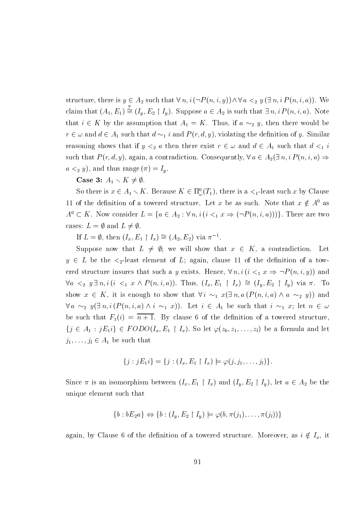structure, there is  $y \in A_2$  such that  $\forall n, i (\neg P(n, i, y)) \land \forall a \leq_2 y (\exists n, i P(n, i, a))$ . We claim that  $(A_1, E_1) \stackrel{\pi}{\cong} (I_y, E_2 \upharpoonright I_y)$ . Suppose  $a \in A_2$  is such that  $\exists n, i \, P(n, i, a)$ . Note that  $i \in K$  by the assumption that  $A_1 = K$ . Thus, if  $a \sim_2 y$ , then there would be  $r \in \omega$  and  $d \in A_1$  such that  $d \sim_1 i$  and  $P(r, d, y)$ , violating the definition of y. Similar reasoning shows that if  $y \leq_2 a$  then there exist  $r \in \omega$  and  $d \in A_1$  such that  $d \leq_1 i$ such that  $P(r, d, y)$ , again, a contradiction. Consequently,  $\forall a \in A_2(\exists n, i \, P(n, i, a) \Rightarrow$  $a \leq_2 y$ , and thus range  $(\pi) = I_y$ .

Case 3:  $A_1 \setminus K \neq \emptyset$ 

So there is  $x \in A_1 \setminus K$ . Because  $K \in \Pi_{\omega}^0(T_1)$ , there is a  $\lt_1$ -least such x by Clause 11 of the definition of a towered structure. Let x be as such. Note that  $x \notin A^0$  as  $A^0 \subset K$ . Now consider  $L = \{a \in A_2 : \forall n, i \ (i \leq_1 x \Rightarrow (\neg P(n, i, a)))\}$ . There are two cases:  $L = \emptyset$  and  $L \neq \emptyset$ .

If  $L = \emptyset$ , then  $(I_x, E_1 \upharpoonright I_x) \cong (A_2, E_2)$  via  $\pi^{-1}$ .

Suppose now that  $L \neq \emptyset$ ; we will show that  $x \in K$ , a contradiction. Let  $y \in L$  be the  $\lt_2$ -least element of L; again, clause 11 of the definition of a towered structure insures that such a y exists. Hence,  $\forall n, i (i \leq_1 x \Rightarrow \neg P(n, i, y))$  and  $\forall a \leq_2 y \exists n, i (i \leq_1 x \land P(n, i, a))$ . Thus,  $(I_x, E_1 \upharpoonright I_x) \cong (I_y, E_2 \upharpoonright I_y)$  via  $\pi$ . To show  $x \in K$ , it is enough to show that  $\forall i \sim_1 x(\exists n, a (P(n, i, a) \land a \sim_2 y))$  and  $\forall a \sim_2 y(\exists n, i (P(n,i,a) \wedge i \sim_1 x)).$  Let  $i \in A_1$  be such that  $i \sim_1 x$ ; let  $n \in \omega$ be such that  $F_1(i) = \overline{n+1}$ . By clause 6 of the definition of a towered structure,  $\{j \in A_1 : jE_1 i\} \in FODO(I_x, E_1 \upharpoonright I_x)$ . So let  $\varphi(z_0, z_1, \ldots, z_l)$  be a formula and let  $j_1, \ldots, j_l \in A_1$  be such that

$$
\{j : jE_1 i\} = \{j : (I_x, E_1 \restriction I_x) \models \varphi(j, j_1, \ldots, j_l)\}.
$$

Since  $\pi$  is an isomorphism between  $(I_x, E_1 \restriction I_x)$  and  $(I_y, E_2 \restriction I_y)$ , let  $a \in A_2$  be the unique element such that

$$
\{b : bE_2a\} \Leftrightarrow \{b : (I_y, E_2 \restriction I_y) \models \varphi(b, \pi(j_1), \ldots, \pi(j_l))\}
$$

again, by Clause 6 of the definition of a towered structure. Moreover, as  $i \notin I_x$ , it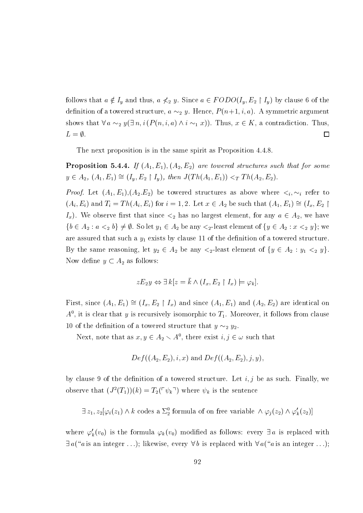follows that  $a \notin I_y$  and thus,  $a \nless_2 y$ . Since  $a \in FODO(I_y, E_2 \upharpoonright I_y)$  by clause 6 of the definition of a towered structure,  $a \sim_2 y$ . Hence,  $P(n+1, i, a)$ . A symmetric argument shows that  $\forall a \sim_2 y(\exists n, i (P(n, i, a) \land i \sim_1 x))$ . Thus,  $x \in K$ , a contradiction. Thus,  $L=\emptyset$ .  $\Box$ 

The next proposition is in the same spirit as Proposition 4.4.8.

**Proposition 5.4.4.** If  $(A_1, E_1), (A_2, E_2)$  are towered structures such that for some  $y \in A_2, (A_1, E_1) \cong (I_y, E_2 \upharpoonright I_y), \text{ then } J(Th(A_1, E_1)) <_T Th(A_2, E_2).$ 

*Proof.* Let  $(A_1, E_1), (A_2, E_2)$  be towered structures as above where  $\lt_i, \lt_i$  refer to  $(A_i, E_i)$  and  $T_i = Th(A_i, E_i)$  for  $i = 1, 2$ . Let  $x \in A_2$  be such that  $(A_1, E_1) \cong (I_x, E_2)$  $I_x$ ). We observe first that since  $\lt_2$  has no largest element, for any  $a \in A_2$ , we have  $\{b \in A_2 : a <_2 b\} \neq \emptyset$ . So let  $y_1 \in A_2$  be any  $\lt_2$ -least element of  $\{y \in A_2 : x <_2 y\}$ ; we are assured that such a  $y_1$  exists by clause 11 of the definition of a towered structure. By the same reasoning, let  $y_2 \in A_2$  be any  $\lt_2$ -least element of  $\{y \in A_2 : y_1 \lt_2 y\}$ . Now define  $y \subset A_2$  as follows:

$$
zE_2y \Leftrightarrow \exists k[z = k \land (I_x, E_2 \restriction I_x) \models \varphi_k].
$$

First, since  $(A_1, E_1) \cong (I_x, E_2 \upharpoonright I_x)$  and since  $(A_1, E_1)$  and  $(A_2, E_2)$  are identical on  $A^0$ , it is clear that y is recursively isomorphic to  $T_1$ . Moreover, it follows from clause 10 of the definition of a towered structure that  $y \sim_2 y_2$ .

Next, note that as  $x, y \in A_2 \setminus A^0$ , there exist  $i, j \in \omega$  such that

$$
Def((A_2, E_2), i, x)
$$
 and  $Def((A_2, E_2), j, y)$ ,

by clause 9 of the definition of a towered structure. Let  $i, j$  be as such. Finally, we observe that  $(J^2(T_1))(k) = T_2(\ulcorner \psi_k \urcorner)$  where  $\psi_k$  is the sentence

 $\exists z_1, z_2[\varphi_i(z_1) \wedge k \text{ codes a } \Sigma_2^0 \text{ formula of on free variable } \wedge \varphi_i(z_2) \wedge \varphi'_k(z_2)]$ 

where  $\varphi'_k(v_0)$  is the formula  $\varphi_k(v_0)$  modified as follows: every  $\exists a$  is replaced with  $\exists a$  ("a is an integer...); likewise, every  $\forall b$  is replaced with  $\forall a$  ("a is an integer...);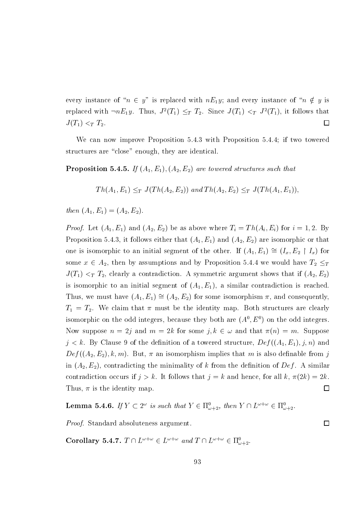every instance of " $n \in y$ " is replaced with  $nE_1y$ ; and every instance of " $n \notin y$  is replaced with  $\neg nE_1y$ . Thus,  $J^2(T_1) \leq_T T_2$ . Since  $J(T_1) <_T J^2(T_1)$ , it follows that  $J(T_1) <_T T_2$ .  $\Box$ 

We can now improve Proposition 5.4.3 with Proposition 5.4.4; if two towered structures are "close" enough, they are identical.

**Proposition 5.4.5.** If  $(A_1, E_1), (A_2, E_2)$  are towered structures such that

$$
Th(A_1, E_1) \leq_T J(Th(A_2, E_2)) \text{ and } Th(A_2, E_2) \leq_T J(Th(A_1, E_1)),
$$

then  $(A_1, E_1) = (A_2, E_2)$ .

*Proof.* Let  $(A_1, E_1)$  and  $(A_2, E_2)$  be as above where  $T_i = Th(A_i, E_i)$  for  $i = 1, 2$ . By Proposition 5.4.3, it follows either that  $(A_1, E_1)$  and  $(A_2, E_2)$  are isomorphic or that one is isomorphic to an initial segment of the other. If  $(A_1, E_1) \cong (I_x, E_2 \upharpoonright I_x)$  for some  $x \in A_2$ , then by assumptions and by Proposition 5.4.4 we would have  $T_2 \leq_T T_2$  $J(T_1) <_T T_2$ , clearly a contradiction. A symmetric argument shows that if  $(A_2, E_2)$ is isomorphic to an initial segment of  $(A_1, E_1)$ , a similar contradiction is reached. Thus, we must have  $(A_1, E_1) \cong (A_2, E_2)$  for some isomorphism  $\pi$ , and consequently,  $T_1 = T_2$ . We claim that  $\pi$  must be the identity map. Both structures are clearly isomorphic on the odd integers, because they both are  $(A^0, E^0)$  on the odd integers. Now suppose  $n = 2j$  and  $m = 2k$  for some  $j, k \in \omega$  and that  $\pi(n) = m$ . Suppose  $j < k$ . By Clause 9 of the definition of a towered structure,  $Def((A_1, E_1), j, n)$  and  $Def((A_2, E_2), k, m)$ . But,  $\pi$  an isomorphism implies that m is also definable from j in  $(A_2, E_2)$ , contradicting the minimality of k from the definition of Def. A similar contradiction occurs if  $j > k$ . It follows that  $j = k$  and hence, for all k,  $\pi(2k) = 2k$ .  $\Box$ Thus,  $\pi$  is the identity map.

**Lemma 5.4.6.** If  $Y \subset 2^{\omega}$  is such that  $Y \in \Pi_{\omega+2}^0$ , then  $Y \cap L^{\omega+\omega} \in \Pi_{\omega+2}^0$ .

*Proof.* Standard absoluteness argument.

**Corollary 5.4.7.**  $T \cap L^{\omega+\omega} \in L^{\omega+\omega}$  and  $T \cap L^{\omega+\omega} \in \Pi^0_{\omega+2}$ .

 $\Box$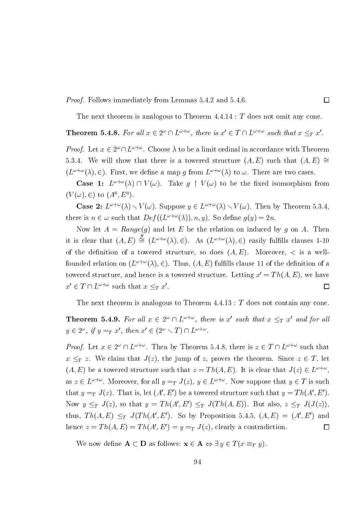*Proof.* Follows immediately from Lemmas 5.4.2 and 5.4.6.

The next theorem is analogous to Theorem  $4.4.14$ : T does not omit any cone.

 $\Box$ 

# **Theorem 5.4.8.** For all  $x \in 2^{\omega} \cap L^{\omega+\omega}$ , there is  $x' \in T \cap L^{\omega+\omega}$  such that  $x \leq_T x'$ .

*Proof.* Let  $x \in 2^{\omega} \cap L^{\omega + \omega}$ . Choose  $\lambda$  to be a limit ordinal in accordance with Theorem 5.3.4. We will show that there is a towered structure  $(A, E)$  such that  $(A, E) \cong$  $(L^{\omega+\omega}(\lambda), \in)$ . First, we define a map g from  $L^{\omega+\omega}(\lambda)$  to  $\omega$ . There are two cases.

**Case 1:**  $L^{\omega+\omega}(\lambda) \cap V(\omega)$ . Take  $g \restriction V(\omega)$  to be the fixed isomorphism from  $(V(\omega), \in)$  to  $(A^0, E^0)$ .

**Case 2:**  $L^{\omega+\omega}(\lambda) \setminus V(\omega)$ . Suppose  $y \in L^{\omega+\omega}(\lambda) \setminus V(\omega)$ . Then by Theorem 5.3.4, there is  $n \in \omega$  such that  $Def((L^{\omega+\omega}(\lambda)), n, y)$ . So define  $g(y) = 2n$ .

Now let  $A = Range(g)$  and let E be the relation on induced by g on A. Then it is clear that  $(A, E) \stackrel{g}{\cong} (L^{\omega + \omega}(\lambda), \in)$ . As  $(L^{\omega + \omega}(\lambda), \in)$  easily fulfills clauses 1-10 of the definition of a towered structure, so does  $(A, E)$ . Moreover,  $\lt$  is a wellfounded relation on  $(L^{\omega+\omega}(\lambda), \in)$ . Thus,  $(A, E)$  fulfills clause 11 of the definition of a towered structure, and hence is a towered structure. Letting  $x' = Th(A, E)$ , we have  $x' \in T \cap L^{\omega + \omega}$  such that  $x \leq_T x'$ .  $\Box$ 

The next theorem is analogous to Theorem  $4.4.13$ : T does not contain any cone.

**Theorem 5.4.9.** For all  $x \in 2^{\omega} \cap L^{\omega+\omega}$ , there is x' such that  $x \leq_T x'$  and for all  $y \in 2^{\omega}$ , if  $y =_T x'$ , then  $x' \in (2^{\omega} \setminus T) \cap L^{\omega + \omega}$ .

*Proof.* Let  $x \in 2^{\omega} \cap L^{\omega+\omega}$ . Then by Theorem 5.4.8, there is  $z \in T \cap L^{\omega+\omega}$  such that  $x \leq_T z$ . We claim that  $J(z)$ , the jump of z, proves the theorem. Since  $z \in T$ , let  $(A, E)$  be a towered structure such that  $z = Th(A, E)$ . It is clear that  $J(z) \in L^{\omega + \omega}$ . as  $z \in L^{\omega+\omega}$ . Moreover, for all  $y = T$   $J(z)$ ,  $y \in L^{\omega+\omega}$ . Now suppose that  $y \in T$  is such that  $y = T J(z)$ . That is, let  $(A', E')$  be a towered structure such that  $y = Th(A', E')$ . Now  $y \leq_T J(z)$ , so that  $y = Th(A', E') \leq_T J(Th(A, E))$ . But also,  $z \leq_T J(J(z))$ , thus,  $Th(A, E) \leq_T J(Th(A', E')$ . So by Proposition 5.4.5,  $(A, E) = (A', E')$  and hence  $z = Th(A, E) = Th(A', E') = y = T J(z)$ , clearly a contradiction.  $\Box$ 

We now define  $A \subset D$  as follows:  $x \in A \Leftrightarrow \exists y \in T(x \equiv_T y)$ .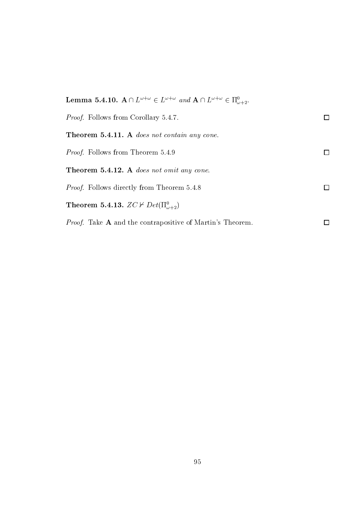| <b>Lemma 5.4.10.</b> $A \cap L^{\omega + \omega} \in L^{\omega + \omega}$ and $A \cap L^{\omega + \omega} \in \Pi_{\omega + \omega}^0$ . |  |
|------------------------------------------------------------------------------------------------------------------------------------------|--|
| <i>Proof.</i> Follows from Corollary 5.4.7.                                                                                              |  |
| <b>Theorem 5.4.11.</b> A does not contain any cone.                                                                                      |  |
| <i>Proof.</i> Follows from Theorem 5.4.9                                                                                                 |  |
| <b>Theorem 5.4.12.</b> A does not omit any cone.                                                                                         |  |
| <i>Proof.</i> Follows directly from Theorem 5.4.8                                                                                        |  |
| <b>Theorem 5.4.13.</b> $ZC \nvdash Det(\Pi^0_{\omega+2})$                                                                                |  |
| <i>Proof.</i> Take A and the contrapositive of Martin's Theorem.                                                                         |  |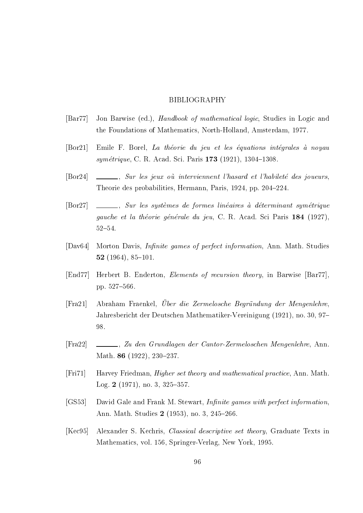### **BIBLIOGRAPHY**

- $\left[\text{Bar}77\right]$ Jon Barwise (ed.), *Handbook of mathematical logic*, Studies in Logic and the Foundations of Mathematics, North-Holland, Amsterdam, 1977.
- Emile F. Borel, La théorie du jeu et les équations intégrales à noyau  $\lceil \text{Bor} 21 \rceil$ symétrique, C. R. Acad. Sci. Paris 173 (1921), 1304-1308.
- \_, Sur les jeux où interviennent l'hasard et l'habileté des joueurs,  $\lceil \text{Bor} 24 \rceil$ Theorie des probabilities, Hermann, Paris, 1924, pp. 204–224.
- $[{\rm Bor27}]$ Sur les systèmes de formes linéaires à déterminant symétrique gauche et la théorie générale du jeu. C. R. Acad. Sci Paris 184 (1927).  $52 - 54.$
- Morton Davis, *Infinite games of perfect information*, Ann. Math. Studies  $\lfloor\text{Day}64\rfloor$ 52 $(1964), 85-101.$
- $[End77]$ Herbert B. Enderton, *Elements of recursion theory*, in Barwise [Bar77]. pp. 527-566.
- Abraham Fraenkel. Über die Zermelosche Begründung der Mengenlehre.  $[Fra21]$ Jahresbericht der Deutschen Mathematiker-Vereinigung (1921), no. 30, 97-98.
- $[Fra22]$ Math. 86 (1922), 230-237.
- Harvey Friedman, *Higher set theory and mathematical practice*, Ann. Math.  $[Fig 71]$ Log. 2  $(1971)$ , no. 3, 325-357.
- $[GS53]$ David Gale and Frank M. Stewart, Infinite games with perfect information, Ann. Math. Studies 2 (1953), no. 3, 245–266.
- $[Kec95]$ Alexander S. Kechris, Classical descriptive set theory, Graduate Texts in Mathematics, vol. 156, Springer-Verlag, New York, 1995.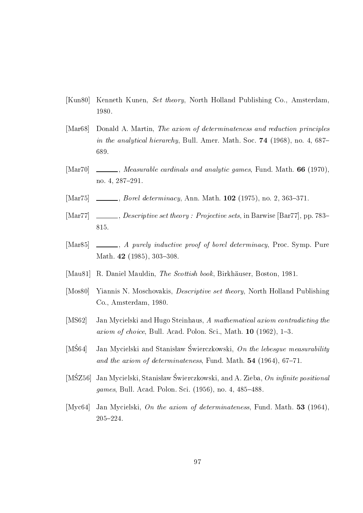- $[Kun80]$ Kenneth Kunen, Set theory, North Holland Publishing Co., Amsterdam. 1980.
- $[Mar68]$ Donald A. Martin, The axiom of determinateness and reduction principles in the analytical hierarchy, Bull. Amer. Math. Soc. 74 (1968), no. 4, 687– 689.
- *Measurable cardinals and analytic games, Fund. Math.* **66** (1970),  $[Mar70]$ no. 4, 287-291.
- *Borel determinacy*, Ann. Math. **102** (1975), no. 2, 363-371.  $[Mar75]$
- $\left[ \text{Mar}77 \right]$ 815.
- A purely inductive proof of borel determinacy, Proc. Symp. Pure  $[Mar85]$ Math. 42 (1985), 303-308.
- $[Mau81]$ R. Daniel Mauldin, The Scottish book, Birkhäuser, Boston, 1981.
- Yiannis N. Moschovakis, *Descriptive set theory*, North Holland Publishing  $[Mos80]$ Co., Amsterdam, 1980.
- Jan Mycielski and Hugo Steinhaus, A mathematical axiom contradicting the  $[MS62]$ axiom of choice, Bull. Acad. Polon. Sci., Math. 10 (1962), 1-3.
- $[M\dot{S}64]$ Jan Mycielski and Stanisław Świerczkowski, On the lebesque measurability and the axiom of determinateness, Fund. Math. 54 (1964), 67-71.
- $[M\dot{S}Z56]$ Jan Mycielski, Stanisław Świerczkowski, and A. Zieba, On infinite positional games, Bull. Acad. Polon. Sci. (1956), no. 4, 485-488.
- [Myc $64$ ] Jan Mycielski, On the axiom of determinateness, Fund. Math. 53 (1964),  $205 - 224$ .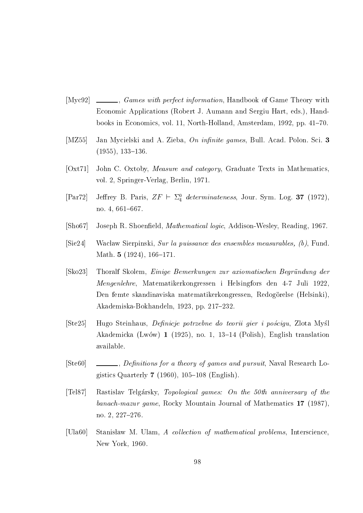- $[Myc92]$ \_, *Games with perfect information*, Handbook of Game Theory with Economic Applications (Robert J. Aumann and Sergiu Hart, eds.), Handbooks in Economics, vol. 11, North-Holland, Amsterdam, 1992, pp. 41–70.
- $[MZ55]$ Jan Mycielski and A. Zieba, On infinite games, Bull. Acad. Polon. Sci. 3  $(1955), 133-136.$
- $[Oxt71]$ John C. Oxtoby, Measure and category, Graduate Texts in Mathematics, vol. 2, Springer-Verlag, Berlin, 1971.
- Jeffrey B. Paris,  $ZF \vdash \Sigma^0_4$  determinateness, Jour. Sym. Log. 37 (1972),  $[Par72]$ no. 4, 661-667.
- $[**S**ho67]$ Joseph R. Shoenfield, Mathematical logic, Addison-Wesley, Reading, 1967.
- Wacław Sierpinski, Sur la puissance des ensembles measurables, (b), Fund.  $\left| \text{Sie24}\right|$ Math. 5  $(1924)$ , 166-171.
- $|Sko23|$ Thoralf Skolem, *Einige Bemerkungen zur axiomatischen Begründung der* Mengenlehre, Matematikerkongressen i Helsingfors den 4-7 Juli 1922. Den femte skandinaviska matematikerkongressen, Redogörelse (Helsinki). Akademiska-Bokhandeln, 1923, pp. 217-232.
- Hugo Steinhaus, Definicje potrzebne do teorii gier i pościgu, Zlota Myśl  $[Ste25]$ Akademicka (Lwów) 1 (1925), no. 1, 13–14 (Polish), English translation available.
- $[Ste60]$ gistics Quarterly  $7$  (1960), 105-108 (English).
- $Tel87$ Rastislav Telgársky, Topological games: On the 50th anniversary of the banach-mazur game, Rocky Mountain Journal of Mathematics 17 (1987). no. 2, 227-276.
- $[U<sub>1a60</sub>]$ Stanisław M. Ulam, A collection of mathematical problems, Interscience, New York, 1960.